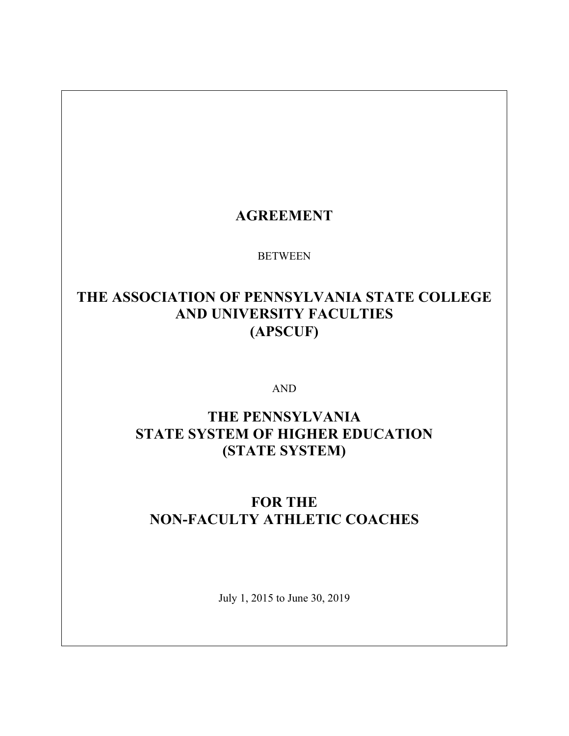## **AGREEMENT**

**BETWEEN** 

# **THE ASSOCIATION OF PENNSYLVANIA STATE COLLEGE AND UNIVERSITY FACULTIES (APSCUF)**

AND

# **THE PENNSYLVANIA STATE SYSTEM OF HIGHER EDUCATION (STATE SYSTEM)**

# **FOR THE NON-FACULTY ATHLETIC COACHES**

July 1, 2015 to June 30, 2019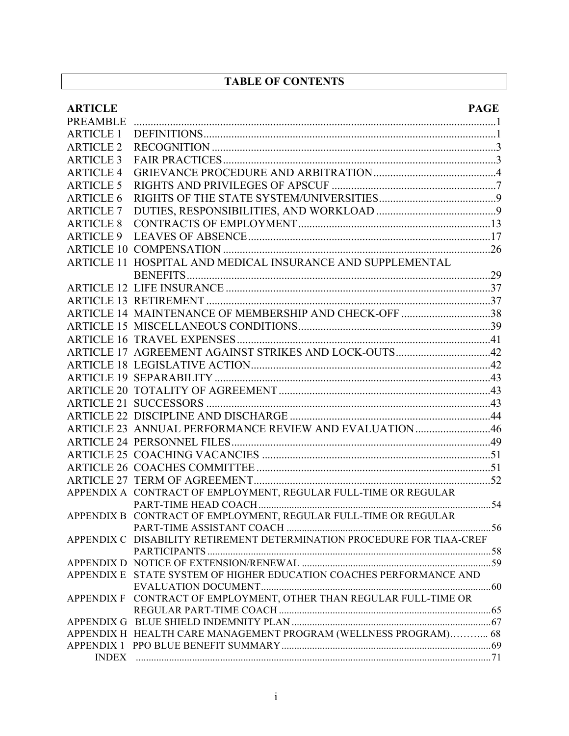## **TABLE OF CONTENTS**

| <b>ARTICLE</b>               | <b>PAGE</b>                                                            |  |
|------------------------------|------------------------------------------------------------------------|--|
| PREAMBLE<br><b>ARTICLE 1</b> |                                                                        |  |
|                              |                                                                        |  |
| <b>ARTICLE 2</b>             |                                                                        |  |
| <b>ARTICLE 3</b>             |                                                                        |  |
| <b>ARTICLE 4</b>             |                                                                        |  |
| <b>ARTICLE 5</b>             |                                                                        |  |
| <b>ARTICLE 6</b>             |                                                                        |  |
| <b>ARTICLE 7</b>             |                                                                        |  |
| <b>ARTICLE 8</b>             |                                                                        |  |
| <b>ARTICLE 9</b>             |                                                                        |  |
|                              |                                                                        |  |
|                              | ARTICLE 11 HOSPITAL AND MEDICAL INSURANCE AND SUPPLEMENTAL             |  |
|                              |                                                                        |  |
|                              |                                                                        |  |
|                              | ARTICLE 14 MAINTENANCE OF MEMBERSHIP AND CHECK-OFF 38                  |  |
|                              |                                                                        |  |
|                              |                                                                        |  |
|                              |                                                                        |  |
|                              |                                                                        |  |
|                              |                                                                        |  |
|                              |                                                                        |  |
|                              |                                                                        |  |
|                              |                                                                        |  |
|                              | ARTICLE 23 ANNUAL PERFORMANCE REVIEW AND EVALUATION 46                 |  |
|                              |                                                                        |  |
|                              |                                                                        |  |
|                              |                                                                        |  |
|                              |                                                                        |  |
|                              | APPENDIX A CONTRACT OF EMPLOYMENT, REGULAR FULL-TIME OR REGULAR        |  |
|                              |                                                                        |  |
|                              | APPENDIX B CONTRACT OF EMPLOYMENT, REGULAR FULL-TIME OR REGULAR        |  |
|                              |                                                                        |  |
|                              | APPENDIX C DISABILITY RETIREMENT DETERMINATION PROCEDURE FOR TIAA-CREF |  |
|                              |                                                                        |  |
|                              | APPENDIX E STATE SYSTEM OF HIGHER EDUCATION COACHES PERFORMANCE AND    |  |
|                              |                                                                        |  |
|                              | APPENDIX F CONTRACT OF EMPLOYMENT, OTHER THAN REGULAR FULL-TIME OR     |  |
|                              |                                                                        |  |
|                              |                                                                        |  |
|                              | APPENDIX H HEALTH CARE MANAGEMENT PROGRAM (WELLNESS PROGRAM) 68        |  |
|                              |                                                                        |  |
|                              |                                                                        |  |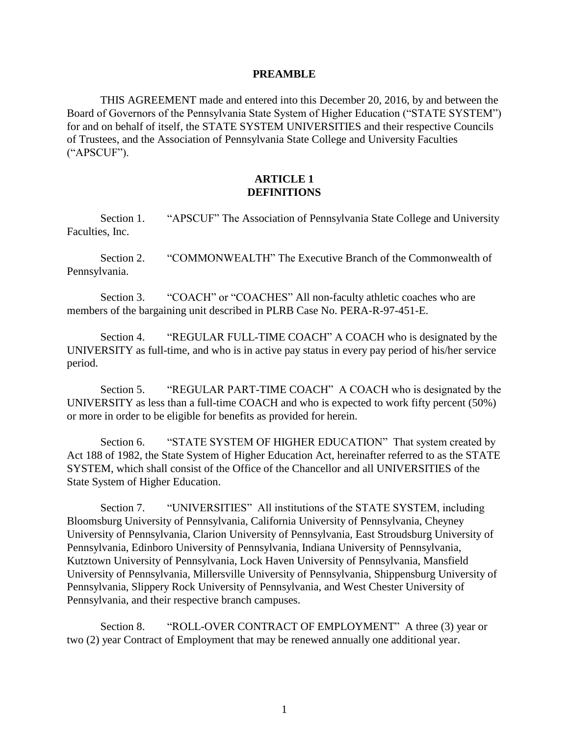#### **PREAMBLE**

THIS AGREEMENT made and entered into this December 20, 2016, by and between the Board of Governors of the Pennsylvania State System of Higher Education ("STATE SYSTEM") for and on behalf of itself, the STATE SYSTEM UNIVERSITIES and their respective Councils of Trustees, and the Association of Pennsylvania State College and University Faculties ("APSCUF").

#### **ARTICLE 1 DEFINITIONS**

Section 1. "APSCUF" The Association of Pennsylvania State College and University Faculties, Inc.

Section 2. "COMMONWEALTH" The Executive Branch of the Commonwealth of Pennsylvania.

Section 3. "COACH" or "COACHES" All non-faculty athletic coaches who are members of the bargaining unit described in PLRB Case No. PERA-R-97-451-E.

Section 4. "REGULAR FULL-TIME COACH" A COACH who is designated by the UNIVERSITY as full-time, and who is in active pay status in every pay period of his/her service period.

Section 5. "REGULAR PART-TIME COACH" A COACH who is designated by the UNIVERSITY as less than a full-time COACH and who is expected to work fifty percent (50%) or more in order to be eligible for benefits as provided for herein.

Section 6. "STATE SYSTEM OF HIGHER EDUCATION" That system created by Act 188 of 1982, the State System of Higher Education Act, hereinafter referred to as the STATE SYSTEM, which shall consist of the Office of the Chancellor and all UNIVERSITIES of the State System of Higher Education.

Section 7. "UNIVERSITIES" All institutions of the STATE SYSTEM, including Bloomsburg University of Pennsylvania, California University of Pennsylvania, Cheyney University of Pennsylvania, Clarion University of Pennsylvania, East Stroudsburg University of Pennsylvania, Edinboro University of Pennsylvania, Indiana University of Pennsylvania, Kutztown University of Pennsylvania, Lock Haven University of Pennsylvania, Mansfield University of Pennsylvania, Millersville University of Pennsylvania, Shippensburg University of Pennsylvania, Slippery Rock University of Pennsylvania, and West Chester University of Pennsylvania, and their respective branch campuses.

Section 8. "ROLL-OVER CONTRACT OF EMPLOYMENT" A three (3) year or two (2) year Contract of Employment that may be renewed annually one additional year.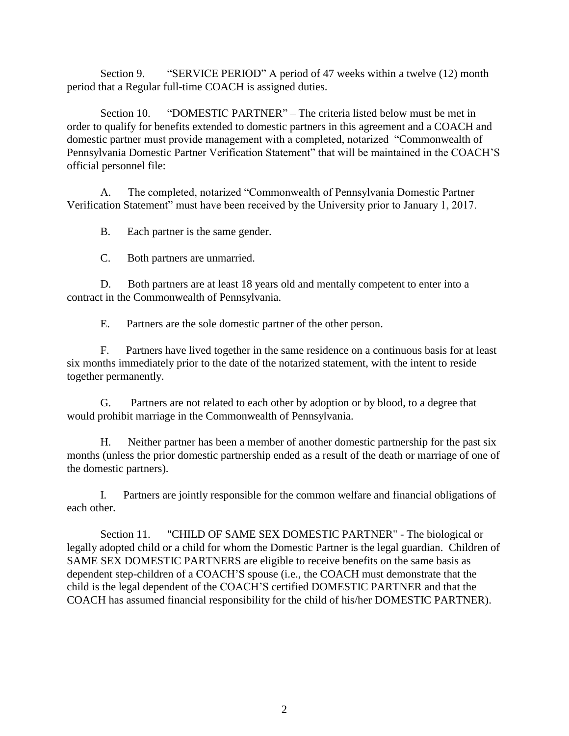Section 9. "SERVICE PERIOD" A period of 47 weeks within a twelve (12) month period that a Regular full-time COACH is assigned duties.

Section 10. "DOMESTIC PARTNER" – The criteria listed below must be met in order to qualify for benefits extended to domestic partners in this agreement and a COACH and domestic partner must provide management with a completed, notarized "Commonwealth of Pennsylvania Domestic Partner Verification Statement" that will be maintained in the COACH'S official personnel file:

A. The completed, notarized "Commonwealth of Pennsylvania Domestic Partner Verification Statement" must have been received by the University prior to January 1, 2017.

B. Each partner is the same gender.

C. Both partners are unmarried.

D. Both partners are at least 18 years old and mentally competent to enter into a contract in the Commonwealth of Pennsylvania.

E. Partners are the sole domestic partner of the other person.

F. Partners have lived together in the same residence on a continuous basis for at least six months immediately prior to the date of the notarized statement, with the intent to reside together permanently.

G. Partners are not related to each other by adoption or by blood, to a degree that would prohibit marriage in the Commonwealth of Pennsylvania.

H. Neither partner has been a member of another domestic partnership for the past six months (unless the prior domestic partnership ended as a result of the death or marriage of one of the domestic partners).

I. Partners are jointly responsible for the common welfare and financial obligations of each other.

Section 11. "CHILD OF SAME SEX DOMESTIC PARTNER" - The biological or legally adopted child or a child for whom the Domestic Partner is the legal guardian. Children of SAME SEX DOMESTIC PARTNERS are eligible to receive benefits on the same basis as dependent step-children of a COACH'S spouse (i.e., the COACH must demonstrate that the child is the legal dependent of the COACH'S certified DOMESTIC PARTNER and that the COACH has assumed financial responsibility for the child of his/her DOMESTIC PARTNER).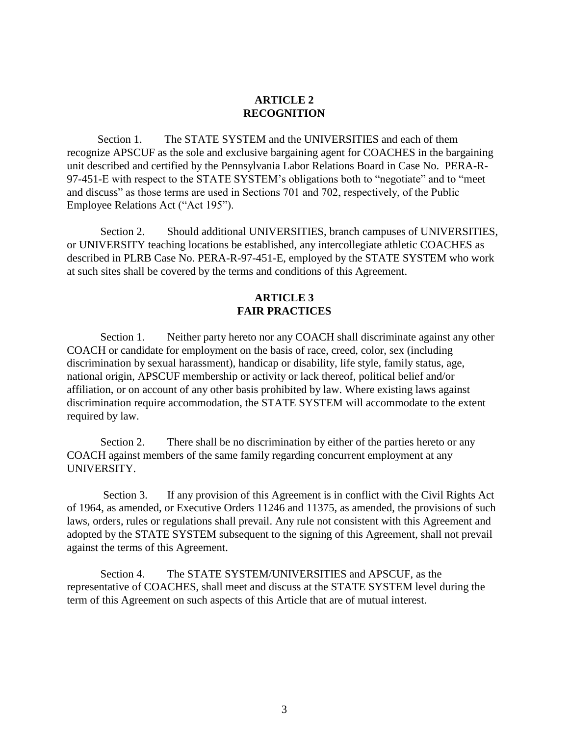### **ARTICLE 2 RECOGNITION**

 Section 1. The STATE SYSTEM and the UNIVERSITIES and each of them recognize APSCUF as the sole and exclusive bargaining agent for COACHES in the bargaining unit described and certified by the Pennsylvania Labor Relations Board in Case No. PERA-R-97-451-E with respect to the STATE SYSTEM's obligations both to "negotiate" and to "meet and discuss" as those terms are used in Sections 701 and 702, respectively, of the Public Employee Relations Act ("Act 195").

Section 2. Should additional UNIVERSITIES, branch campuses of UNIVERSITIES, or UNIVERSITY teaching locations be established, any intercollegiate athletic COACHES as described in PLRB Case No. PERA-R-97-451-E, employed by the STATE SYSTEM who work at such sites shall be covered by the terms and conditions of this Agreement.

#### **ARTICLE 3 FAIR PRACTICES**

Section 1. Neither party hereto nor any COACH shall discriminate against any other COACH or candidate for employment on the basis of race, creed, color, sex (including discrimination by sexual harassment), handicap or disability, life style, family status, age, national origin, APSCUF membership or activity or lack thereof, political belief and/or affiliation, or on account of any other basis prohibited by law. Where existing laws against discrimination require accommodation, the STATE SYSTEM will accommodate to the extent required by law.

Section 2. There shall be no discrimination by either of the parties hereto or any COACH against members of the same family regarding concurrent employment at any UNIVERSITY.

Section 3. If any provision of this Agreement is in conflict with the Civil Rights Act of 1964, as amended, or Executive Orders 11246 and 11375, as amended, the provisions of such laws, orders, rules or regulations shall prevail. Any rule not consistent with this Agreement and adopted by the STATE SYSTEM subsequent to the signing of this Agreement, shall not prevail against the terms of this Agreement.

Section 4. The STATE SYSTEM/UNIVERSITIES and APSCUF, as the representative of COACHES, shall meet and discuss at the STATE SYSTEM level during the term of this Agreement on such aspects of this Article that are of mutual interest.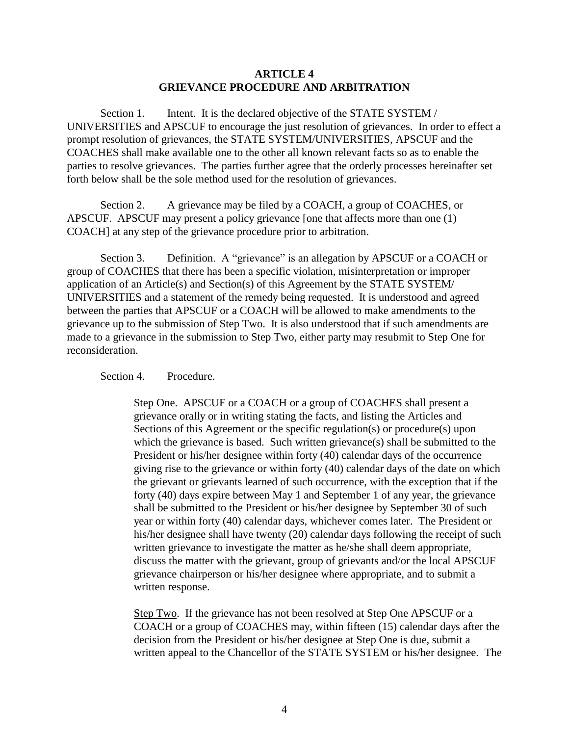#### **ARTICLE 4 GRIEVANCE PROCEDURE AND ARBITRATION**

Section 1. Intent. It is the declared objective of the STATE SYSTEM / UNIVERSITIES and APSCUF to encourage the just resolution of grievances. In order to effect a prompt resolution of grievances, the STATE SYSTEM/UNIVERSITIES, APSCUF and the COACHES shall make available one to the other all known relevant facts so as to enable the parties to resolve grievances. The parties further agree that the orderly processes hereinafter set forth below shall be the sole method used for the resolution of grievances.

Section 2. A grievance may be filed by a COACH, a group of COACHES, or APSCUF. APSCUF may present a policy grievance [one that affects more than one (1) COACH] at any step of the grievance procedure prior to arbitration.

Section 3. Definition. A "grievance" is an allegation by APSCUF or a COACH or group of COACHES that there has been a specific violation, misinterpretation or improper application of an Article(s) and Section(s) of this Agreement by the STATE SYSTEM/ UNIVERSITIES and a statement of the remedy being requested. It is understood and agreed between the parties that APSCUF or a COACH will be allowed to make amendments to the grievance up to the submission of Step Two. It is also understood that if such amendments are made to a grievance in the submission to Step Two, either party may resubmit to Step One for reconsideration.

Section 4. Procedure.

Step One. APSCUF or a COACH or a group of COACHES shall present a grievance orally or in writing stating the facts, and listing the Articles and Sections of this Agreement or the specific regulation(s) or procedure(s) upon which the grievance is based. Such written grievance(s) shall be submitted to the President or his/her designee within forty (40) calendar days of the occurrence giving rise to the grievance or within forty (40) calendar days of the date on which the grievant or grievants learned of such occurrence, with the exception that if the forty (40) days expire between May 1 and September 1 of any year, the grievance shall be submitted to the President or his/her designee by September 30 of such year or within forty (40) calendar days, whichever comes later. The President or his/her designee shall have twenty (20) calendar days following the receipt of such written grievance to investigate the matter as he/she shall deem appropriate, discuss the matter with the grievant, group of grievants and/or the local APSCUF grievance chairperson or his/her designee where appropriate, and to submit a written response.

Step Two. If the grievance has not been resolved at Step One APSCUF or a COACH or a group of COACHES may, within fifteen (15) calendar days after the decision from the President or his/her designee at Step One is due, submit a written appeal to the Chancellor of the STATE SYSTEM or his/her designee. The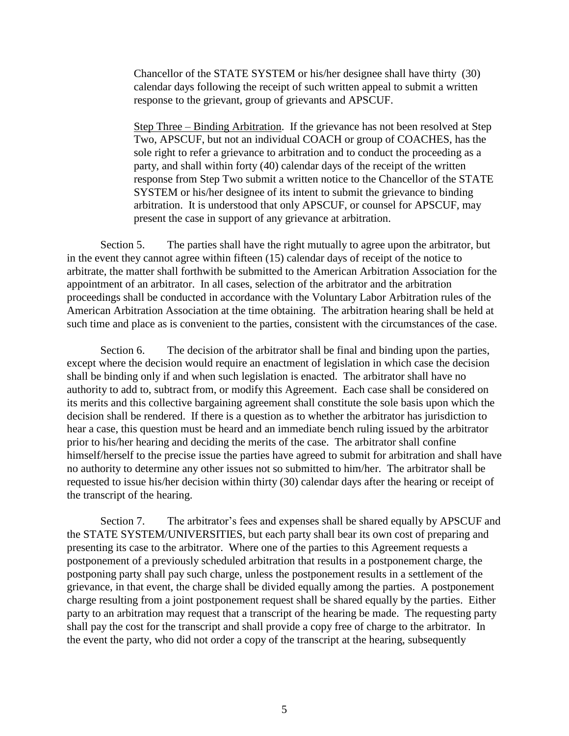Chancellor of the STATE SYSTEM or his/her designee shall have thirty (30) calendar days following the receipt of such written appeal to submit a written response to the grievant, group of grievants and APSCUF.

Step Three – Binding Arbitration. If the grievance has not been resolved at Step Two, APSCUF, but not an individual COACH or group of COACHES, has the sole right to refer a grievance to arbitration and to conduct the proceeding as a party, and shall within forty (40) calendar days of the receipt of the written response from Step Two submit a written notice to the Chancellor of the STATE SYSTEM or his/her designee of its intent to submit the grievance to binding arbitration. It is understood that only APSCUF, or counsel for APSCUF, may present the case in support of any grievance at arbitration.

Section 5. The parties shall have the right mutually to agree upon the arbitrator, but in the event they cannot agree within fifteen (15) calendar days of receipt of the notice to arbitrate, the matter shall forthwith be submitted to the American Arbitration Association for the appointment of an arbitrator. In all cases, selection of the arbitrator and the arbitration proceedings shall be conducted in accordance with the Voluntary Labor Arbitration rules of the American Arbitration Association at the time obtaining. The arbitration hearing shall be held at such time and place as is convenient to the parties, consistent with the circumstances of the case.

Section 6. The decision of the arbitrator shall be final and binding upon the parties, except where the decision would require an enactment of legislation in which case the decision shall be binding only if and when such legislation is enacted. The arbitrator shall have no authority to add to, subtract from, or modify this Agreement. Each case shall be considered on its merits and this collective bargaining agreement shall constitute the sole basis upon which the decision shall be rendered. If there is a question as to whether the arbitrator has jurisdiction to hear a case, this question must be heard and an immediate bench ruling issued by the arbitrator prior to his/her hearing and deciding the merits of the case. The arbitrator shall confine himself/herself to the precise issue the parties have agreed to submit for arbitration and shall have no authority to determine any other issues not so submitted to him/her. The arbitrator shall be requested to issue his/her decision within thirty (30) calendar days after the hearing or receipt of the transcript of the hearing.

Section 7. The arbitrator's fees and expenses shall be shared equally by APSCUF and the STATE SYSTEM/UNIVERSITIES, but each party shall bear its own cost of preparing and presenting its case to the arbitrator. Where one of the parties to this Agreement requests a postponement of a previously scheduled arbitration that results in a postponement charge, the postponing party shall pay such charge, unless the postponement results in a settlement of the grievance, in that event, the charge shall be divided equally among the parties. A postponement charge resulting from a joint postponement request shall be shared equally by the parties. Either party to an arbitration may request that a transcript of the hearing be made. The requesting party shall pay the cost for the transcript and shall provide a copy free of charge to the arbitrator. In the event the party, who did not order a copy of the transcript at the hearing, subsequently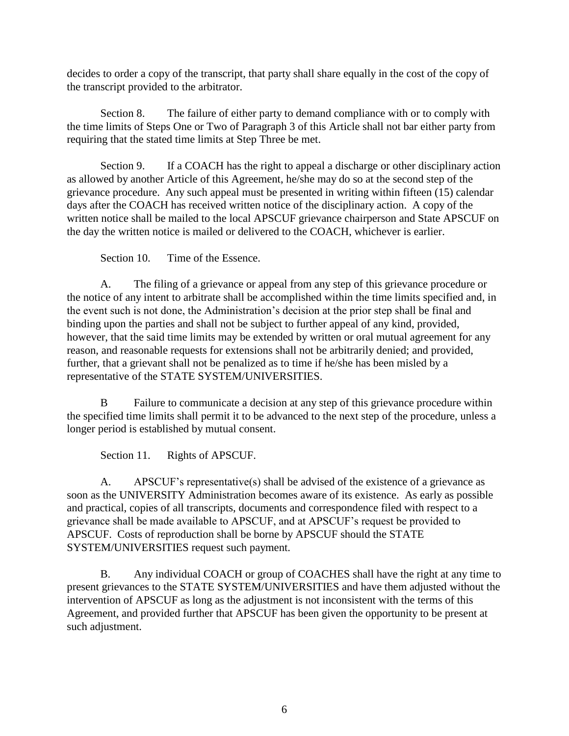decides to order a copy of the transcript, that party shall share equally in the cost of the copy of the transcript provided to the arbitrator.

Section 8. The failure of either party to demand compliance with or to comply with the time limits of Steps One or Two of Paragraph 3 of this Article shall not bar either party from requiring that the stated time limits at Step Three be met.

Section 9. If a COACH has the right to appeal a discharge or other disciplinary action as allowed by another Article of this Agreement, he/she may do so at the second step of the grievance procedure. Any such appeal must be presented in writing within fifteen (15) calendar days after the COACH has received written notice of the disciplinary action. A copy of the written notice shall be mailed to the local APSCUF grievance chairperson and State APSCUF on the day the written notice is mailed or delivered to the COACH, whichever is earlier.

Section 10. Time of the Essence.

A. The filing of a grievance or appeal from any step of this grievance procedure or the notice of any intent to arbitrate shall be accomplished within the time limits specified and, in the event such is not done, the Administration's decision at the prior step shall be final and binding upon the parties and shall not be subject to further appeal of any kind, provided, however, that the said time limits may be extended by written or oral mutual agreement for any reason, and reasonable requests for extensions shall not be arbitrarily denied; and provided, further, that a grievant shall not be penalized as to time if he/she has been misled by a representative of the STATE SYSTEM/UNIVERSITIES.

B Failure to communicate a decision at any step of this grievance procedure within the specified time limits shall permit it to be advanced to the next step of the procedure, unless a longer period is established by mutual consent.

Section 11. Rights of APSCUF.

A. APSCUF's representative(s) shall be advised of the existence of a grievance as soon as the UNIVERSITY Administration becomes aware of its existence. As early as possible and practical, copies of all transcripts, documents and correspondence filed with respect to a grievance shall be made available to APSCUF, and at APSCUF's request be provided to APSCUF. Costs of reproduction shall be borne by APSCUF should the STATE SYSTEM/UNIVERSITIES request such payment.

B. Any individual COACH or group of COACHES shall have the right at any time to present grievances to the STATE SYSTEM/UNIVERSITIES and have them adjusted without the intervention of APSCUF as long as the adjustment is not inconsistent with the terms of this Agreement, and provided further that APSCUF has been given the opportunity to be present at such adjustment.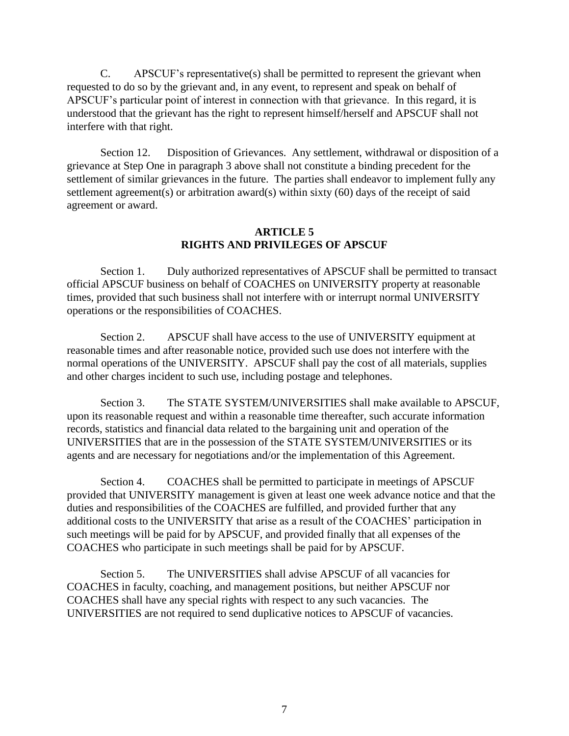C. APSCUF's representative(s) shall be permitted to represent the grievant when requested to do so by the grievant and, in any event, to represent and speak on behalf of APSCUF's particular point of interest in connection with that grievance. In this regard, it is understood that the grievant has the right to represent himself/herself and APSCUF shall not interfere with that right.

Section 12. Disposition of Grievances. Any settlement, withdrawal or disposition of a grievance at Step One in paragraph 3 above shall not constitute a binding precedent for the settlement of similar grievances in the future. The parties shall endeavor to implement fully any settlement agreement(s) or arbitration award(s) within sixty (60) days of the receipt of said agreement or award.

#### **ARTICLE 5 RIGHTS AND PRIVILEGES OF APSCUF**

Section 1. Duly authorized representatives of APSCUF shall be permitted to transact official APSCUF business on behalf of COACHES on UNIVERSITY property at reasonable times, provided that such business shall not interfere with or interrupt normal UNIVERSITY operations or the responsibilities of COACHES.

Section 2. APSCUF shall have access to the use of UNIVERSITY equipment at reasonable times and after reasonable notice, provided such use does not interfere with the normal operations of the UNIVERSITY. APSCUF shall pay the cost of all materials, supplies and other charges incident to such use, including postage and telephones.

Section 3. The STATE SYSTEM/UNIVERSITIES shall make available to APSCUF, upon its reasonable request and within a reasonable time thereafter, such accurate information records, statistics and financial data related to the bargaining unit and operation of the UNIVERSITIES that are in the possession of the STATE SYSTEM/UNIVERSITIES or its agents and are necessary for negotiations and/or the implementation of this Agreement.

Section 4. COACHES shall be permitted to participate in meetings of APSCUF provided that UNIVERSITY management is given at least one week advance notice and that the duties and responsibilities of the COACHES are fulfilled, and provided further that any additional costs to the UNIVERSITY that arise as a result of the COACHES' participation in such meetings will be paid for by APSCUF, and provided finally that all expenses of the COACHES who participate in such meetings shall be paid for by APSCUF.

Section 5. The UNIVERSITIES shall advise APSCUF of all vacancies for COACHES in faculty, coaching, and management positions, but neither APSCUF nor COACHES shall have any special rights with respect to any such vacancies. The UNIVERSITIES are not required to send duplicative notices to APSCUF of vacancies.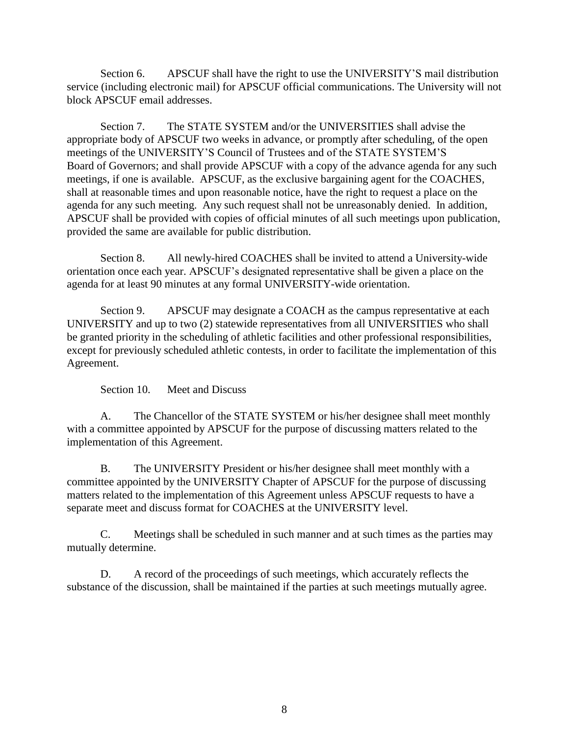Section 6. APSCUF shall have the right to use the UNIVERSITY'S mail distribution service (including electronic mail) for APSCUF official communications. The University will not block APSCUF email addresses.

Section 7. The STATE SYSTEM and/or the UNIVERSITIES shall advise the appropriate body of APSCUF two weeks in advance, or promptly after scheduling, of the open meetings of the UNIVERSITY'S Council of Trustees and of the STATE SYSTEM'S Board of Governors; and shall provide APSCUF with a copy of the advance agenda for any such meetings, if one is available. APSCUF, as the exclusive bargaining agent for the COACHES, shall at reasonable times and upon reasonable notice, have the right to request a place on the agenda for any such meeting. Any such request shall not be unreasonably denied. In addition, APSCUF shall be provided with copies of official minutes of all such meetings upon publication, provided the same are available for public distribution.

Section 8. All newly-hired COACHES shall be invited to attend a University-wide orientation once each year. APSCUF's designated representative shall be given a place on the agenda for at least 90 minutes at any formal UNIVERSITY-wide orientation.

Section 9. APSCUF may designate a COACH as the campus representative at each UNIVERSITY and up to two (2) statewide representatives from all UNIVERSITIES who shall be granted priority in the scheduling of athletic facilities and other professional responsibilities, except for previously scheduled athletic contests, in order to facilitate the implementation of this Agreement.

Section 10. Meet and Discuss

A. The Chancellor of the STATE SYSTEM or his/her designee shall meet monthly with a committee appointed by APSCUF for the purpose of discussing matters related to the implementation of this Agreement.

B. The UNIVERSITY President or his/her designee shall meet monthly with a committee appointed by the UNIVERSITY Chapter of APSCUF for the purpose of discussing matters related to the implementation of this Agreement unless APSCUF requests to have a separate meet and discuss format for COACHES at the UNIVERSITY level.

C. Meetings shall be scheduled in such manner and at such times as the parties may mutually determine.

D. A record of the proceedings of such meetings, which accurately reflects the substance of the discussion, shall be maintained if the parties at such meetings mutually agree.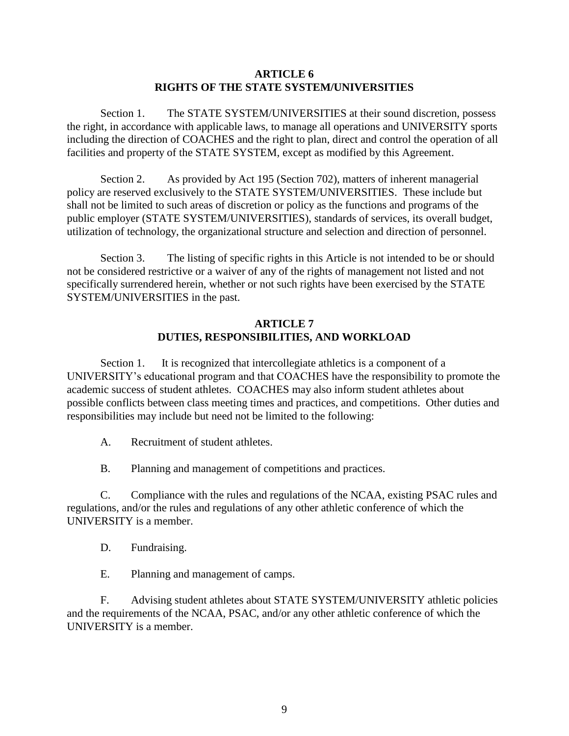#### **ARTICLE 6 RIGHTS OF THE STATE SYSTEM/UNIVERSITIES**

Section 1. The STATE SYSTEM/UNIVERSITIES at their sound discretion, possess the right, in accordance with applicable laws, to manage all operations and UNIVERSITY sports including the direction of COACHES and the right to plan, direct and control the operation of all facilities and property of the STATE SYSTEM, except as modified by this Agreement.

Section 2. As provided by Act 195 (Section 702), matters of inherent managerial policy are reserved exclusively to the STATE SYSTEM/UNIVERSITIES. These include but shall not be limited to such areas of discretion or policy as the functions and programs of the public employer (STATE SYSTEM/UNIVERSITIES), standards of services, its overall budget, utilization of technology, the organizational structure and selection and direction of personnel.

Section 3. The listing of specific rights in this Article is not intended to be or should not be considered restrictive or a waiver of any of the rights of management not listed and not specifically surrendered herein, whether or not such rights have been exercised by the STATE SYSTEM/UNIVERSITIES in the past.

## **ARTICLE 7 DUTIES, RESPONSIBILITIES, AND WORKLOAD**

Section 1. It is recognized that intercollegiate athletics is a component of a UNIVERSITY's educational program and that COACHES have the responsibility to promote the academic success of student athletes. COACHES may also inform student athletes about possible conflicts between class meeting times and practices, and competitions. Other duties and responsibilities may include but need not be limited to the following:

A. Recruitment of student athletes.

B. Planning and management of competitions and practices.

C. Compliance with the rules and regulations of the NCAA, existing PSAC rules and regulations, and/or the rules and regulations of any other athletic conference of which the UNIVERSITY is a member.

D. Fundraising.

E. Planning and management of camps.

F. Advising student athletes about STATE SYSTEM/UNIVERSITY athletic policies and the requirements of the NCAA, PSAC, and/or any other athletic conference of which the UNIVERSITY is a member.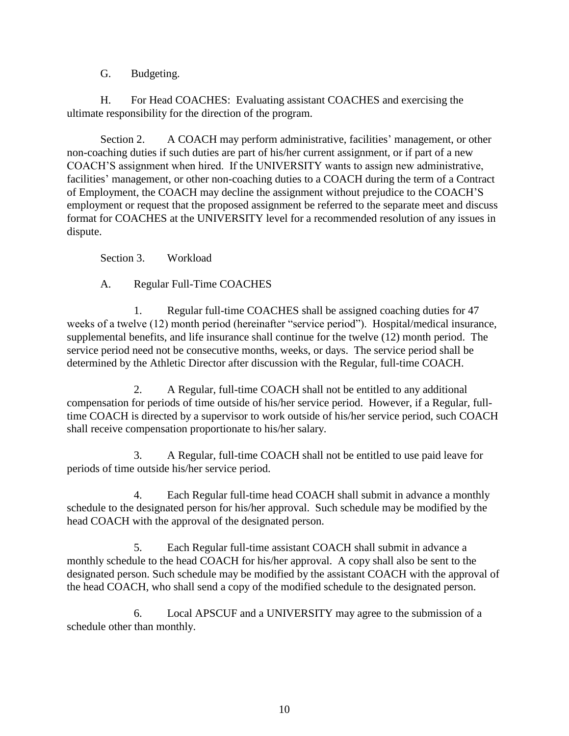G. Budgeting.

H. For Head COACHES: Evaluating assistant COACHES and exercising the ultimate responsibility for the direction of the program.

Section 2. A COACH may perform administrative, facilities' management, or other non-coaching duties if such duties are part of his/her current assignment, or if part of a new COACH'S assignment when hired. If the UNIVERSITY wants to assign new administrative, facilities' management, or other non-coaching duties to a COACH during the term of a Contract of Employment, the COACH may decline the assignment without prejudice to the COACH'S employment or request that the proposed assignment be referred to the separate meet and discuss format for COACHES at the UNIVERSITY level for a recommended resolution of any issues in dispute.

Section 3. Workload

A. Regular Full-Time COACHES

1. Regular full-time COACHES shall be assigned coaching duties for 47 weeks of a twelve (12) month period (hereinafter "service period"). Hospital/medical insurance, supplemental benefits, and life insurance shall continue for the twelve (12) month period. The service period need not be consecutive months, weeks, or days. The service period shall be determined by the Athletic Director after discussion with the Regular, full-time COACH.

2. A Regular, full-time COACH shall not be entitled to any additional compensation for periods of time outside of his/her service period. However, if a Regular, fulltime COACH is directed by a supervisor to work outside of his/her service period, such COACH shall receive compensation proportionate to his/her salary.

3. A Regular, full-time COACH shall not be entitled to use paid leave for periods of time outside his/her service period.

4. Each Regular full-time head COACH shall submit in advance a monthly schedule to the designated person for his/her approval. Such schedule may be modified by the head COACH with the approval of the designated person.

5. Each Regular full-time assistant COACH shall submit in advance a monthly schedule to the head COACH for his/her approval. A copy shall also be sent to the designated person. Such schedule may be modified by the assistant COACH with the approval of the head COACH, who shall send a copy of the modified schedule to the designated person.

 6. Local APSCUF and a UNIVERSITY may agree to the submission of a schedule other than monthly.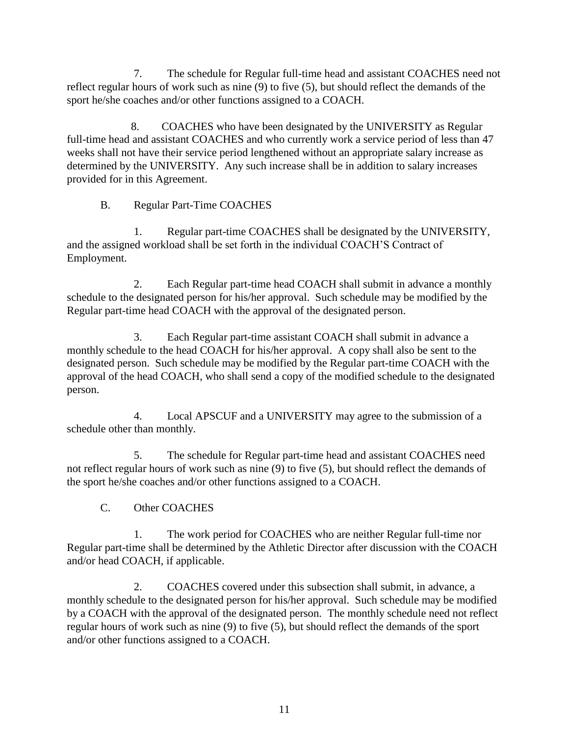7. The schedule for Regular full-time head and assistant COACHES need not reflect regular hours of work such as nine (9) to five (5), but should reflect the demands of the sport he/she coaches and/or other functions assigned to a COACH.

8. COACHES who have been designated by the UNIVERSITY as Regular full-time head and assistant COACHES and who currently work a service period of less than 47 weeks shall not have their service period lengthened without an appropriate salary increase as determined by the UNIVERSITY. Any such increase shall be in addition to salary increases provided for in this Agreement.

B. Regular Part-Time COACHES

1. Regular part-time COACHES shall be designated by the UNIVERSITY, and the assigned workload shall be set forth in the individual COACH'S Contract of Employment.

2. Each Regular part-time head COACH shall submit in advance a monthly schedule to the designated person for his/her approval. Such schedule may be modified by the Regular part-time head COACH with the approval of the designated person.

3. Each Regular part-time assistant COACH shall submit in advance a monthly schedule to the head COACH for his/her approval. A copy shall also be sent to the designated person. Such schedule may be modified by the Regular part-time COACH with the approval of the head COACH, who shall send a copy of the modified schedule to the designated person.

4. Local APSCUF and a UNIVERSITY may agree to the submission of a schedule other than monthly.

5. The schedule for Regular part-time head and assistant COACHES need not reflect regular hours of work such as nine (9) to five (5), but should reflect the demands of the sport he/she coaches and/or other functions assigned to a COACH.

C. Other COACHES

1. The work period for COACHES who are neither Regular full-time nor Regular part-time shall be determined by the Athletic Director after discussion with the COACH and/or head COACH, if applicable.

2. COACHES covered under this subsection shall submit, in advance, a monthly schedule to the designated person for his/her approval. Such schedule may be modified by a COACH with the approval of the designated person. The monthly schedule need not reflect regular hours of work such as nine (9) to five (5), but should reflect the demands of the sport and/or other functions assigned to a COACH.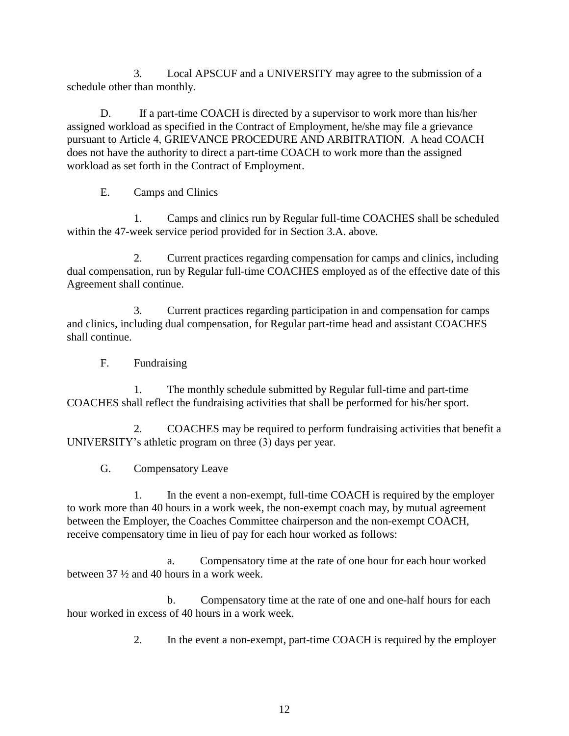3. Local APSCUF and a UNIVERSITY may agree to the submission of a schedule other than monthly.

D. If a part-time COACH is directed by a supervisor to work more than his/her assigned workload as specified in the Contract of Employment, he/she may file a grievance pursuant to Article 4, GRIEVANCE PROCEDURE AND ARBITRATION. A head COACH does not have the authority to direct a part-time COACH to work more than the assigned workload as set forth in the Contract of Employment.

E. Camps and Clinics

1. Camps and clinics run by Regular full-time COACHES shall be scheduled within the 47-week service period provided for in Section 3.A. above.

2. Current practices regarding compensation for camps and clinics, including dual compensation, run by Regular full-time COACHES employed as of the effective date of this Agreement shall continue.

3. Current practices regarding participation in and compensation for camps and clinics, including dual compensation, for Regular part-time head and assistant COACHES shall continue.

F. Fundraising

1. The monthly schedule submitted by Regular full-time and part-time COACHES shall reflect the fundraising activities that shall be performed for his/her sport.

2. COACHES may be required to perform fundraising activities that benefit a UNIVERSITY's athletic program on three (3) days per year.

G. Compensatory Leave

1. In the event a non-exempt, full-time COACH is required by the employer to work more than 40 hours in a work week, the non-exempt coach may, by mutual agreement between the Employer, the Coaches Committee chairperson and the non-exempt COACH, receive compensatory time in lieu of pay for each hour worked as follows:

a. Compensatory time at the rate of one hour for each hour worked between 37 ½ and 40 hours in a work week.

b. Compensatory time at the rate of one and one-half hours for each hour worked in excess of 40 hours in a work week.

2. In the event a non-exempt, part-time COACH is required by the employer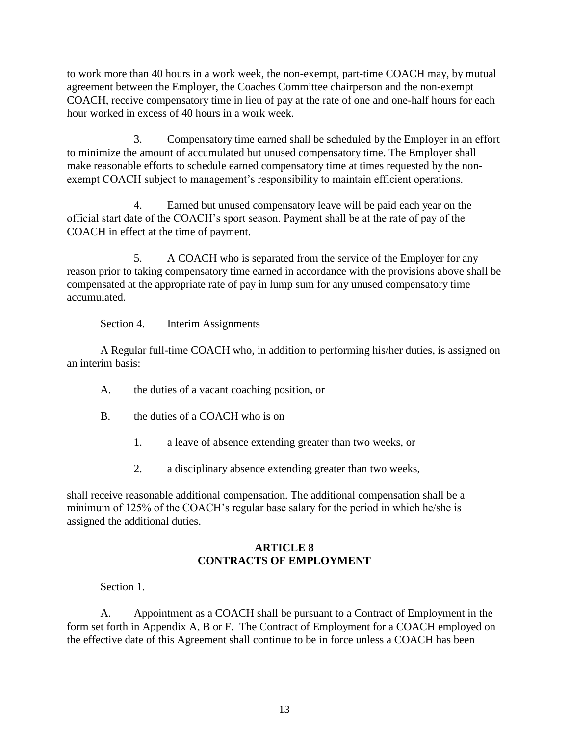to work more than 40 hours in a work week, the non-exempt, part-time COACH may, by mutual agreement between the Employer, the Coaches Committee chairperson and the non-exempt COACH, receive compensatory time in lieu of pay at the rate of one and one-half hours for each hour worked in excess of 40 hours in a work week.

 3. Compensatory time earned shall be scheduled by the Employer in an effort to minimize the amount of accumulated but unused compensatory time. The Employer shall make reasonable efforts to schedule earned compensatory time at times requested by the nonexempt COACH subject to management's responsibility to maintain efficient operations.

 4. Earned but unused compensatory leave will be paid each year on the official start date of the COACH's sport season. Payment shall be at the rate of pay of the COACH in effect at the time of payment.

 5. A COACH who is separated from the service of the Employer for any reason prior to taking compensatory time earned in accordance with the provisions above shall be compensated at the appropriate rate of pay in lump sum for any unused compensatory time accumulated.

Section 4. Interim Assignments

A Regular full-time COACH who, in addition to performing his/her duties, is assigned on an interim basis:

- A. the duties of a vacant coaching position, or
- B. the duties of a COACH who is on
	- 1. a leave of absence extending greater than two weeks, or
	- 2. a disciplinary absence extending greater than two weeks,

shall receive reasonable additional compensation. The additional compensation shall be a minimum of 125% of the COACH's regular base salary for the period in which he/she is assigned the additional duties.

### **ARTICLE 8 CONTRACTS OF EMPLOYMENT**

Section 1.

A. Appointment as a COACH shall be pursuant to a Contract of Employment in the form set forth in Appendix A, B or F. The Contract of Employment for a COACH employed on the effective date of this Agreement shall continue to be in force unless a COACH has been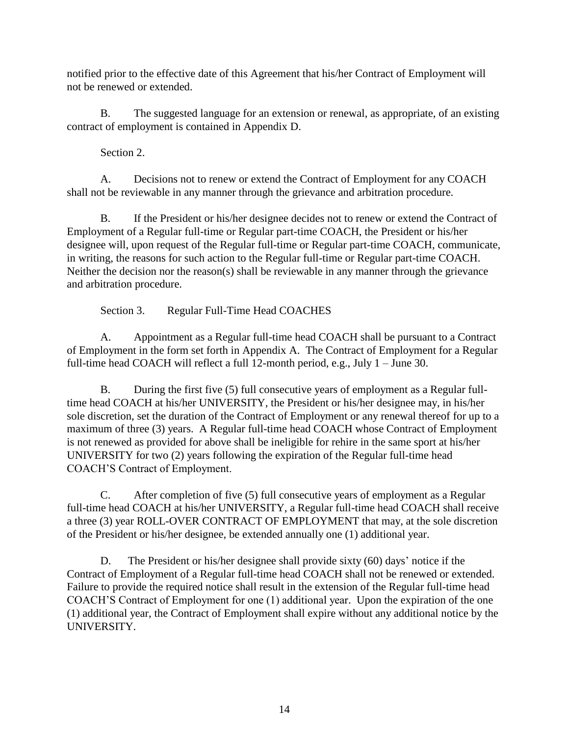notified prior to the effective date of this Agreement that his/her Contract of Employment will not be renewed or extended.

B. The suggested language for an extension or renewal, as appropriate, of an existing contract of employment is contained in Appendix D.

Section 2.

A. Decisions not to renew or extend the Contract of Employment for any COACH shall not be reviewable in any manner through the grievance and arbitration procedure.

B. If the President or his/her designee decides not to renew or extend the Contract of Employment of a Regular full-time or Regular part-time COACH, the President or his/her designee will, upon request of the Regular full-time or Regular part-time COACH, communicate, in writing, the reasons for such action to the Regular full-time or Regular part-time COACH. Neither the decision nor the reason(s) shall be reviewable in any manner through the grievance and arbitration procedure.

Section 3. Regular Full-Time Head COACHES

A. Appointment as a Regular full-time head COACH shall be pursuant to a Contract of Employment in the form set forth in Appendix A. The Contract of Employment for a Regular full-time head COACH will reflect a full 12-month period, e.g., July 1 – June 30.

B. During the first five (5) full consecutive years of employment as a Regular fulltime head COACH at his/her UNIVERSITY, the President or his/her designee may, in his/her sole discretion, set the duration of the Contract of Employment or any renewal thereof for up to a maximum of three (3) years. A Regular full-time head COACH whose Contract of Employment is not renewed as provided for above shall be ineligible for rehire in the same sport at his/her UNIVERSITY for two (2) years following the expiration of the Regular full-time head COACH'S Contract of Employment.

C. After completion of five (5) full consecutive years of employment as a Regular full-time head COACH at his/her UNIVERSITY, a Regular full-time head COACH shall receive a three (3) year ROLL-OVER CONTRACT OF EMPLOYMENT that may, at the sole discretion of the President or his/her designee, be extended annually one (1) additional year.

D. The President or his/her designee shall provide sixty (60) days' notice if the Contract of Employment of a Regular full-time head COACH shall not be renewed or extended. Failure to provide the required notice shall result in the extension of the Regular full-time head COACH'S Contract of Employment for one (1) additional year. Upon the expiration of the one (1) additional year, the Contract of Employment shall expire without any additional notice by the UNIVERSITY.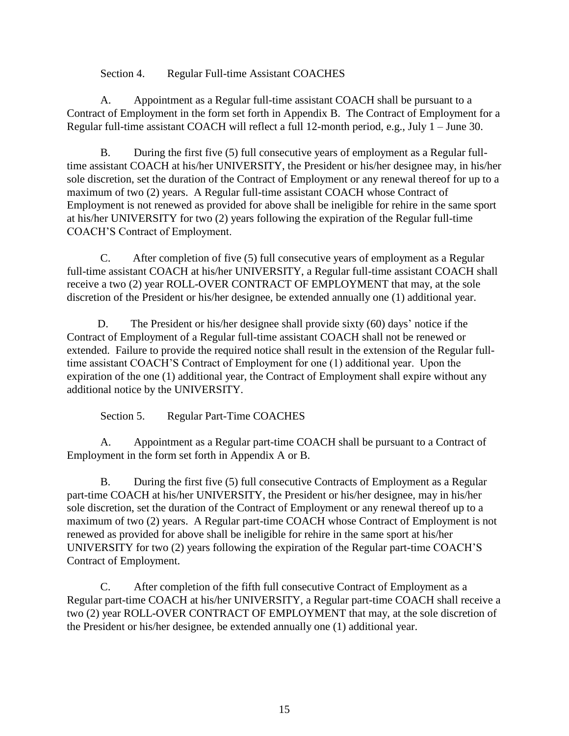Section 4. Regular Full-time Assistant COACHES

A. Appointment as a Regular full-time assistant COACH shall be pursuant to a Contract of Employment in the form set forth in Appendix B. The Contract of Employment for a Regular full-time assistant COACH will reflect a full 12-month period, e.g., July 1 – June 30.

 B. During the first five (5) full consecutive years of employment as a Regular fulltime assistant COACH at his/her UNIVERSITY, the President or his/her designee may, in his/her sole discretion, set the duration of the Contract of Employment or any renewal thereof for up to a maximum of two (2) years. A Regular full-time assistant COACH whose Contract of Employment is not renewed as provided for above shall be ineligible for rehire in the same sport at his/her UNIVERSITY for two (2) years following the expiration of the Regular full-time COACH'S Contract of Employment.

 C. After completion of five (5) full consecutive years of employment as a Regular full-time assistant COACH at his/her UNIVERSITY, a Regular full-time assistant COACH shall receive a two (2) year ROLL-OVER CONTRACT OF EMPLOYMENT that may, at the sole discretion of the President or his/her designee, be extended annually one (1) additional year.

 D. The President or his/her designee shall provide sixty (60) days' notice if the Contract of Employment of a Regular full-time assistant COACH shall not be renewed or extended. Failure to provide the required notice shall result in the extension of the Regular fulltime assistant COACH'S Contract of Employment for one (1) additional year. Upon the expiration of the one (1) additional year, the Contract of Employment shall expire without any additional notice by the UNIVERSITY.

Section 5. Regular Part-Time COACHES

A. Appointment as a Regular part-time COACH shall be pursuant to a Contract of Employment in the form set forth in Appendix A or B.

B. During the first five (5) full consecutive Contracts of Employment as a Regular part-time COACH at his/her UNIVERSITY, the President or his/her designee, may in his/her sole discretion, set the duration of the Contract of Employment or any renewal thereof up to a maximum of two (2) years. A Regular part-time COACH whose Contract of Employment is not renewed as provided for above shall be ineligible for rehire in the same sport at his/her UNIVERSITY for two (2) years following the expiration of the Regular part-time COACH'S Contract of Employment.

C. After completion of the fifth full consecutive Contract of Employment as a Regular part-time COACH at his/her UNIVERSITY, a Regular part-time COACH shall receive a two (2) year ROLL-OVER CONTRACT OF EMPLOYMENT that may, at the sole discretion of the President or his/her designee, be extended annually one (1) additional year.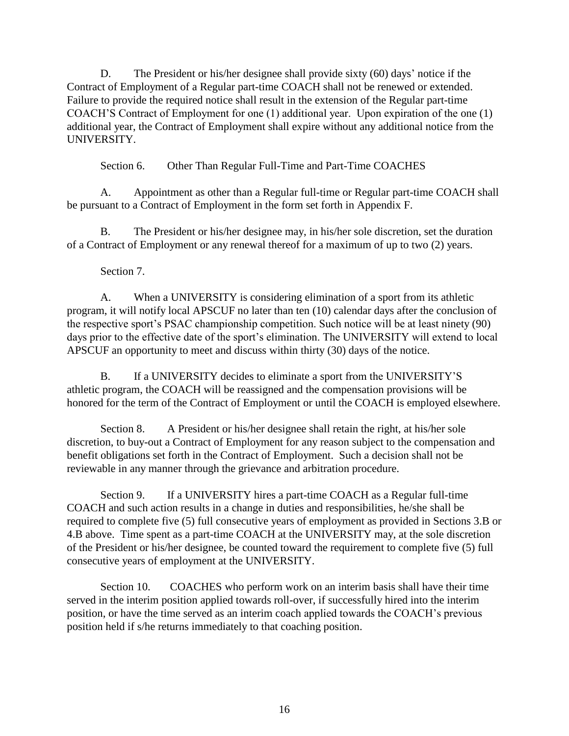D. The President or his/her designee shall provide sixty (60) days' notice if the Contract of Employment of a Regular part-time COACH shall not be renewed or extended. Failure to provide the required notice shall result in the extension of the Regular part-time COACH'S Contract of Employment for one (1) additional year. Upon expiration of the one (1) additional year, the Contract of Employment shall expire without any additional notice from the UNIVERSITY.

Section 6. Other Than Regular Full-Time and Part-Time COACHES

A. Appointment as other than a Regular full-time or Regular part-time COACH shall be pursuant to a Contract of Employment in the form set forth in Appendix F.

B. The President or his/her designee may, in his/her sole discretion, set the duration of a Contract of Employment or any renewal thereof for a maximum of up to two (2) years.

### Section 7.

A. When a UNIVERSITY is considering elimination of a sport from its athletic program, it will notify local APSCUF no later than ten (10) calendar days after the conclusion of the respective sport's PSAC championship competition. Such notice will be at least ninety (90) days prior to the effective date of the sport's elimination. The UNIVERSITY will extend to local APSCUF an opportunity to meet and discuss within thirty (30) days of the notice.

B. If a UNIVERSITY decides to eliminate a sport from the UNIVERSITY'S athletic program, the COACH will be reassigned and the compensation provisions will be honored for the term of the Contract of Employment or until the COACH is employed elsewhere.

Section 8. A President or his/her designee shall retain the right, at his/her sole discretion, to buy-out a Contract of Employment for any reason subject to the compensation and benefit obligations set forth in the Contract of Employment. Such a decision shall not be reviewable in any manner through the grievance and arbitration procedure.

Section 9. If a UNIVERSITY hires a part-time COACH as a Regular full-time COACH and such action results in a change in duties and responsibilities, he/she shall be required to complete five (5) full consecutive years of employment as provided in Sections 3.B or 4.B above. Time spent as a part-time COACH at the UNIVERSITY may, at the sole discretion of the President or his/her designee, be counted toward the requirement to complete five (5) full consecutive years of employment at the UNIVERSITY.

Section 10. COACHES who perform work on an interim basis shall have their time served in the interim position applied towards roll-over, if successfully hired into the interim position, or have the time served as an interim coach applied towards the COACH's previous position held if s/he returns immediately to that coaching position.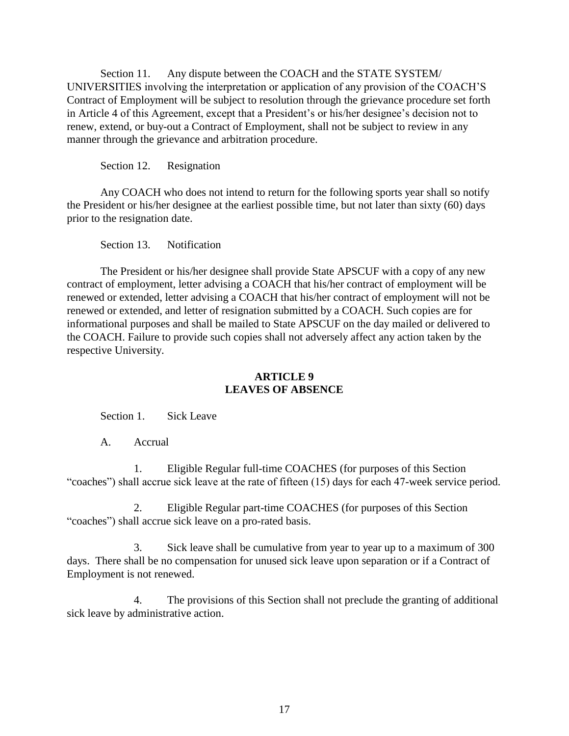Section 11. Any dispute between the COACH and the STATE SYSTEM/ UNIVERSITIES involving the interpretation or application of any provision of the COACH'S Contract of Employment will be subject to resolution through the grievance procedure set forth in Article 4 of this Agreement, except that a President's or his/her designee's decision not to renew, extend, or buy-out a Contract of Employment, shall not be subject to review in any manner through the grievance and arbitration procedure.

Section 12. Resignation

Any COACH who does not intend to return for the following sports year shall so notify the President or his/her designee at the earliest possible time, but not later than sixty (60) days prior to the resignation date.

Section 13. Notification

The President or his/her designee shall provide State APSCUF with a copy of any new contract of employment, letter advising a COACH that his/her contract of employment will be renewed or extended, letter advising a COACH that his/her contract of employment will not be renewed or extended, and letter of resignation submitted by a COACH. Such copies are for informational purposes and shall be mailed to State APSCUF on the day mailed or delivered to the COACH. Failure to provide such copies shall not adversely affect any action taken by the respective University.

### **ARTICLE 9 LEAVES OF ABSENCE**

Section 1. Sick Leave

A. Accrual

1. Eligible Regular full-time COACHES (for purposes of this Section "coaches") shall accrue sick leave at the rate of fifteen (15) days for each 47-week service period.

2. Eligible Regular part-time COACHES (for purposes of this Section "coaches") shall accrue sick leave on a pro-rated basis.

3. Sick leave shall be cumulative from year to year up to a maximum of 300 days. There shall be no compensation for unused sick leave upon separation or if a Contract of Employment is not renewed.

4. The provisions of this Section shall not preclude the granting of additional sick leave by administrative action.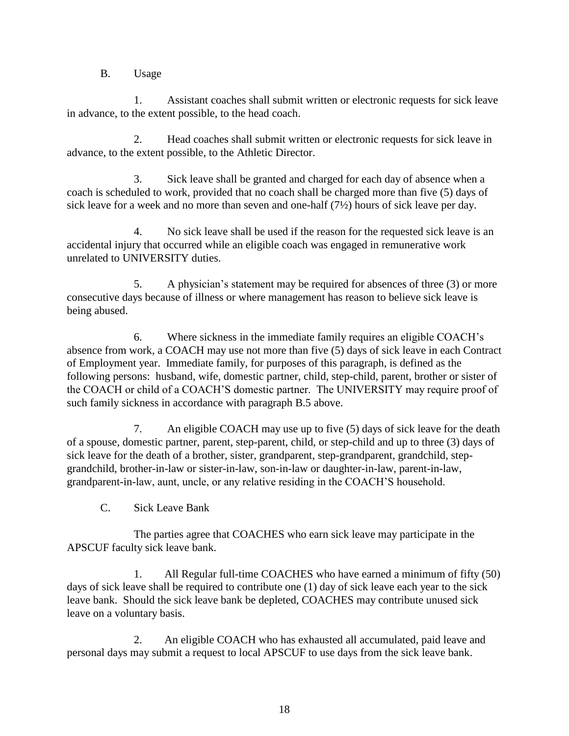B. Usage

1. Assistant coaches shall submit written or electronic requests for sick leave in advance, to the extent possible, to the head coach.

2. Head coaches shall submit written or electronic requests for sick leave in advance, to the extent possible, to the Athletic Director.

3. Sick leave shall be granted and charged for each day of absence when a coach is scheduled to work, provided that no coach shall be charged more than five (5) days of sick leave for a week and no more than seven and one-half (7½) hours of sick leave per day.

4. No sick leave shall be used if the reason for the requested sick leave is an accidental injury that occurred while an eligible coach was engaged in remunerative work unrelated to UNIVERSITY duties.

5. A physician's statement may be required for absences of three (3) or more consecutive days because of illness or where management has reason to believe sick leave is being abused.

6. Where sickness in the immediate family requires an eligible COACH's absence from work, a COACH may use not more than five (5) days of sick leave in each Contract of Employment year. Immediate family, for purposes of this paragraph, is defined as the following persons: husband, wife, domestic partner, child, step-child, parent, brother or sister of the COACH or child of a COACH'S domestic partner. The UNIVERSITY may require proof of such family sickness in accordance with paragraph B.5 above.

7. An eligible COACH may use up to five (5) days of sick leave for the death of a spouse, domestic partner, parent, step-parent, child, or step-child and up to three (3) days of sick leave for the death of a brother, sister, grandparent, step-grandparent, grandchild, stepgrandchild, brother-in-law or sister-in-law, son-in-law or daughter-in-law, parent-in-law, grandparent-in-law, aunt, uncle, or any relative residing in the COACH'S household.

C. Sick Leave Bank

The parties agree that COACHES who earn sick leave may participate in the APSCUF faculty sick leave bank.

1. All Regular full-time COACHES who have earned a minimum of fifty (50) days of sick leave shall be required to contribute one (1) day of sick leave each year to the sick leave bank. Should the sick leave bank be depleted, COACHES may contribute unused sick leave on a voluntary basis.

2. An eligible COACH who has exhausted all accumulated, paid leave and personal days may submit a request to local APSCUF to use days from the sick leave bank.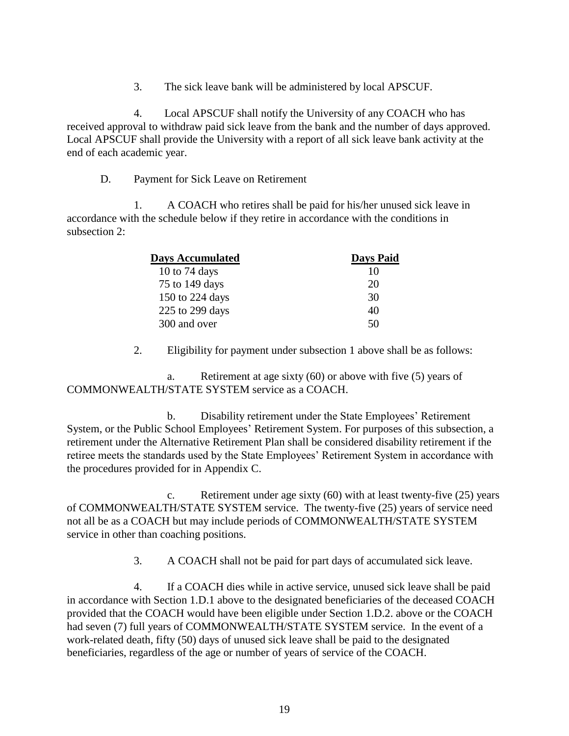3. The sick leave bank will be administered by local APSCUF.

4. Local APSCUF shall notify the University of any COACH who has received approval to withdraw paid sick leave from the bank and the number of days approved. Local APSCUF shall provide the University with a report of all sick leave bank activity at the end of each academic year.

D. Payment for Sick Leave on Retirement

1. A COACH who retires shall be paid for his/her unused sick leave in accordance with the schedule below if they retire in accordance with the conditions in subsection 2:

| <b>Days Accumulated</b> | <b>Days Paid</b> |  |
|-------------------------|------------------|--|
| 10 to 74 days           | 10               |  |
| 75 to 149 days          | 20               |  |
| 150 to 224 days         | 30               |  |
| 225 to 299 days         | 40               |  |
| 300 and over            | 50               |  |

2. Eligibility for payment under subsection 1 above shall be as follows:

a. Retirement at age sixty (60) or above with five (5) years of COMMONWEALTH/STATE SYSTEM service as a COACH.

b. Disability retirement under the State Employees' Retirement System, or the Public School Employees' Retirement System. For purposes of this subsection, a retirement under the Alternative Retirement Plan shall be considered disability retirement if the retiree meets the standards used by the State Employees' Retirement System in accordance with the procedures provided for in Appendix C.

c. Retirement under age sixty (60) with at least twenty-five (25) years of COMMONWEALTH/STATE SYSTEM service. The twenty-five (25) years of service need not all be as a COACH but may include periods of COMMONWEALTH/STATE SYSTEM service in other than coaching positions.

3. A COACH shall not be paid for part days of accumulated sick leave.

4. If a COACH dies while in active service, unused sick leave shall be paid in accordance with Section 1.D.1 above to the designated beneficiaries of the deceased COACH provided that the COACH would have been eligible under Section 1.D.2. above or the COACH had seven (7) full years of COMMONWEALTH/STATE SYSTEM service. In the event of a work-related death, fifty (50) days of unused sick leave shall be paid to the designated beneficiaries, regardless of the age or number of years of service of the COACH.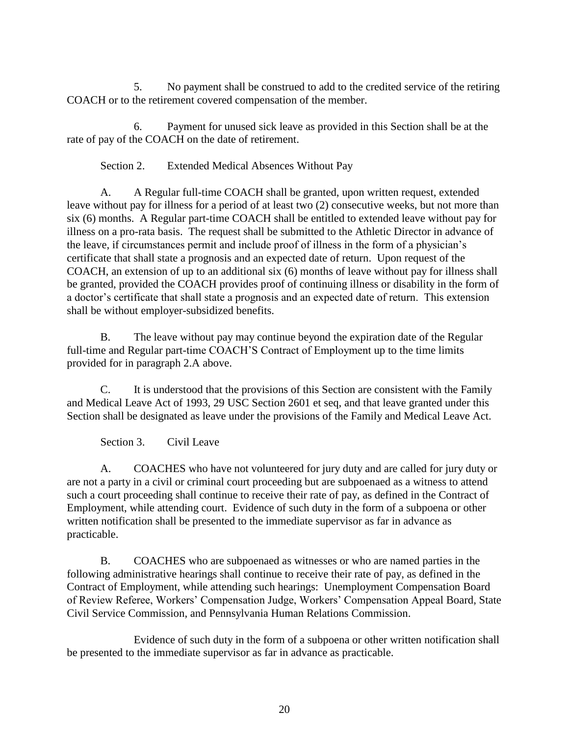5. No payment shall be construed to add to the credited service of the retiring COACH or to the retirement covered compensation of the member.

6. Payment for unused sick leave as provided in this Section shall be at the rate of pay of the COACH on the date of retirement.

Section 2. Extended Medical Absences Without Pay

A. A Regular full-time COACH shall be granted, upon written request, extended leave without pay for illness for a period of at least two (2) consecutive weeks, but not more than six (6) months. A Regular part-time COACH shall be entitled to extended leave without pay for illness on a pro-rata basis. The request shall be submitted to the Athletic Director in advance of the leave, if circumstances permit and include proof of illness in the form of a physician's certificate that shall state a prognosis and an expected date of return. Upon request of the COACH, an extension of up to an additional six (6) months of leave without pay for illness shall be granted, provided the COACH provides proof of continuing illness or disability in the form of a doctor's certificate that shall state a prognosis and an expected date of return. This extension shall be without employer-subsidized benefits.

B. The leave without pay may continue beyond the expiration date of the Regular full-time and Regular part-time COACH'S Contract of Employment up to the time limits provided for in paragraph 2.A above.

C. It is understood that the provisions of this Section are consistent with the Family and Medical Leave Act of 1993, 29 USC Section 2601 et seq, and that leave granted under this Section shall be designated as leave under the provisions of the Family and Medical Leave Act.

Section 3. Civil Leave

A. COACHES who have not volunteered for jury duty and are called for jury duty or are not a party in a civil or criminal court proceeding but are subpoenaed as a witness to attend such a court proceeding shall continue to receive their rate of pay, as defined in the Contract of Employment, while attending court. Evidence of such duty in the form of a subpoena or other written notification shall be presented to the immediate supervisor as far in advance as practicable.

B. COACHES who are subpoenaed as witnesses or who are named parties in the following administrative hearings shall continue to receive their rate of pay, as defined in the Contract of Employment, while attending such hearings: Unemployment Compensation Board of Review Referee, Workers' Compensation Judge, Workers' Compensation Appeal Board, State Civil Service Commission, and Pennsylvania Human Relations Commission.

Evidence of such duty in the form of a subpoena or other written notification shall be presented to the immediate supervisor as far in advance as practicable.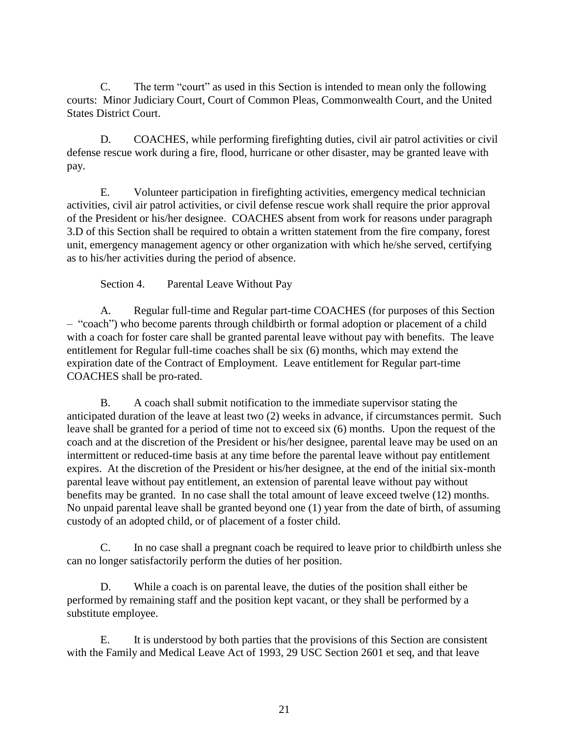C. The term "court" as used in this Section is intended to mean only the following courts: Minor Judiciary Court, Court of Common Pleas, Commonwealth Court, and the United States District Court.

D. COACHES, while performing firefighting duties, civil air patrol activities or civil defense rescue work during a fire, flood, hurricane or other disaster, may be granted leave with pay.

E. Volunteer participation in firefighting activities, emergency medical technician activities, civil air patrol activities, or civil defense rescue work shall require the prior approval of the President or his/her designee. COACHES absent from work for reasons under paragraph 3.D of this Section shall be required to obtain a written statement from the fire company, forest unit, emergency management agency or other organization with which he/she served, certifying as to his/her activities during the period of absence.

Section 4. Parental Leave Without Pay

A. Regular full-time and Regular part-time COACHES (for purposes of this Section – "coach") who become parents through childbirth or formal adoption or placement of a child with a coach for foster care shall be granted parental leave without pay with benefits. The leave entitlement for Regular full-time coaches shall be six (6) months, which may extend the expiration date of the Contract of Employment. Leave entitlement for Regular part-time COACHES shall be pro-rated.

B. A coach shall submit notification to the immediate supervisor stating the anticipated duration of the leave at least two (2) weeks in advance, if circumstances permit. Such leave shall be granted for a period of time not to exceed six (6) months. Upon the request of the coach and at the discretion of the President or his/her designee, parental leave may be used on an intermittent or reduced-time basis at any time before the parental leave without pay entitlement expires. At the discretion of the President or his/her designee, at the end of the initial six-month parental leave without pay entitlement, an extension of parental leave without pay without benefits may be granted. In no case shall the total amount of leave exceed twelve (12) months. No unpaid parental leave shall be granted beyond one (1) year from the date of birth, of assuming custody of an adopted child, or of placement of a foster child.

C. In no case shall a pregnant coach be required to leave prior to childbirth unless she can no longer satisfactorily perform the duties of her position.

D. While a coach is on parental leave, the duties of the position shall either be performed by remaining staff and the position kept vacant, or they shall be performed by a substitute employee.

E. It is understood by both parties that the provisions of this Section are consistent with the Family and Medical Leave Act of 1993, 29 USC Section 2601 et seq, and that leave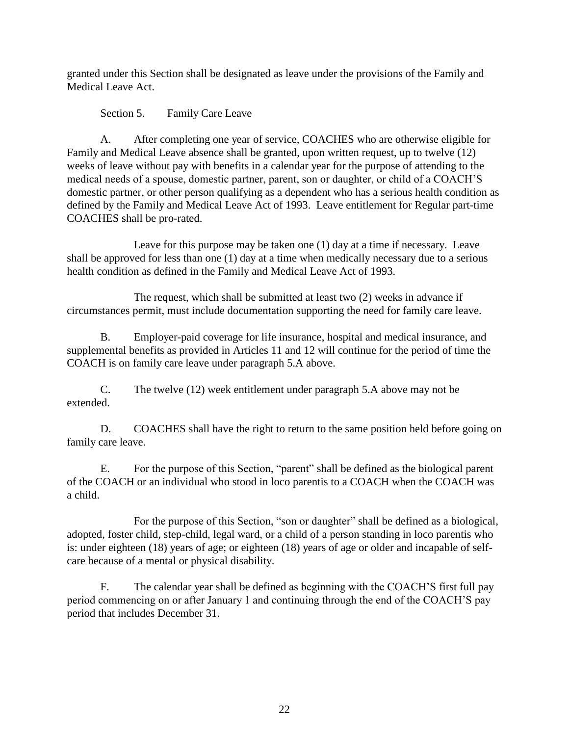granted under this Section shall be designated as leave under the provisions of the Family and Medical Leave Act.

Section 5. Family Care Leave

A. After completing one year of service, COACHES who are otherwise eligible for Family and Medical Leave absence shall be granted, upon written request, up to twelve (12) weeks of leave without pay with benefits in a calendar year for the purpose of attending to the medical needs of a spouse, domestic partner, parent, son or daughter, or child of a COACH'S domestic partner, or other person qualifying as a dependent who has a serious health condition as defined by the Family and Medical Leave Act of 1993. Leave entitlement for Regular part-time COACHES shall be pro-rated.

Leave for this purpose may be taken one (1) day at a time if necessary. Leave shall be approved for less than one (1) day at a time when medically necessary due to a serious health condition as defined in the Family and Medical Leave Act of 1993.

The request, which shall be submitted at least two (2) weeks in advance if circumstances permit, must include documentation supporting the need for family care leave.

B. Employer-paid coverage for life insurance, hospital and medical insurance, and supplemental benefits as provided in Articles 11 and 12 will continue for the period of time the COACH is on family care leave under paragraph 5.A above.

C. The twelve (12) week entitlement under paragraph 5.A above may not be extended.

D. COACHES shall have the right to return to the same position held before going on family care leave.

E. For the purpose of this Section, "parent" shall be defined as the biological parent of the COACH or an individual who stood in loco parentis to a COACH when the COACH was a child.

For the purpose of this Section, "son or daughter" shall be defined as a biological, adopted, foster child, step-child, legal ward, or a child of a person standing in loco parentis who is: under eighteen (18) years of age; or eighteen (18) years of age or older and incapable of selfcare because of a mental or physical disability.

F. The calendar year shall be defined as beginning with the COACH'S first full pay period commencing on or after January 1 and continuing through the end of the COACH'S pay period that includes December 31.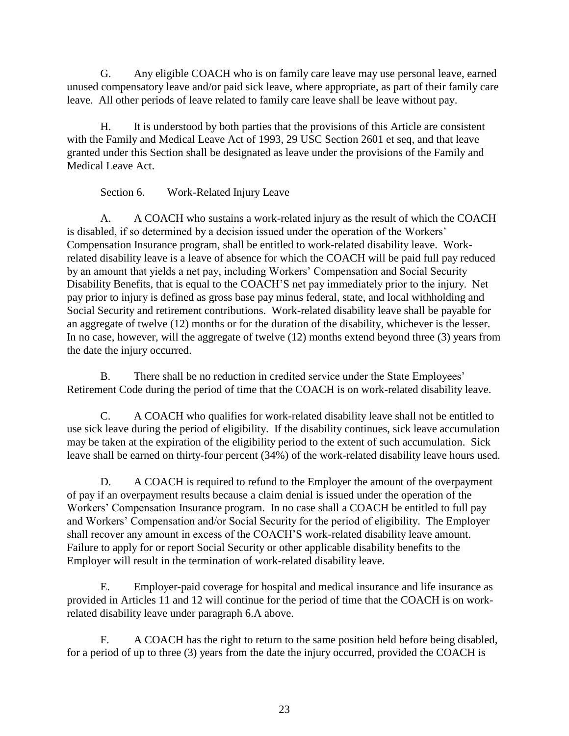G. Any eligible COACH who is on family care leave may use personal leave, earned unused compensatory leave and/or paid sick leave, where appropriate, as part of their family care leave. All other periods of leave related to family care leave shall be leave without pay.

H. It is understood by both parties that the provisions of this Article are consistent with the Family and Medical Leave Act of 1993, 29 USC Section 2601 et seq, and that leave granted under this Section shall be designated as leave under the provisions of the Family and Medical Leave Act.

Section 6. Work-Related Injury Leave

A. A COACH who sustains a work-related injury as the result of which the COACH is disabled, if so determined by a decision issued under the operation of the Workers' Compensation Insurance program, shall be entitled to work-related disability leave. Workrelated disability leave is a leave of absence for which the COACH will be paid full pay reduced by an amount that yields a net pay, including Workers' Compensation and Social Security Disability Benefits, that is equal to the COACH'S net pay immediately prior to the injury. Net pay prior to injury is defined as gross base pay minus federal, state, and local withholding and Social Security and retirement contributions. Work-related disability leave shall be payable for an aggregate of twelve (12) months or for the duration of the disability, whichever is the lesser. In no case, however, will the aggregate of twelve (12) months extend beyond three (3) years from the date the injury occurred.

B. There shall be no reduction in credited service under the State Employees' Retirement Code during the period of time that the COACH is on work-related disability leave.

C. A COACH who qualifies for work-related disability leave shall not be entitled to use sick leave during the period of eligibility. If the disability continues, sick leave accumulation may be taken at the expiration of the eligibility period to the extent of such accumulation. Sick leave shall be earned on thirty-four percent (34%) of the work-related disability leave hours used.

D. A COACH is required to refund to the Employer the amount of the overpayment of pay if an overpayment results because a claim denial is issued under the operation of the Workers' Compensation Insurance program. In no case shall a COACH be entitled to full pay and Workers' Compensation and/or Social Security for the period of eligibility. The Employer shall recover any amount in excess of the COACH'S work-related disability leave amount. Failure to apply for or report Social Security or other applicable disability benefits to the Employer will result in the termination of work-related disability leave.

E. Employer-paid coverage for hospital and medical insurance and life insurance as provided in Articles 11 and 12 will continue for the period of time that the COACH is on workrelated disability leave under paragraph 6.A above.

F. A COACH has the right to return to the same position held before being disabled, for a period of up to three (3) years from the date the injury occurred, provided the COACH is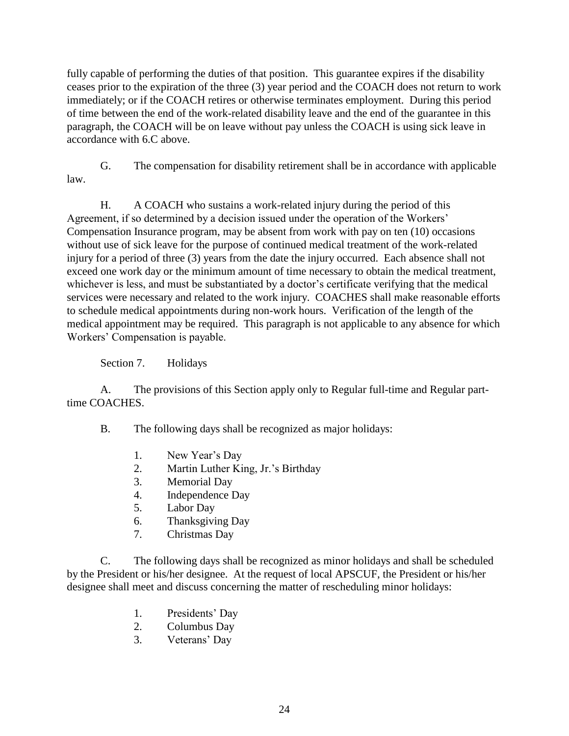fully capable of performing the duties of that position. This guarantee expires if the disability ceases prior to the expiration of the three (3) year period and the COACH does not return to work immediately; or if the COACH retires or otherwise terminates employment. During this period of time between the end of the work-related disability leave and the end of the guarantee in this paragraph, the COACH will be on leave without pay unless the COACH is using sick leave in accordance with 6.C above.

G. The compensation for disability retirement shall be in accordance with applicable law.

H. A COACH who sustains a work-related injury during the period of this Agreement, if so determined by a decision issued under the operation of the Workers' Compensation Insurance program, may be absent from work with pay on ten (10) occasions without use of sick leave for the purpose of continued medical treatment of the work-related injury for a period of three (3) years from the date the injury occurred. Each absence shall not exceed one work day or the minimum amount of time necessary to obtain the medical treatment, whichever is less, and must be substantiated by a doctor's certificate verifying that the medical services were necessary and related to the work injury. COACHES shall make reasonable efforts to schedule medical appointments during non-work hours. Verification of the length of the medical appointment may be required. This paragraph is not applicable to any absence for which Workers' Compensation is payable.

Section 7. Holidays

A. The provisions of this Section apply only to Regular full-time and Regular parttime COACHES.

B. The following days shall be recognized as major holidays:

- 1. New Year's Day
- 2. Martin Luther King, Jr.'s Birthday
- 3. Memorial Day
- 4. Independence Day
- 5. Labor Day
- 6. Thanksgiving Day
- 7. Christmas Day

C. The following days shall be recognized as minor holidays and shall be scheduled by the President or his/her designee. At the request of local APSCUF, the President or his/her designee shall meet and discuss concerning the matter of rescheduling minor holidays:

- 1. Presidents' Day
- 2. Columbus Day
- 3. Veterans' Day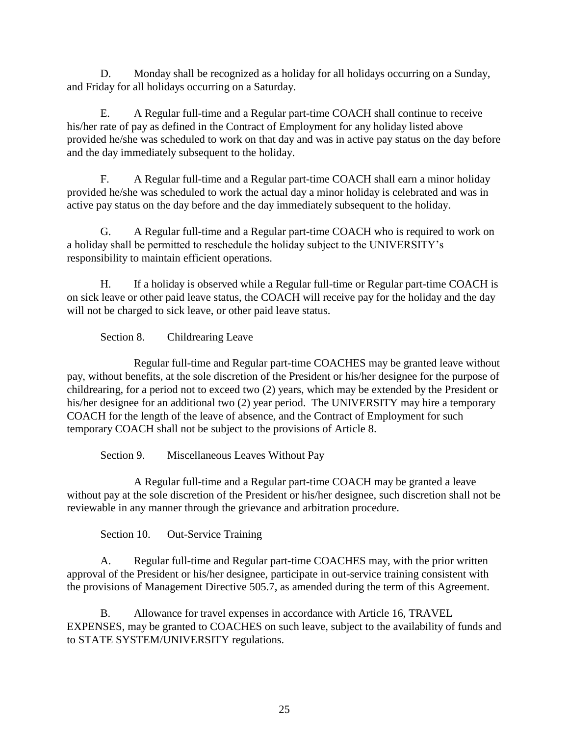D. Monday shall be recognized as a holiday for all holidays occurring on a Sunday, and Friday for all holidays occurring on a Saturday.

E. A Regular full-time and a Regular part-time COACH shall continue to receive his/her rate of pay as defined in the Contract of Employment for any holiday listed above provided he/she was scheduled to work on that day and was in active pay status on the day before and the day immediately subsequent to the holiday.

F. A Regular full-time and a Regular part-time COACH shall earn a minor holiday provided he/she was scheduled to work the actual day a minor holiday is celebrated and was in active pay status on the day before and the day immediately subsequent to the holiday.

G. A Regular full-time and a Regular part-time COACH who is required to work on a holiday shall be permitted to reschedule the holiday subject to the UNIVERSITY's responsibility to maintain efficient operations.

H. If a holiday is observed while a Regular full-time or Regular part-time COACH is on sick leave or other paid leave status, the COACH will receive pay for the holiday and the day will not be charged to sick leave, or other paid leave status.

Section 8. Childrearing Leave

Regular full-time and Regular part-time COACHES may be granted leave without pay, without benefits, at the sole discretion of the President or his/her designee for the purpose of childrearing, for a period not to exceed two (2) years, which may be extended by the President or his/her designee for an additional two (2) year period. The UNIVERSITY may hire a temporary COACH for the length of the leave of absence, and the Contract of Employment for such temporary COACH shall not be subject to the provisions of Article 8.

Section 9. Miscellaneous Leaves Without Pay

 A Regular full-time and a Regular part-time COACH may be granted a leave without pay at the sole discretion of the President or his/her designee, such discretion shall not be reviewable in any manner through the grievance and arbitration procedure.

Section 10. Out-Service Training

A. Regular full-time and Regular part-time COACHES may, with the prior written approval of the President or his/her designee, participate in out-service training consistent with the provisions of Management Directive 505.7, as amended during the term of this Agreement.

B. Allowance for travel expenses in accordance with Article 16, TRAVEL EXPENSES, may be granted to COACHES on such leave, subject to the availability of funds and to STATE SYSTEM/UNIVERSITY regulations.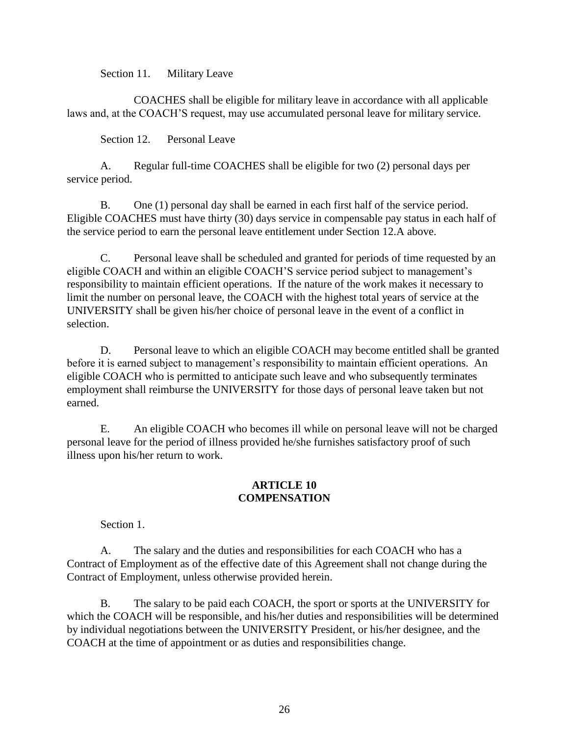Section 11. Military Leave

COACHES shall be eligible for military leave in accordance with all applicable laws and, at the COACH'S request, may use accumulated personal leave for military service.

Section 12. Personal Leave

A. Regular full-time COACHES shall be eligible for two (2) personal days per service period.

B. One (1) personal day shall be earned in each first half of the service period. Eligible COACHES must have thirty (30) days service in compensable pay status in each half of the service period to earn the personal leave entitlement under Section 12.A above.

C. Personal leave shall be scheduled and granted for periods of time requested by an eligible COACH and within an eligible COACH'S service period subject to management's responsibility to maintain efficient operations. If the nature of the work makes it necessary to limit the number on personal leave, the COACH with the highest total years of service at the UNIVERSITY shall be given his/her choice of personal leave in the event of a conflict in selection.

D. Personal leave to which an eligible COACH may become entitled shall be granted before it is earned subject to management's responsibility to maintain efficient operations. An eligible COACH who is permitted to anticipate such leave and who subsequently terminates employment shall reimburse the UNIVERSITY for those days of personal leave taken but not earned.

E. An eligible COACH who becomes ill while on personal leave will not be charged personal leave for the period of illness provided he/she furnishes satisfactory proof of such illness upon his/her return to work.

### **ARTICLE 10 COMPENSATION**

Section 1.

A. The salary and the duties and responsibilities for each COACH who has a Contract of Employment as of the effective date of this Agreement shall not change during the Contract of Employment, unless otherwise provided herein.

B. The salary to be paid each COACH, the sport or sports at the UNIVERSITY for which the COACH will be responsible, and his/her duties and responsibilities will be determined by individual negotiations between the UNIVERSITY President, or his/her designee, and the COACH at the time of appointment or as duties and responsibilities change.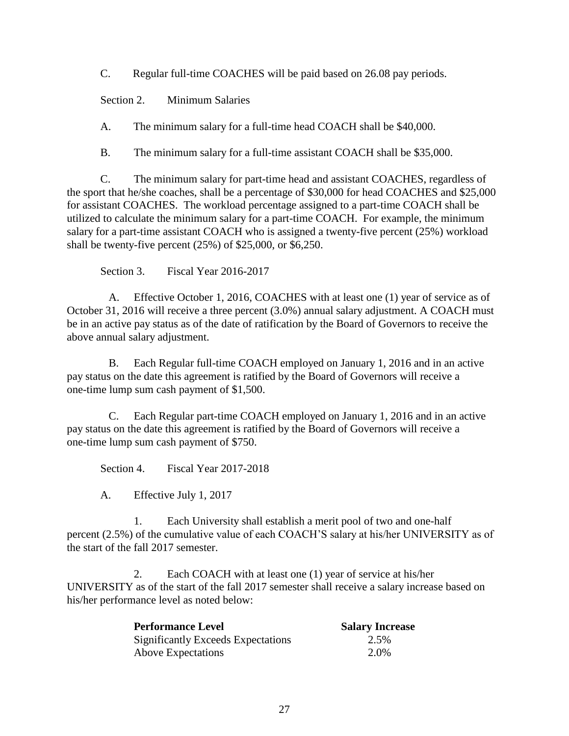C. Regular full-time COACHES will be paid based on 26.08 pay periods.

Section 2. Minimum Salaries

A. The minimum salary for a full-time head COACH shall be \$40,000.

B. The minimum salary for a full-time assistant COACH shall be \$35,000.

C. The minimum salary for part-time head and assistant COACHES, regardless of the sport that he/she coaches, shall be a percentage of \$30,000 for head COACHES and \$25,000 for assistant COACHES. The workload percentage assigned to a part-time COACH shall be utilized to calculate the minimum salary for a part-time COACH. For example, the minimum salary for a part-time assistant COACH who is assigned a twenty-five percent (25%) workload shall be twenty-five percent (25%) of \$25,000, or \$6,250.

Section 3. Fiscal Year 2016-2017

A. Effective October 1, 2016, COACHES with at least one (1) year of service as of October 31, 2016 will receive a three percent (3.0%) annual salary adjustment. A COACH must be in an active pay status as of the date of ratification by the Board of Governors to receive the above annual salary adjustment.

B. Each Regular full-time COACH employed on January 1, 2016 and in an active pay status on the date this agreement is ratified by the Board of Governors will receive a one-time lump sum cash payment of \$1,500.

C. Each Regular part-time COACH employed on January 1, 2016 and in an active pay status on the date this agreement is ratified by the Board of Governors will receive a one-time lump sum cash payment of \$750.

Section 4. Fiscal Year 2017-2018

A. Effective July 1, 2017

1. Each University shall establish a merit pool of two and one-half percent (2.5%) of the cumulative value of each COACH'S salary at his/her UNIVERSITY as of the start of the fall 2017 semester.

2. Each COACH with at least one (1) year of service at his/her UNIVERSITY as of the start of the fall 2017 semester shall receive a salary increase based on his/her performance level as noted below:

| <b>Performance Level</b>                  | <b>Salary Increase</b> |
|-------------------------------------------|------------------------|
| <b>Significantly Exceeds Expectations</b> | 2.5%                   |
| <b>Above Expectations</b>                 | 2.0%                   |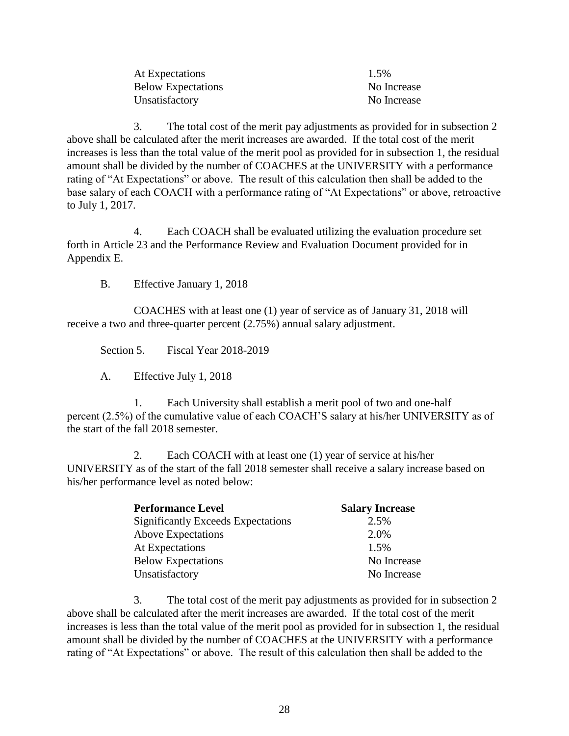| At Expectations           | 1.5%        |
|---------------------------|-------------|
| <b>Below Expectations</b> | No Increase |
| Unsatisfactory            | No Increase |

3. The total cost of the merit pay adjustments as provided for in subsection 2 above shall be calculated after the merit increases are awarded. If the total cost of the merit increases is less than the total value of the merit pool as provided for in subsection 1, the residual amount shall be divided by the number of COACHES at the UNIVERSITY with a performance rating of "At Expectations" or above. The result of this calculation then shall be added to the base salary of each COACH with a performance rating of "At Expectations" or above, retroactive to July 1, 2017.

4. Each COACH shall be evaluated utilizing the evaluation procedure set forth in Article 23 and the Performance Review and Evaluation Document provided for in Appendix E.

B. Effective January 1, 2018

COACHES with at least one (1) year of service as of January 31, 2018 will receive a two and three-quarter percent (2.75%) annual salary adjustment.

Section 5. Fiscal Year 2018-2019

A. Effective July 1, 2018

1. Each University shall establish a merit pool of two and one-half percent (2.5%) of the cumulative value of each COACH'S salary at his/her UNIVERSITY as of the start of the fall 2018 semester.

2. Each COACH with at least one (1) year of service at his/her UNIVERSITY as of the start of the fall 2018 semester shall receive a salary increase based on his/her performance level as noted below:

| <b>Performance Level</b>                  | <b>Salary Increase</b> |
|-------------------------------------------|------------------------|
| <b>Significantly Exceeds Expectations</b> | 2.5%                   |
| <b>Above Expectations</b>                 | 2.0%                   |
| At Expectations                           | 1.5%                   |
| <b>Below Expectations</b>                 | No Increase            |
| Unsatisfactory                            | No Increase            |

3. The total cost of the merit pay adjustments as provided for in subsection 2 above shall be calculated after the merit increases are awarded. If the total cost of the merit increases is less than the total value of the merit pool as provided for in subsection 1, the residual amount shall be divided by the number of COACHES at the UNIVERSITY with a performance rating of "At Expectations" or above. The result of this calculation then shall be added to the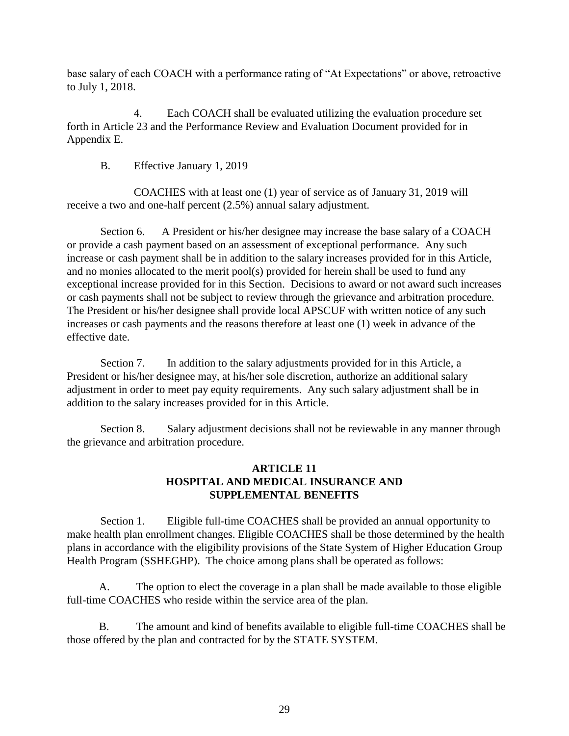base salary of each COACH with a performance rating of "At Expectations" or above, retroactive to July 1, 2018.

4. Each COACH shall be evaluated utilizing the evaluation procedure set forth in Article 23 and the Performance Review and Evaluation Document provided for in Appendix E.

B. Effective January 1, 2019

COACHES with at least one (1) year of service as of January 31, 2019 will receive a two and one-half percent (2.5%) annual salary adjustment.

Section 6. A President or his/her designee may increase the base salary of a COACH or provide a cash payment based on an assessment of exceptional performance. Any such increase or cash payment shall be in addition to the salary increases provided for in this Article, and no monies allocated to the merit pool(s) provided for herein shall be used to fund any exceptional increase provided for in this Section. Decisions to award or not award such increases or cash payments shall not be subject to review through the grievance and arbitration procedure. The President or his/her designee shall provide local APSCUF with written notice of any such increases or cash payments and the reasons therefore at least one (1) week in advance of the effective date.

Section 7. In addition to the salary adjustments provided for in this Article, a President or his/her designee may, at his/her sole discretion, authorize an additional salary adjustment in order to meet pay equity requirements.Any such salary adjustment shall be in addition to the salary increases provided for in this Article.

Section 8. Salary adjustment decisions shall not be reviewable in any manner through the grievance and arbitration procedure.

## **ARTICLE 11 HOSPITAL AND MEDICAL INSURANCE AND SUPPLEMENTAL BENEFITS**

Section 1. Eligible full-time COACHES shall be provided an annual opportunity to make health plan enrollment changes. Eligible COACHES shall be those determined by the health plans in accordance with the eligibility provisions of the State System of Higher Education Group Health Program (SSHEGHP). The choice among plans shall be operated as follows:

A. The option to elect the coverage in a plan shall be made available to those eligible full-time COACHES who reside within the service area of the plan.

B. The amount and kind of benefits available to eligible full-time COACHES shall be those offered by the plan and contracted for by the STATE SYSTEM.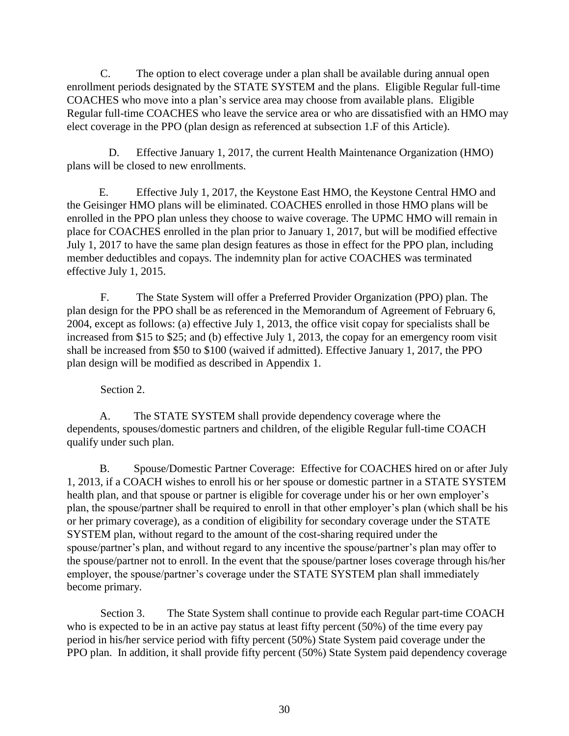C. The option to elect coverage under a plan shall be available during annual open enrollment periods designated by the STATE SYSTEM and the plans. Eligible Regular full-time COACHES who move into a plan's service area may choose from available plans. Eligible Regular full-time COACHES who leave the service area or who are dissatisfied with an HMO may elect coverage in the PPO (plan design as referenced at subsection 1.F of this Article).

D. Effective January 1, 2017, the current Health Maintenance Organization (HMO) plans will be closed to new enrollments.

E. Effective July 1, 2017, the Keystone East HMO, the Keystone Central HMO and the Geisinger HMO plans will be eliminated. COACHES enrolled in those HMO plans will be enrolled in the PPO plan unless they choose to waive coverage. The UPMC HMO will remain in place for COACHES enrolled in the plan prior to January 1, 2017, but will be modified effective July 1, 2017 to have the same plan design features as those in effect for the PPO plan, including member deductibles and copays. The indemnity plan for active COACHES was terminated effective July 1, 2015.

 F. The State System will offer a Preferred Provider Organization (PPO) plan. The plan design for the PPO shall be as referenced in the Memorandum of Agreement of February 6, 2004, except as follows: (a) effective July 1, 2013, the office visit copay for specialists shall be increased from \$15 to \$25; and (b) effective July 1, 2013, the copay for an emergency room visit shall be increased from \$50 to \$100 (waived if admitted). Effective January 1, 2017, the PPO plan design will be modified as described in Appendix 1.

Section 2.

A. The STATE SYSTEM shall provide dependency coverage where the dependents, spouses/domestic partners and children, of the eligible Regular full-time COACH qualify under such plan.

B. Spouse/Domestic Partner Coverage: Effective for COACHES hired on or after July 1, 2013, if a COACH wishes to enroll his or her spouse or domestic partner in a STATE SYSTEM health plan, and that spouse or partner is eligible for coverage under his or her own employer's plan, the spouse/partner shall be required to enroll in that other employer's plan (which shall be his or her primary coverage), as a condition of eligibility for secondary coverage under the STATE SYSTEM plan, without regard to the amount of the cost-sharing required under the spouse/partner's plan, and without regard to any incentive the spouse/partner's plan may offer to the spouse/partner not to enroll. In the event that the spouse/partner loses coverage through his/her employer, the spouse/partner's coverage under the STATE SYSTEM plan shall immediately become primary.

Section 3. The State System shall continue to provide each Regular part-time COACH who is expected to be in an active pay status at least fifty percent (50%) of the time every pay period in his/her service period with fifty percent (50%) State System paid coverage under the PPO plan. In addition, it shall provide fifty percent (50%) State System paid dependency coverage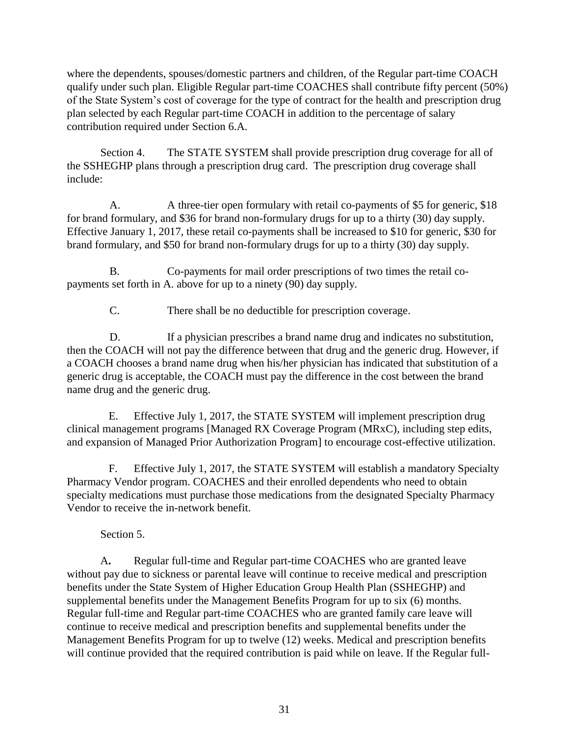where the dependents, spouses/domestic partners and children, of the Regular part-time COACH qualify under such plan. Eligible Regular part-time COACHES shall contribute fifty percent (50%) of the State System's cost of coverage for the type of contract for the health and prescription drug plan selected by each Regular part-time COACH in addition to the percentage of salary contribution required under Section 6.A.

Section 4. The STATE SYSTEM shall provide prescription drug coverage for all of the SSHEGHP plans through a prescription drug card. The prescription drug coverage shall include:

A. A three-tier open formulary with retail co-payments of \$5 for generic, \$18 for brand formulary, and \$36 for brand non-formulary drugs for up to a thirty (30) day supply. Effective January 1, 2017, these retail co-payments shall be increased to \$10 for generic, \$30 for brand formulary, and \$50 for brand non-formulary drugs for up to a thirty (30) day supply.

B. Co-payments for mail order prescriptions of two times the retail copayments set forth in A. above for up to a ninety (90) day supply.

C. There shall be no deductible for prescription coverage.

D. If a physician prescribes a brand name drug and indicates no substitution, then the COACH will not pay the difference between that drug and the generic drug. However, if a COACH chooses a brand name drug when his/her physician has indicated that substitution of a generic drug is acceptable, the COACH must pay the difference in the cost between the brand name drug and the generic drug.

E. Effective July 1, 2017, the STATE SYSTEM will implement prescription drug clinical management programs [Managed RX Coverage Program (MRxC), including step edits, and expansion of Managed Prior Authorization Program] to encourage cost-effective utilization.

F. Effective July 1, 2017, the STATE SYSTEM will establish a mandatory Specialty Pharmacy Vendor program. COACHES and their enrolled dependents who need to obtain specialty medications must purchase those medications from the designated Specialty Pharmacy Vendor to receive the in-network benefit.

Section 5.

A**.** Regular full-time and Regular part-time COACHES who are granted leave without pay due to sickness or parental leave will continue to receive medical and prescription benefits under the State System of Higher Education Group Health Plan (SSHEGHP) and supplemental benefits under the Management Benefits Program for up to six (6) months. Regular full-time and Regular part-time COACHES who are granted family care leave will continue to receive medical and prescription benefits and supplemental benefits under the Management Benefits Program for up to twelve (12) weeks. Medical and prescription benefits will continue provided that the required contribution is paid while on leave. If the Regular full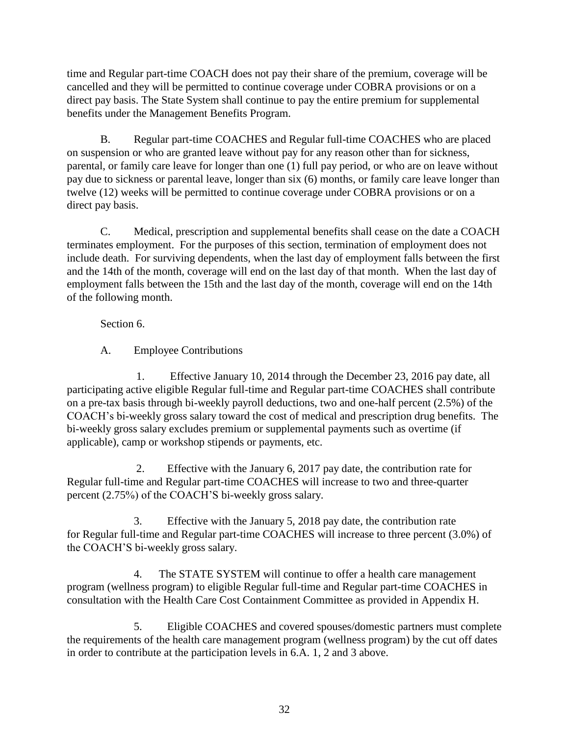time and Regular part-time COACH does not pay their share of the premium, coverage will be cancelled and they will be permitted to continue coverage under COBRA provisions or on a direct pay basis. The State System shall continue to pay the entire premium for supplemental benefits under the Management Benefits Program.

B. Regular part-time COACHES and Regular full-time COACHES who are placed on suspension or who are granted leave without pay for any reason other than for sickness, parental, or family care leave for longer than one (1) full pay period, or who are on leave without pay due to sickness or parental leave, longer than six (6) months, or family care leave longer than twelve (12) weeks will be permitted to continue coverage under COBRA provisions or on a direct pay basis.

C. Medical, prescription and supplemental benefits shall cease on the date a COACH terminates employment. For the purposes of this section, termination of employment does not include death. For surviving dependents, when the last day of employment falls between the first and the 14th of the month, coverage will end on the last day of that month. When the last day of employment falls between the 15th and the last day of the month, coverage will end on the 14th of the following month.

Section 6.

A. Employee Contributions

1. Effective January 10, 2014 through the December 23, 2016 pay date, all participating active eligible Regular full-time and Regular part-time COACHES shall contribute on a pre-tax basis through bi-weekly payroll deductions, two and one-half percent (2.5%) of the COACH's bi-weekly gross salary toward the cost of medical and prescription drug benefits. The bi-weekly gross salary excludes premium or supplemental payments such as overtime (if applicable), camp or workshop stipends or payments, etc.

2. Effective with the January 6, 2017 pay date, the contribution rate for Regular full-time and Regular part-time COACHES will increase to two and three-quarter percent (2.75%) of the COACH'S bi-weekly gross salary.

3. Effective with the January 5, 2018 pay date, the contribution rate for Regular full-time and Regular part-time COACHES will increase to three percent (3.0%) of the COACH'S bi-weekly gross salary.

4. The STATE SYSTEM will continue to offer a health care management program (wellness program) to eligible Regular full-time and Regular part-time COACHES in consultation with the Health Care Cost Containment Committee as provided in Appendix H.

5. Eligible COACHES and covered spouses/domestic partners must complete the requirements of the health care management program (wellness program) by the cut off dates in order to contribute at the participation levels in 6.A. 1, 2 and 3 above.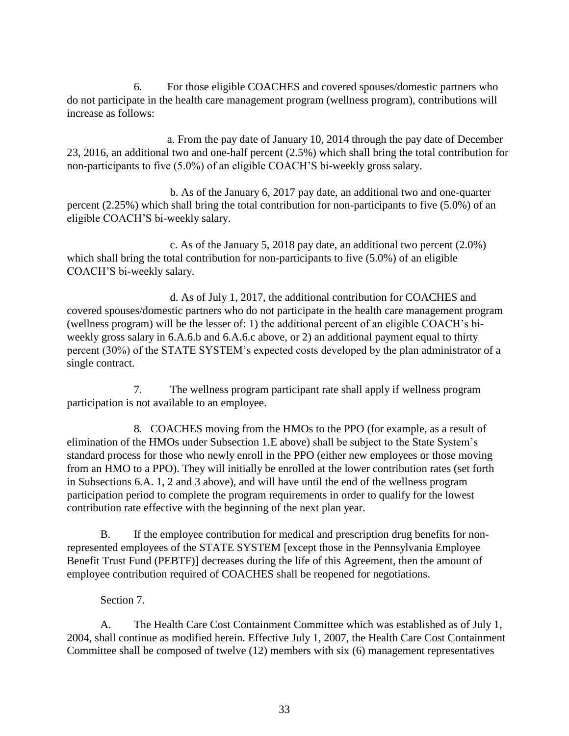6. For those eligible COACHES and covered spouses/domestic partners who do not participate in the health care management program (wellness program), contributions will increase as follows:

a. From the pay date of January 10, 2014 through the pay date of December 23, 2016, an additional two and one-half percent (2.5%) which shall bring the total contribution for non-participants to five (5.0%) of an eligible COACH'S bi-weekly gross salary.

 b. As of the January 6, 2017 pay date, an additional two and one-quarter percent (2.25%) which shall bring the total contribution for non-participants to five (5.0%) of an eligible COACH'S bi-weekly salary.

 c. As of the January 5, 2018 pay date, an additional two percent (2.0%) which shall bring the total contribution for non-participants to five (5.0%) of an eligible COACH'S bi-weekly salary.

 d. As of July 1, 2017, the additional contribution for COACHES and covered spouses/domestic partners who do not participate in the health care management program (wellness program) will be the lesser of: 1) the additional percent of an eligible COACH's biweekly gross salary in 6.A.6.b and 6.A.6.c above, or 2) an additional payment equal to thirty percent (30%) of the STATE SYSTEM's expected costs developed by the plan administrator of a single contract.

7. The wellness program participant rate shall apply if wellness program participation is not available to an employee.

8. COACHES moving from the HMOs to the PPO (for example, as a result of elimination of the HMOs under Subsection 1.E above) shall be subject to the State System's standard process for those who newly enroll in the PPO (either new employees or those moving from an HMO to a PPO). They will initially be enrolled at the lower contribution rates (set forth in Subsections 6.A. 1, 2 and 3 above), and will have until the end of the wellness program participation period to complete the program requirements in order to qualify for the lowest contribution rate effective with the beginning of the next plan year.

B. If the employee contribution for medical and prescription drug benefits for nonrepresented employees of the STATE SYSTEM [except those in the Pennsylvania Employee Benefit Trust Fund (PEBTF)] decreases during the life of this Agreement, then the amount of employee contribution required of COACHES shall be reopened for negotiations.

### Section 7.

A. The Health Care Cost Containment Committee which was established as of July 1, 2004, shall continue as modified herein. Effective July 1, 2007, the Health Care Cost Containment Committee shall be composed of twelve (12) members with six (6) management representatives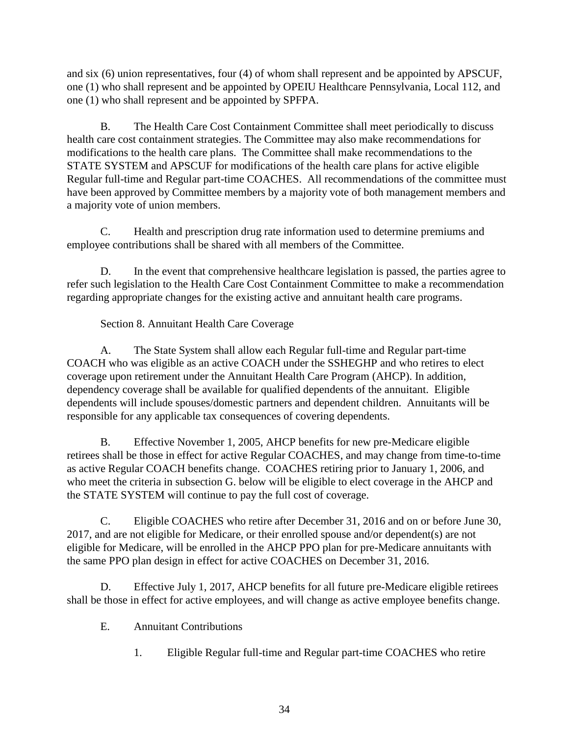and six (6) union representatives, four (4) of whom shall represent and be appointed by APSCUF, one (1) who shall represent and be appointed by OPEIU Healthcare Pennsylvania, Local 112, and one (1) who shall represent and be appointed by SPFPA.

B. The Health Care Cost Containment Committee shall meet periodically to discuss health care cost containment strategies. The Committee may also make recommendations for modifications to the health care plans. The Committee shall make recommendations to the STATE SYSTEM and APSCUF for modifications of the health care plans for active eligible Regular full-time and Regular part-time COACHES. All recommendations of the committee must have been approved by Committee members by a majority vote of both management members and a majority vote of union members.

C. Health and prescription drug rate information used to determine premiums and employee contributions shall be shared with all members of the Committee.

D. In the event that comprehensive healthcare legislation is passed, the parties agree to refer such legislation to the Health Care Cost Containment Committee to make a recommendation regarding appropriate changes for the existing active and annuitant health care programs.

## Section 8. Annuitant Health Care Coverage

A. The State System shall allow each Regular full-time and Regular part-time COACH who was eligible as an active COACH under the SSHEGHP and who retires to elect coverage upon retirement under the Annuitant Health Care Program (AHCP). In addition, dependency coverage shall be available for qualified dependents of the annuitant. Eligible dependents will include spouses/domestic partners and dependent children. Annuitants will be responsible for any applicable tax consequences of covering dependents.

B. Effective November 1, 2005, AHCP benefits for new pre-Medicare eligible retirees shall be those in effect for active Regular COACHES, and may change from time-to-time as active Regular COACH benefits change. COACHES retiring prior to January 1, 2006, and who meet the criteria in subsection G. below will be eligible to elect coverage in the AHCP and the STATE SYSTEM will continue to pay the full cost of coverage.

C. Eligible COACHES who retire after December 31, 2016 and on or before June 30, 2017, and are not eligible for Medicare, or their enrolled spouse and/or dependent(s) are not eligible for Medicare, will be enrolled in the AHCP PPO plan for pre-Medicare annuitants with the same PPO plan design in effect for active COACHES on December 31, 2016.

D. Effective July 1, 2017, AHCP benefits for all future pre-Medicare eligible retirees shall be those in effect for active employees, and will change as active employee benefits change.

- E. Annuitant Contributions
	- 1. Eligible Regular full-time and Regular part-time COACHES who retire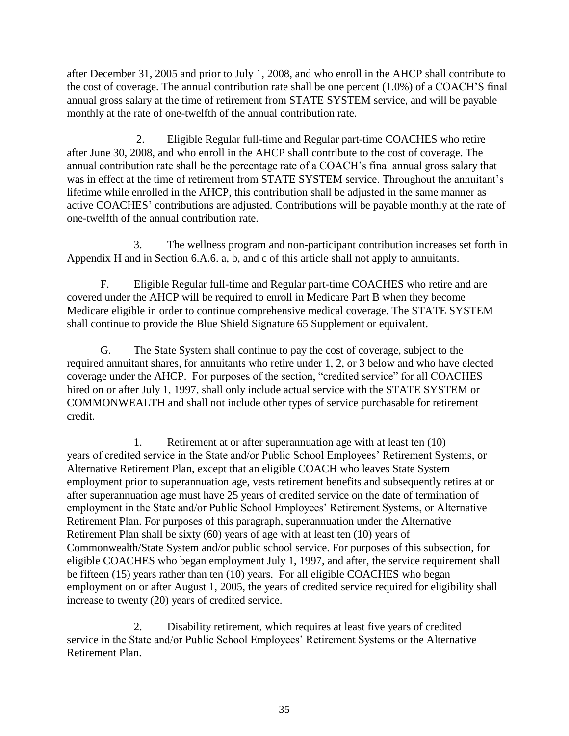after December 31, 2005 and prior to July 1, 2008, and who enroll in the AHCP shall contribute to the cost of coverage. The annual contribution rate shall be one percent (1.0%) of a COACH'S final annual gross salary at the time of retirement from STATE SYSTEM service, and will be payable monthly at the rate of one-twelfth of the annual contribution rate.

2. Eligible Regular full-time and Regular part-time COACHES who retire after June 30, 2008, and who enroll in the AHCP shall contribute to the cost of coverage. The annual contribution rate shall be the percentage rate of a COACH's final annual gross salary that was in effect at the time of retirement from STATE SYSTEM service. Throughout the annuitant's lifetime while enrolled in the AHCP, this contribution shall be adjusted in the same manner as active COACHES' contributions are adjusted. Contributions will be payable monthly at the rate of one-twelfth of the annual contribution rate.

3. The wellness program and non-participant contribution increases set forth in Appendix H and in Section 6.A.6. a, b, and c of this article shall not apply to annuitants.

F. Eligible Regular full-time and Regular part-time COACHES who retire and are covered under the AHCP will be required to enroll in Medicare Part B when they become Medicare eligible in order to continue comprehensive medical coverage. The STATE SYSTEM shall continue to provide the Blue Shield Signature 65 Supplement or equivalent.

G. The State System shall continue to pay the cost of coverage, subject to the required annuitant shares, for annuitants who retire under 1, 2, or 3 below and who have elected coverage under the AHCP. For purposes of the section, "credited service" for all COACHES hired on or after July 1, 1997, shall only include actual service with the STATE SYSTEM or COMMONWEALTH and shall not include other types of service purchasable for retirement credit.

1. Retirement at or after superannuation age with at least ten (10) years of credited service in the State and/or Public School Employees' Retirement Systems, or Alternative Retirement Plan, except that an eligible COACH who leaves State System employment prior to superannuation age, vests retirement benefits and subsequently retires at or after superannuation age must have 25 years of credited service on the date of termination of employment in the State and/or Public School Employees' Retirement Systems, or Alternative Retirement Plan. For purposes of this paragraph, superannuation under the Alternative Retirement Plan shall be sixty (60) years of age with at least ten (10) years of Commonwealth/State System and/or public school service. For purposes of this subsection, for eligible COACHES who began employment July 1, 1997, and after, the service requirement shall be fifteen (15) years rather than ten (10) years. For all eligible COACHES who began employment on or after August 1, 2005, the years of credited service required for eligibility shall increase to twenty (20) years of credited service.

2. Disability retirement, which requires at least five years of credited service in the State and/or Public School Employees' Retirement Systems or the Alternative Retirement Plan.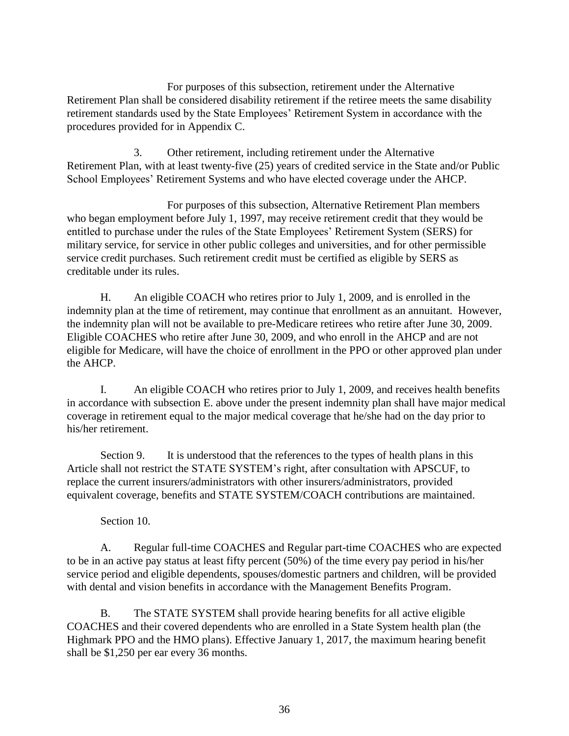For purposes of this subsection, retirement under the Alternative Retirement Plan shall be considered disability retirement if the retiree meets the same disability retirement standards used by the State Employees' Retirement System in accordance with the procedures provided for in Appendix C.

3. Other retirement, including retirement under the Alternative Retirement Plan, with at least twenty-five (25) years of credited service in the State and/or Public School Employees' Retirement Systems and who have elected coverage under the AHCP.

 For purposes of this subsection, Alternative Retirement Plan members who began employment before July 1, 1997, may receive retirement credit that they would be entitled to purchase under the rules of the State Employees' Retirement System (SERS) for military service, for service in other public colleges and universities, and for other permissible service credit purchases. Such retirement credit must be certified as eligible by SERS as creditable under its rules.

H. An eligible COACH who retires prior to July 1, 2009, and is enrolled in the indemnity plan at the time of retirement, may continue that enrollment as an annuitant. However, the indemnity plan will not be available to pre-Medicare retirees who retire after June 30, 2009. Eligible COACHES who retire after June 30, 2009, and who enroll in the AHCP and are not eligible for Medicare, will have the choice of enrollment in the PPO or other approved plan under the AHCP.

I. An eligible COACH who retires prior to July 1, 2009, and receives health benefits in accordance with subsection E. above under the present indemnity plan shall have major medical coverage in retirement equal to the major medical coverage that he/she had on the day prior to his/her retirement.

Section 9. It is understood that the references to the types of health plans in this Article shall not restrict the STATE SYSTEM's right, after consultation with APSCUF, to replace the current insurers/administrators with other insurers/administrators, provided equivalent coverage, benefits and STATE SYSTEM/COACH contributions are maintained.

### Section 10.

A. Regular full-time COACHES and Regular part-time COACHES who are expected to be in an active pay status at least fifty percent (50%) of the time every pay period in his/her service period and eligible dependents, spouses/domestic partners and children, will be provided with dental and vision benefits in accordance with the Management Benefits Program.

B. The STATE SYSTEM shall provide hearing benefits for all active eligible COACHES and their covered dependents who are enrolled in a State System health plan (the Highmark PPO and the HMO plans). Effective January 1, 2017, the maximum hearing benefit shall be \$1,250 per ear every 36 months.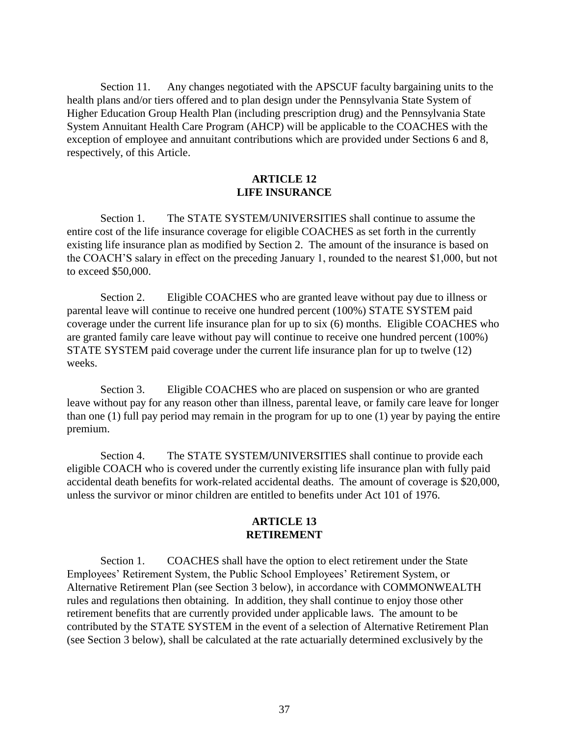Section 11. Any changes negotiated with the APSCUF faculty bargaining units to the health plans and/or tiers offered and to plan design under the Pennsylvania State System of Higher Education Group Health Plan (including prescription drug) and the Pennsylvania State System Annuitant Health Care Program (AHCP) will be applicable to the COACHES with the exception of employee and annuitant contributions which are provided under Sections 6 and 8, respectively, of this Article.

#### **ARTICLE 12 LIFE INSURANCE**

Section 1. The STATE SYSTEM/UNIVERSITIES shall continue to assume the entire cost of the life insurance coverage for eligible COACHES as set forth in the currently existing life insurance plan as modified by Section 2. The amount of the insurance is based on the COACH'S salary in effect on the preceding January 1, rounded to the nearest \$1,000, but not to exceed \$50,000.

Section 2. Eligible COACHES who are granted leave without pay due to illness or parental leave will continue to receive one hundred percent (100%) STATE SYSTEM paid coverage under the current life insurance plan for up to six (6) months. Eligible COACHES who are granted family care leave without pay will continue to receive one hundred percent (100%) STATE SYSTEM paid coverage under the current life insurance plan for up to twelve (12) weeks.

Section 3. Eligible COACHES who are placed on suspension or who are granted leave without pay for any reason other than illness, parental leave, or family care leave for longer than one (1) full pay period may remain in the program for up to one (1) year by paying the entire premium.

Section 4. The STATE SYSTEM**/**UNIVERSITIES shall continue to provide each eligible COACH who is covered under the currently existing life insurance plan with fully paid accidental death benefits for work-related accidental deaths. The amount of coverage is \$20,000, unless the survivor or minor children are entitled to benefits under Act 101 of 1976.

#### **ARTICLE 13 RETIREMENT**

Section 1. COACHES shall have the option to elect retirement under the State Employees' Retirement System, the Public School Employees' Retirement System, or Alternative Retirement Plan (see Section 3 below), in accordance with COMMONWEALTH rules and regulations then obtaining. In addition, they shall continue to enjoy those other retirement benefits that are currently provided under applicable laws. The amount to be contributed by the STATE SYSTEM in the event of a selection of Alternative Retirement Plan (see Section 3 below), shall be calculated at the rate actuarially determined exclusively by the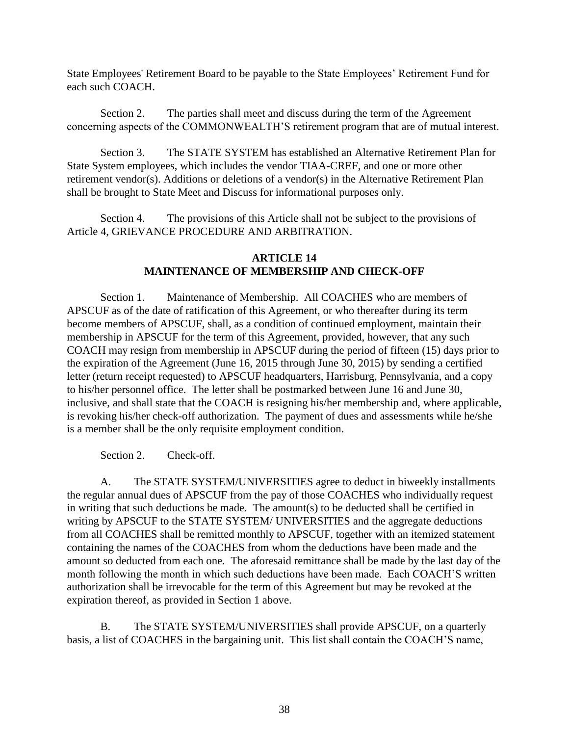State Employees' Retirement Board to be payable to the State Employees' Retirement Fund for each such COACH.

Section 2. The parties shall meet and discuss during the term of the Agreement concerning aspects of the COMMONWEALTH'S retirement program that are of mutual interest.

Section 3. The STATE SYSTEM has established an Alternative Retirement Plan for State System employees, which includes the vendor TIAA-CREF, and one or more other retirement vendor(s). Additions or deletions of a vendor(s) in the Alternative Retirement Plan shall be brought to State Meet and Discuss for informational purposes only.

Section 4. The provisions of this Article shall not be subject to the provisions of Article 4, GRIEVANCE PROCEDURE AND ARBITRATION.

#### **ARTICLE 14 MAINTENANCE OF MEMBERSHIP AND CHECK-OFF**

Section 1. Maintenance of Membership. All COACHES who are members of APSCUF as of the date of ratification of this Agreement, or who thereafter during its term become members of APSCUF, shall, as a condition of continued employment, maintain their membership in APSCUF for the term of this Agreement, provided, however, that any such COACH may resign from membership in APSCUF during the period of fifteen (15) days prior to the expiration of the Agreement (June 16, 2015 through June 30, 2015) by sending a certified letter (return receipt requested) to APSCUF headquarters, Harrisburg, Pennsylvania, and a copy to his/her personnel office. The letter shall be postmarked between June 16 and June 30, inclusive, and shall state that the COACH is resigning his/her membership and, where applicable, is revoking his/her check-off authorization. The payment of dues and assessments while he/she is a member shall be the only requisite employment condition.

Section 2. Check-off.

A. The STATE SYSTEM/UNIVERSITIES agree to deduct in biweekly installments the regular annual dues of APSCUF from the pay of those COACHES who individually request in writing that such deductions be made. The amount(s) to be deducted shall be certified in writing by APSCUF to the STATE SYSTEM/ UNIVERSITIES and the aggregate deductions from all COACHES shall be remitted monthly to APSCUF, together with an itemized statement containing the names of the COACHES from whom the deductions have been made and the amount so deducted from each one. The aforesaid remittance shall be made by the last day of the month following the month in which such deductions have been made. Each COACH'S written authorization shall be irrevocable for the term of this Agreement but may be revoked at the expiration thereof, as provided in Section 1 above.

B. The STATE SYSTEM/UNIVERSITIES shall provide APSCUF, on a quarterly basis, a list of COACHES in the bargaining unit. This list shall contain the COACH'S name,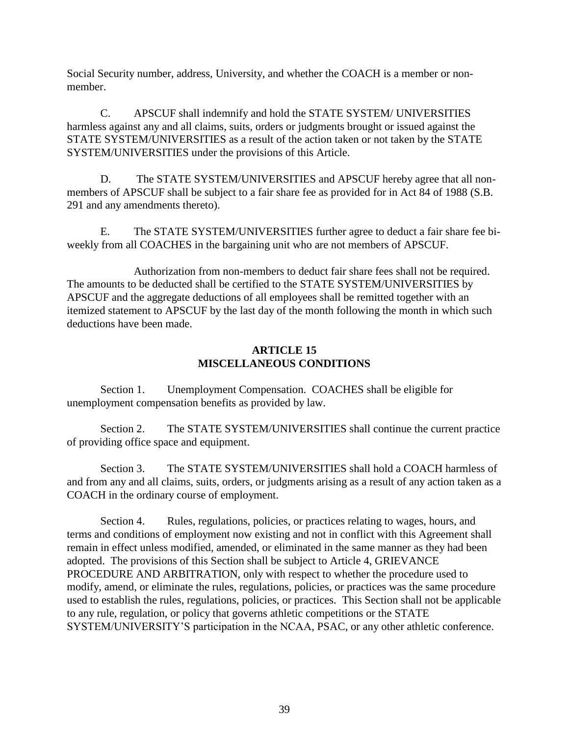Social Security number, address, University, and whether the COACH is a member or nonmember.

C. APSCUF shall indemnify and hold the STATE SYSTEM/ UNIVERSITIES harmless against any and all claims, suits, orders or judgments brought or issued against the STATE SYSTEM/UNIVERSITIES as a result of the action taken or not taken by the STATE SYSTEM/UNIVERSITIES under the provisions of this Article.

D. The STATE SYSTEM/UNIVERSITIES and APSCUF hereby agree that all nonmembers of APSCUF shall be subject to a fair share fee as provided for in Act 84 of 1988 (S.B. 291 and any amendments thereto).

E. The STATE SYSTEM/UNIVERSITIES further agree to deduct a fair share fee biweekly from all COACHES in the bargaining unit who are not members of APSCUF.

 Authorization from non-members to deduct fair share fees shall not be required. The amounts to be deducted shall be certified to the STATE SYSTEM/UNIVERSITIES by APSCUF and the aggregate deductions of all employees shall be remitted together with an itemized statement to APSCUF by the last day of the month following the month in which such deductions have been made.

#### **ARTICLE 15 MISCELLANEOUS CONDITIONS**

Section 1. Unemployment Compensation. COACHES shall be eligible for unemployment compensation benefits as provided by law.

Section 2. The STATE SYSTEM/UNIVERSITIES shall continue the current practice of providing office space and equipment.

Section 3. The STATE SYSTEM/UNIVERSITIES shall hold a COACH harmless of and from any and all claims, suits, orders, or judgments arising as a result of any action taken as a COACH in the ordinary course of employment.

Section 4. Rules, regulations, policies, or practices relating to wages, hours, and terms and conditions of employment now existing and not in conflict with this Agreement shall remain in effect unless modified, amended, or eliminated in the same manner as they had been adopted. The provisions of this Section shall be subject to Article 4, GRIEVANCE PROCEDURE AND ARBITRATION, only with respect to whether the procedure used to modify, amend, or eliminate the rules, regulations, policies, or practices was the same procedure used to establish the rules, regulations, policies, or practices. This Section shall not be applicable to any rule, regulation, or policy that governs athletic competitions or the STATE SYSTEM/UNIVERSITY'S participation in the NCAA, PSAC, or any other athletic conference.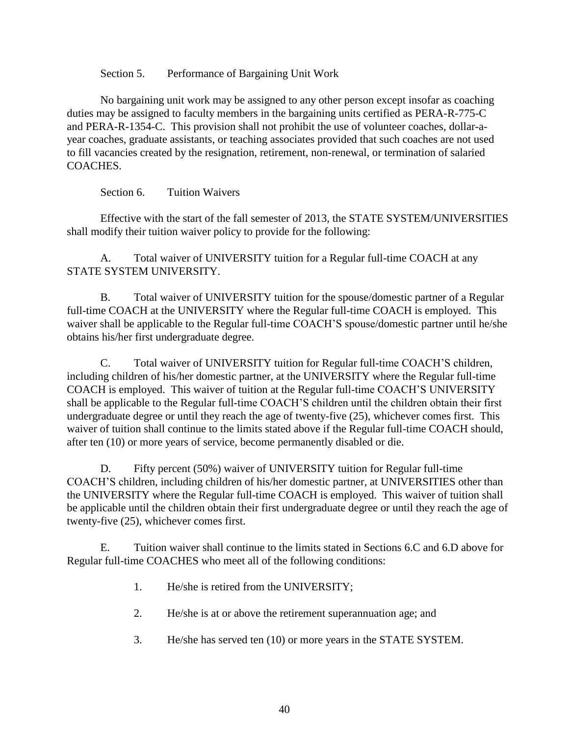Section 5. Performance of Bargaining Unit Work

No bargaining unit work may be assigned to any other person except insofar as coaching duties may be assigned to faculty members in the bargaining units certified as PERA-R-775-C and PERA-R-1354-C. This provision shall not prohibit the use of volunteer coaches, dollar-ayear coaches, graduate assistants, or teaching associates provided that such coaches are not used to fill vacancies created by the resignation, retirement, non-renewal, or termination of salaried COACHES.

Section 6. Tuition Waivers

Effective with the start of the fall semester of 2013*,* the STATE SYSTEM/UNIVERSITIES shall modify their tuition waiver policy to provide for the following:

A. Total waiver of UNIVERSITY tuition for a Regular full-time COACH at any STATE SYSTEM UNIVERSITY.

B. Total waiver of UNIVERSITY tuition for the spouse/domestic partner of a Regular full-time COACH at the UNIVERSITY where the Regular full-time COACH is employed. This waiver shall be applicable to the Regular full-time COACH'S spouse/domestic partner until he/she obtains his/her first undergraduate degree.

C. Total waiver of UNIVERSITY tuition for Regular full-time COACH'S children, including children of his/her domestic partner, at the UNIVERSITY where the Regular full-time COACH is employed. This waiver of tuition at the Regular full-time COACH'S UNIVERSITY shall be applicable to the Regular full-time COACH'S children until the children obtain their first undergraduate degree or until they reach the age of twenty-five (25), whichever comes first. This waiver of tuition shall continue to the limits stated above if the Regular full-time COACH should, after ten (10) or more years of service, become permanently disabled or die.

D. Fifty percent (50%) waiver of UNIVERSITY tuition for Regular full-time COACH'S children, including children of his/her domestic partner, at UNIVERSITIES other than the UNIVERSITY where the Regular full-time COACH is employed. This waiver of tuition shall be applicable until the children obtain their first undergraduate degree or until they reach the age of twenty-five (25), whichever comes first.

E. Tuition waiver shall continue to the limits stated in Sections 6.C and 6.D above for Regular full-time COACHES who meet all of the following conditions:

- 1. He/she is retired from the UNIVERSITY;
- 2. He/she is at or above the retirement superannuation age; and
- 3. He/she has served ten (10) or more years in the STATE SYSTEM.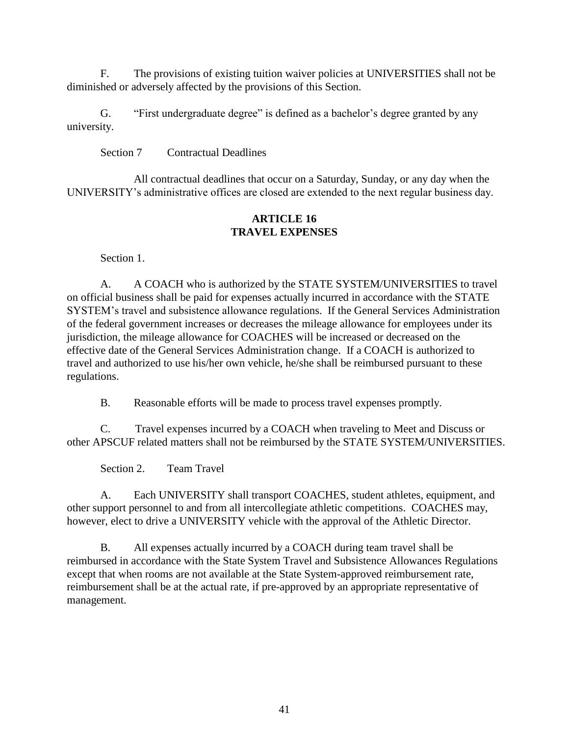F. The provisions of existing tuition waiver policies at UNIVERSITIES shall not be diminished or adversely affected by the provisions of this Section.

G. "First undergraduate degree" is defined as a bachelor's degree granted by any university.

Section 7 Contractual Deadlines

All contractual deadlines that occur on a Saturday, Sunday, or any day when the UNIVERSITY's administrative offices are closed are extended to the next regular business day.

#### **ARTICLE 16 TRAVEL EXPENSES**

Section 1.

A. A COACH who is authorized by the STATE SYSTEM/UNIVERSITIES to travel on official business shall be paid for expenses actually incurred in accordance with the STATE SYSTEM's travel and subsistence allowance regulations. If the General Services Administration of the federal government increases or decreases the mileage allowance for employees under its jurisdiction, the mileage allowance for COACHES will be increased or decreased on the effective date of the General Services Administration change. If a COACH is authorized to travel and authorized to use his/her own vehicle, he/she shall be reimbursed pursuant to these regulations.

B. Reasonable efforts will be made to process travel expenses promptly.

C. Travel expenses incurred by a COACH when traveling to Meet and Discuss or other APSCUF related matters shall not be reimbursed by the STATE SYSTEM/UNIVERSITIES.

Section 2. Team Travel

A. Each UNIVERSITY shall transport COACHES, student athletes, equipment, and other support personnel to and from all intercollegiate athletic competitions. COACHES may, however, elect to drive a UNIVERSITY vehicle with the approval of the Athletic Director.

B. All expenses actually incurred by a COACH during team travel shall be reimbursed in accordance with the State System Travel and Subsistence Allowances Regulations except that when rooms are not available at the State System-approved reimbursement rate, reimbursement shall be at the actual rate, if pre-approved by an appropriate representative of management.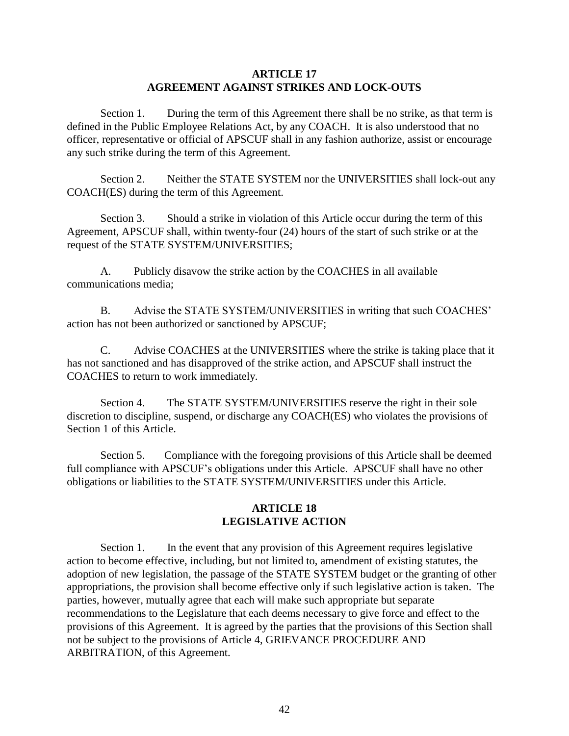#### **ARTICLE 17 AGREEMENT AGAINST STRIKES AND LOCK-OUTS**

Section 1. During the term of this Agreement there shall be no strike, as that term is defined in the Public Employee Relations Act, by any COACH. It is also understood that no officer, representative or official of APSCUF shall in any fashion authorize, assist or encourage any such strike during the term of this Agreement.

Section 2. Neither the STATE SYSTEM nor the UNIVERSITIES shall lock-out any COACH(ES) during the term of this Agreement.

Section 3. Should a strike in violation of this Article occur during the term of this Agreement, APSCUF shall, within twenty-four (24) hours of the start of such strike or at the request of the STATE SYSTEM/UNIVERSITIES;

A. Publicly disavow the strike action by the COACHES in all available communications media;

B. Advise the STATE SYSTEM/UNIVERSITIES in writing that such COACHES' action has not been authorized or sanctioned by APSCUF;

C. Advise COACHES at the UNIVERSITIES where the strike is taking place that it has not sanctioned and has disapproved of the strike action, and APSCUF shall instruct the COACHES to return to work immediately.

Section 4. The STATE SYSTEM/UNIVERSITIES reserve the right in their sole discretion to discipline, suspend, or discharge any COACH(ES) who violates the provisions of Section 1 of this Article.

Section 5. Compliance with the foregoing provisions of this Article shall be deemed full compliance with APSCUF's obligations under this Article. APSCUF shall have no other obligations or liabilities to the STATE SYSTEM/UNIVERSITIES under this Article.

#### **ARTICLE 18 LEGISLATIVE ACTION**

Section 1. In the event that any provision of this Agreement requires legislative action to become effective, including, but not limited to, amendment of existing statutes, the adoption of new legislation, the passage of the STATE SYSTEM budget or the granting of other appropriations, the provision shall become effective only if such legislative action is taken. The parties, however, mutually agree that each will make such appropriate but separate recommendations to the Legislature that each deems necessary to give force and effect to the provisions of this Agreement. It is agreed by the parties that the provisions of this Section shall not be subject to the provisions of Article 4, GRIEVANCE PROCEDURE AND ARBITRATION, of this Agreement.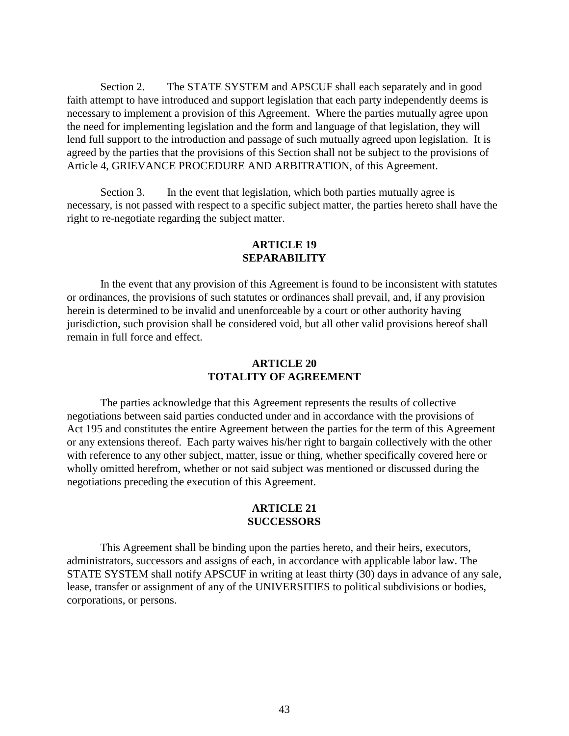Section 2. The STATE SYSTEM and APSCUF shall each separately and in good faith attempt to have introduced and support legislation that each party independently deems is necessary to implement a provision of this Agreement. Where the parties mutually agree upon the need for implementing legislation and the form and language of that legislation, they will lend full support to the introduction and passage of such mutually agreed upon legislation. It is agreed by the parties that the provisions of this Section shall not be subject to the provisions of Article 4, GRIEVANCE PROCEDURE AND ARBITRATION, of this Agreement.

Section 3. In the event that legislation, which both parties mutually agree is necessary, is not passed with respect to a specific subject matter, the parties hereto shall have the right to re-negotiate regarding the subject matter.

#### **ARTICLE 19 SEPARABILITY**

In the event that any provision of this Agreement is found to be inconsistent with statutes or ordinances, the provisions of such statutes or ordinances shall prevail, and, if any provision herein is determined to be invalid and unenforceable by a court or other authority having jurisdiction, such provision shall be considered void, but all other valid provisions hereof shall remain in full force and effect.

#### **ARTICLE 20 TOTALITY OF AGREEMENT**

The parties acknowledge that this Agreement represents the results of collective negotiations between said parties conducted under and in accordance with the provisions of Act 195 and constitutes the entire Agreement between the parties for the term of this Agreement or any extensions thereof. Each party waives his/her right to bargain collectively with the other with reference to any other subject, matter, issue or thing, whether specifically covered here or wholly omitted herefrom, whether or not said subject was mentioned or discussed during the negotiations preceding the execution of this Agreement.

#### **ARTICLE 21 SUCCESSORS**

This Agreement shall be binding upon the parties hereto, and their heirs, executors, administrators, successors and assigns of each, in accordance with applicable labor law. The STATE SYSTEM shall notify APSCUF in writing at least thirty (30) days in advance of any sale, lease, transfer or assignment of any of the UNIVERSITIES to political subdivisions or bodies, corporations, or persons.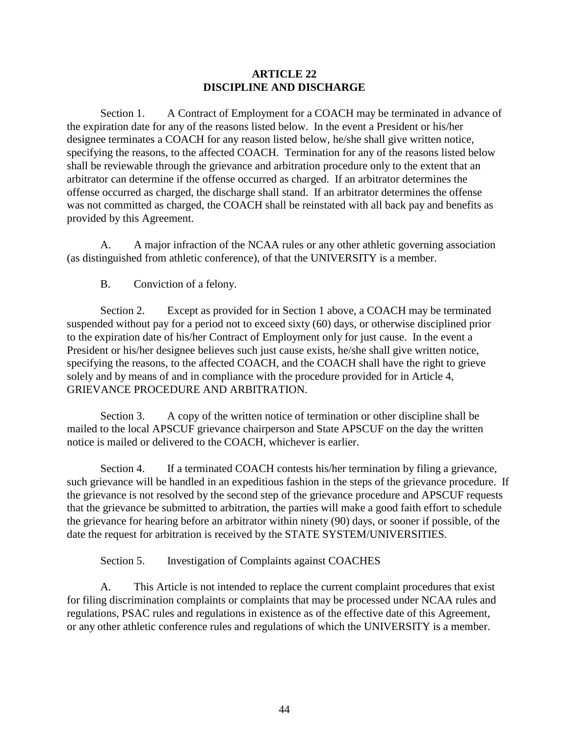#### **ARTICLE 22 DISCIPLINE AND DISCHARGE**

Section 1. A Contract of Employment for a COACH may be terminated in advance of the expiration date for any of the reasons listed below. In the event a President or his/her designee terminates a COACH for any reason listed below, he/she shall give written notice, specifying the reasons, to the affected COACH. Termination for any of the reasons listed below shall be reviewable through the grievance and arbitration procedure only to the extent that an arbitrator can determine if the offense occurred as charged. If an arbitrator determines the offense occurred as charged, the discharge shall stand. If an arbitrator determines the offense was not committed as charged, the COACH shall be reinstated with all back pay and benefits as provided by this Agreement.

A. A major infraction of the NCAA rules or any other athletic governing association (as distinguished from athletic conference), of that the UNIVERSITY is a member.

B. Conviction of a felony.

Section 2. Except as provided for in Section 1 above, a COACH may be terminated suspended without pay for a period not to exceed sixty (60) days, or otherwise disciplined prior to the expiration date of his/her Contract of Employment only for just cause. In the event a President or his/her designee believes such just cause exists, he/she shall give written notice, specifying the reasons, to the affected COACH, and the COACH shall have the right to grieve solely and by means of and in compliance with the procedure provided for in Article 4, GRIEVANCE PROCEDURE AND ARBITRATION.

Section 3. A copy of the written notice of termination or other discipline shall be mailed to the local APSCUF grievance chairperson and State APSCUF on the day the written notice is mailed or delivered to the COACH, whichever is earlier.

Section 4. If a terminated COACH contests his/her termination by filing a grievance, such grievance will be handled in an expeditious fashion in the steps of the grievance procedure. If the grievance is not resolved by the second step of the grievance procedure and APSCUF requests that the grievance be submitted to arbitration, the parties will make a good faith effort to schedule the grievance for hearing before an arbitrator within ninety (90) days, or sooner if possible, of the date the request for arbitration is received by the STATE SYSTEM/UNIVERSITIES.

Section 5. Investigation of Complaints against COACHES

A. This Article is not intended to replace the current complaint procedures that exist for filing discrimination complaints or complaints that may be processed under NCAA rules and regulations, PSAC rules and regulations in existence as of the effective date of this Agreement, or any other athletic conference rules and regulations of which the UNIVERSITY is a member.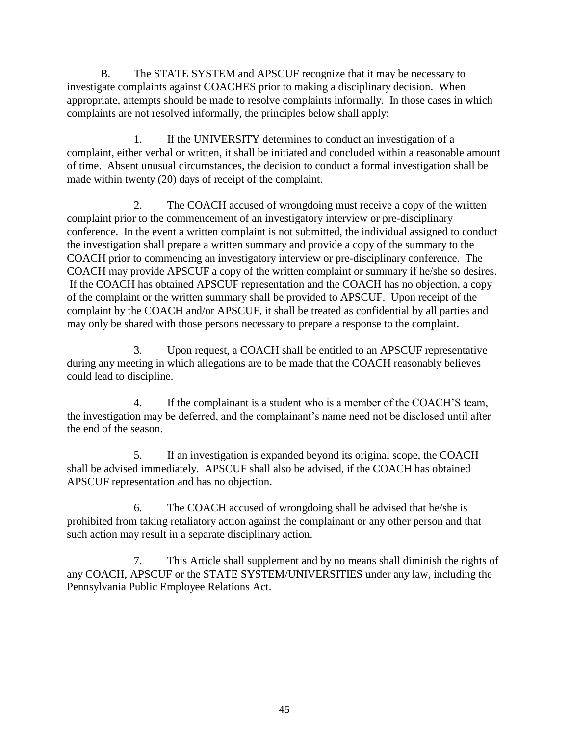B. The STATE SYSTEM and APSCUF recognize that it may be necessary to investigate complaints against COACHES prior to making a disciplinary decision. When appropriate, attempts should be made to resolve complaints informally. In those cases in which complaints are not resolved informally, the principles below shall apply:

1. If the UNIVERSITY determines to conduct an investigation of a complaint, either verbal or written, it shall be initiated and concluded within a reasonable amount of time. Absent unusual circumstances, the decision to conduct a formal investigation shall be made within twenty (20) days of receipt of the complaint.

2. The COACH accused of wrongdoing must receive a copy of the written complaint prior to the commencement of an investigatory interview or pre-disciplinary conference. In the event a written complaint is not submitted, the individual assigned to conduct the investigation shall prepare a written summary and provide a copy of the summary to the COACH prior to commencing an investigatory interview or pre-disciplinary conference. The COACH may provide APSCUF a copy of the written complaint or summary if he/she so desires. If the COACH has obtained APSCUF representation and the COACH has no objection, a copy of the complaint or the written summary shall be provided to APSCUF. Upon receipt of the complaint by the COACH and/or APSCUF, it shall be treated as confidential by all parties and may only be shared with those persons necessary to prepare a response to the complaint.

3. Upon request, a COACH shall be entitled to an APSCUF representative during any meeting in which allegations are to be made that the COACH reasonably believes could lead to discipline.

4. If the complainant is a student who is a member of the COACH'S team, the investigation may be deferred, and the complainant's name need not be disclosed until after the end of the season.

5. If an investigation is expanded beyond its original scope, the COACH shall be advised immediately. APSCUF shall also be advised, if the COACH has obtained APSCUF representation and has no objection.

6. The COACH accused of wrongdoing shall be advised that he/she is prohibited from taking retaliatory action against the complainant or any other person and that such action may result in a separate disciplinary action.

7. This Article shall supplement and by no means shall diminish the rights of any COACH, APSCUF or the STATE SYSTEM/UNIVERSITIES under any law, including the Pennsylvania Public Employee Relations Act.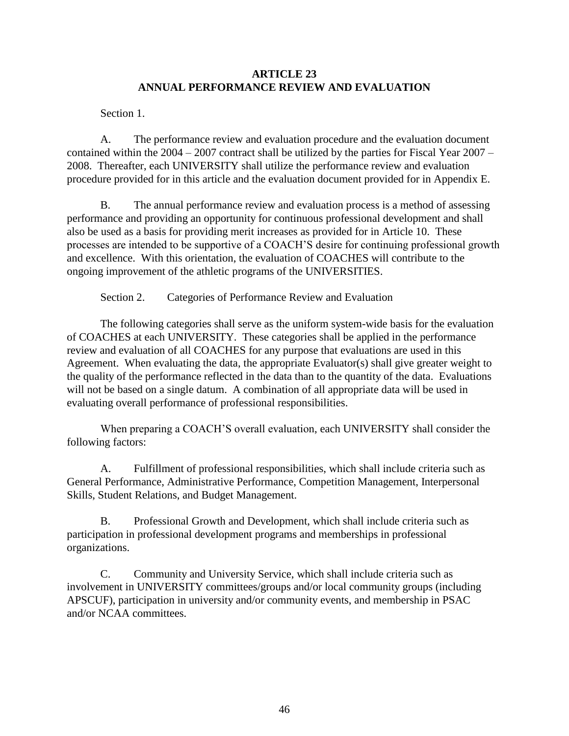#### **ARTICLE 23 ANNUAL PERFORMANCE REVIEW AND EVALUATION**

Section 1.

A. The performance review and evaluation procedure and the evaluation document contained within the 2004 – 2007 contract shall be utilized by the parties for Fiscal Year 2007 – 2008. Thereafter, each UNIVERSITY shall utilize the performance review and evaluation procedure provided for in this article and the evaluation document provided for in Appendix E.

B. The annual performance review and evaluation process is a method of assessing performance and providing an opportunity for continuous professional development and shall also be used as a basis for providing merit increases as provided for in Article 10. These processes are intended to be supportive of a COACH'S desire for continuing professional growth and excellence. With this orientation, the evaluation of COACHES will contribute to the ongoing improvement of the athletic programs of the UNIVERSITIES.

Section 2. Categories of Performance Review and Evaluation

The following categories shall serve as the uniform system-wide basis for the evaluation of COACHES at each UNIVERSITY. These categories shall be applied in the performance review and evaluation of all COACHES for any purpose that evaluations are used in this Agreement. When evaluating the data, the appropriate Evaluator(s) shall give greater weight to the quality of the performance reflected in the data than to the quantity of the data. Evaluations will not be based on a single datum. A combination of all appropriate data will be used in evaluating overall performance of professional responsibilities.

When preparing a COACH'S overall evaluation, each UNIVERSITY shall consider the following factors:

A. Fulfillment of professional responsibilities, which shall include criteria such as General Performance, Administrative Performance, Competition Management, Interpersonal Skills, Student Relations, and Budget Management.

B. Professional Growth and Development, which shall include criteria such as participation in professional development programs and memberships in professional organizations.

C. Community and University Service, which shall include criteria such as involvement in UNIVERSITY committees/groups and/or local community groups (including APSCUF), participation in university and/or community events, and membership in PSAC and/or NCAA committees.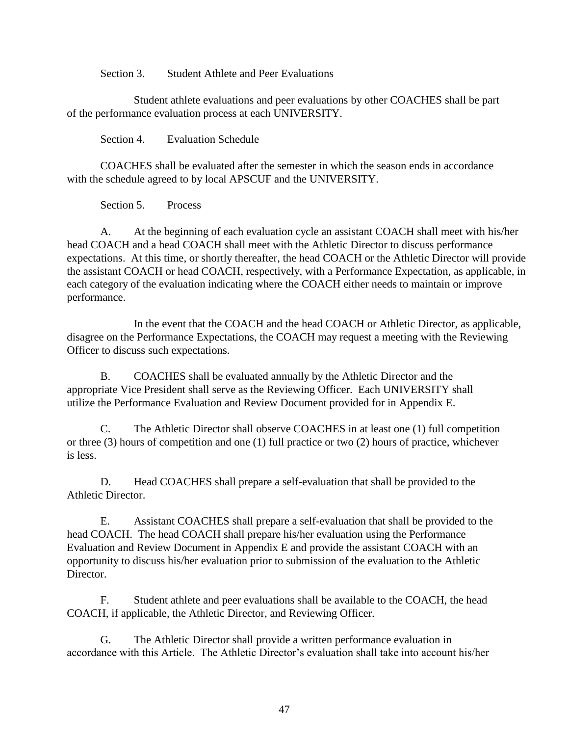Section 3. Student Athlete and Peer Evaluations

Student athlete evaluations and peer evaluations by other COACHES shall be part of the performance evaluation process at each UNIVERSITY.

Section 4. Evaluation Schedule

COACHES shall be evaluated after the semester in which the season ends in accordance with the schedule agreed to by local APSCUF and the UNIVERSITY.

Section 5. Process

A. At the beginning of each evaluation cycle an assistant COACH shall meet with his/her head COACH and a head COACH shall meet with the Athletic Director to discuss performance expectations. At this time, or shortly thereafter, the head COACH or the Athletic Director will provide the assistant COACH or head COACH, respectively, with a Performance Expectation, as applicable, in each category of the evaluation indicating where the COACH either needs to maintain or improve performance.

In the event that the COACH and the head COACH or Athletic Director, as applicable, disagree on the Performance Expectations, the COACH may request a meeting with the Reviewing Officer to discuss such expectations.

B. COACHES shall be evaluated annually by the Athletic Director and the appropriate Vice President shall serve as the Reviewing Officer. Each UNIVERSITY shall utilize the Performance Evaluation and Review Document provided for in Appendix E.

C. The Athletic Director shall observe COACHES in at least one (1) full competition or three (3) hours of competition and one (1) full practice or two (2) hours of practice, whichever is less.

D. Head COACHES shall prepare a self-evaluation that shall be provided to the Athletic Director.

E. Assistant COACHES shall prepare a self-evaluation that shall be provided to the head COACH. The head COACH shall prepare his/her evaluation using the Performance Evaluation and Review Document in Appendix E and provide the assistant COACH with an opportunity to discuss his/her evaluation prior to submission of the evaluation to the Athletic Director.

F. Student athlete and peer evaluations shall be available to the COACH, the head COACH, if applicable, the Athletic Director, and Reviewing Officer.

G. The Athletic Director shall provide a written performance evaluation in accordance with this Article. The Athletic Director's evaluation shall take into account his/her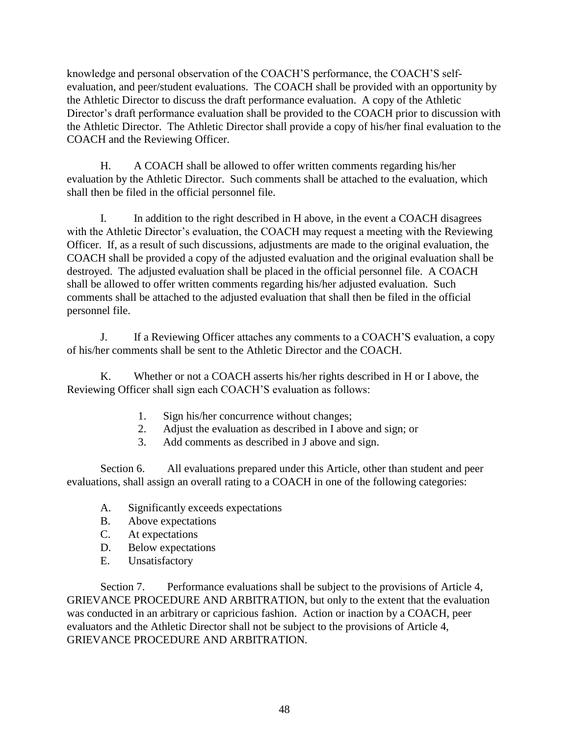knowledge and personal observation of the COACH'S performance, the COACH'S selfevaluation, and peer/student evaluations. The COACH shall be provided with an opportunity by the Athletic Director to discuss the draft performance evaluation. A copy of the Athletic Director's draft performance evaluation shall be provided to the COACH prior to discussion with the Athletic Director. The Athletic Director shall provide a copy of his/her final evaluation to the COACH and the Reviewing Officer.

H. A COACH shall be allowed to offer written comments regarding his/her evaluation by the Athletic Director. Such comments shall be attached to the evaluation, which shall then be filed in the official personnel file.

I. In addition to the right described in H above, in the event a COACH disagrees with the Athletic Director's evaluation, the COACH may request a meeting with the Reviewing Officer. If, as a result of such discussions, adjustments are made to the original evaluation, the COACH shall be provided a copy of the adjusted evaluation and the original evaluation shall be destroyed. The adjusted evaluation shall be placed in the official personnel file. A COACH shall be allowed to offer written comments regarding his/her adjusted evaluation. Such comments shall be attached to the adjusted evaluation that shall then be filed in the official personnel file.

 J. If a Reviewing Officer attaches any comments to a COACH'S evaluation, a copy of his/her comments shall be sent to the Athletic Director and the COACH.

K. Whether or not a COACH asserts his/her rights described in H or I above, the Reviewing Officer shall sign each COACH'S evaluation as follows:

- 1. Sign his/her concurrence without changes;
- 2. Adjust the evaluation as described in I above and sign; or
- 3. Add comments as described in J above and sign.

Section 6. All evaluations prepared under this Article, other than student and peer evaluations, shall assign an overall rating to a COACH in one of the following categories:

- A. Significantly exceeds expectations
- B. Above expectations
- C. At expectations
- D. Below expectations
- E. Unsatisfactory

Section 7. Performance evaluations shall be subject to the provisions of Article 4, GRIEVANCE PROCEDURE AND ARBITRATION, but only to the extent that the evaluation was conducted in an arbitrary or capricious fashion. Action or inaction by a COACH, peer evaluators and the Athletic Director shall not be subject to the provisions of Article 4, GRIEVANCE PROCEDURE AND ARBITRATION.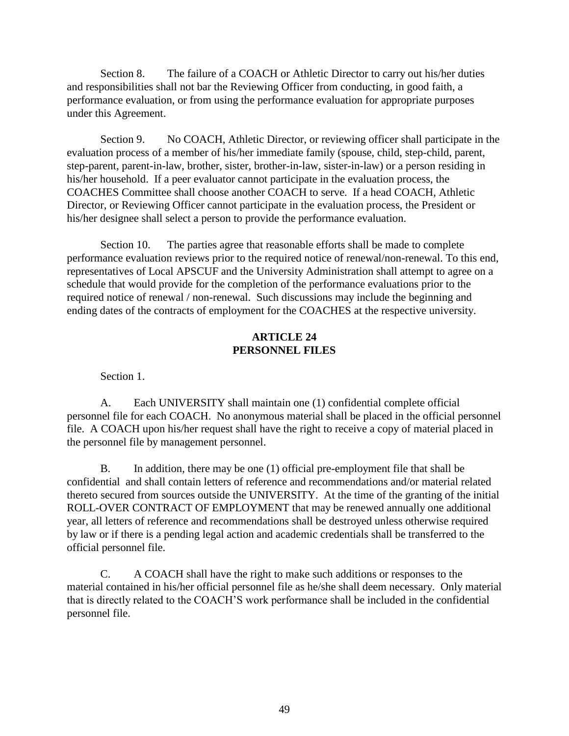Section 8. The failure of a COACH or Athletic Director to carry out his/her duties and responsibilities shall not bar the Reviewing Officer from conducting, in good faith, a performance evaluation, or from using the performance evaluation for appropriate purposes under this Agreement.

Section 9. No COACH, Athletic Director, or reviewing officer shall participate in the evaluation process of a member of his/her immediate family (spouse, child, step-child, parent, step-parent, parent-in-law, brother, sister, brother-in-law, sister-in-law) or a person residing in his/her household. If a peer evaluator cannot participate in the evaluation process, the COACHES Committee shall choose another COACH to serve. If a head COACH, Athletic Director, or Reviewing Officer cannot participate in the evaluation process, the President or his/her designee shall select a person to provide the performance evaluation.

Section 10. The parties agree that reasonable efforts shall be made to complete performance evaluation reviews prior to the required notice of renewal/non-renewal. To this end, representatives of Local APSCUF and the University Administration shall attempt to agree on a schedule that would provide for the completion of the performance evaluations prior to the required notice of renewal / non-renewal. Such discussions may include the beginning and ending dates of the contracts of employment for the COACHES at the respective university.

#### **ARTICLE 24 PERSONNEL FILES**

Section 1.

A. Each UNIVERSITY shall maintain one (1) confidential complete official personnel file for each COACH. No anonymous material shall be placed in the official personnel file. A COACH upon his/her request shall have the right to receive a copy of material placed in the personnel file by management personnel.

B. In addition, there may be one (1) official pre-employment file that shall be confidential and shall contain letters of reference and recommendations and/or material related thereto secured from sources outside the UNIVERSITY. At the time of the granting of the initial ROLL-OVER CONTRACT OF EMPLOYMENT that may be renewed annually one additional year, all letters of reference and recommendations shall be destroyed unless otherwise required by law or if there is a pending legal action and academic credentials shall be transferred to the official personnel file.

C. A COACH shall have the right to make such additions or responses to the material contained in his/her official personnel file as he/she shall deem necessary. Only material that is directly related to the COACH'S work performance shall be included in the confidential personnel file.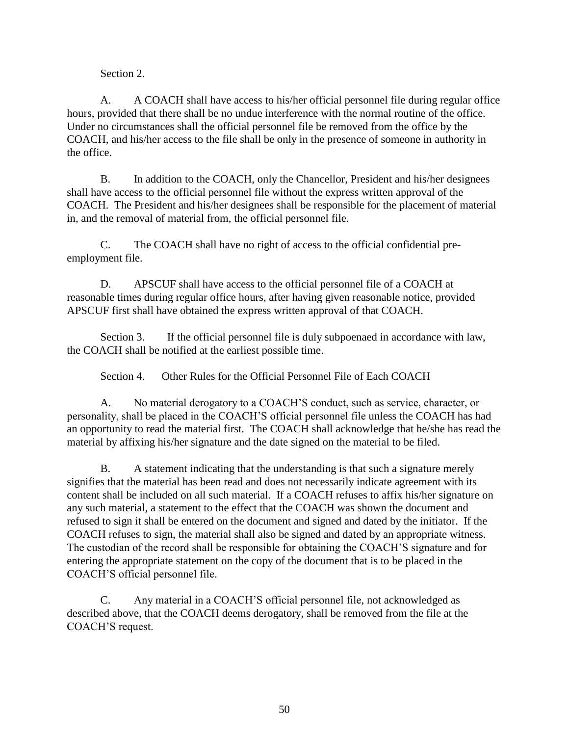Section 2.

A. A COACH shall have access to his/her official personnel file during regular office hours, provided that there shall be no undue interference with the normal routine of the office. Under no circumstances shall the official personnel file be removed from the office by the COACH, and his/her access to the file shall be only in the presence of someone in authority in the office.

B. In addition to the COACH, only the Chancellor, President and his/her designees shall have access to the official personnel file without the express written approval of the COACH. The President and his/her designees shall be responsible for the placement of material in, and the removal of material from, the official personnel file.

C. The COACH shall have no right of access to the official confidential preemployment file.

D. APSCUF shall have access to the official personnel file of a COACH at reasonable times during regular office hours, after having given reasonable notice, provided APSCUF first shall have obtained the express written approval of that COACH.

Section 3. If the official personnel file is duly subpoenaed in accordance with law, the COACH shall be notified at the earliest possible time.

Section 4. Other Rules for the Official Personnel File of Each COACH

A. No material derogatory to a COACH'S conduct, such as service, character, or personality, shall be placed in the COACH'S official personnel file unless the COACH has had an opportunity to read the material first. The COACH shall acknowledge that he/she has read the material by affixing his/her signature and the date signed on the material to be filed.

B. A statement indicating that the understanding is that such a signature merely signifies that the material has been read and does not necessarily indicate agreement with its content shall be included on all such material. If a COACH refuses to affix his/her signature on any such material, a statement to the effect that the COACH was shown the document and refused to sign it shall be entered on the document and signed and dated by the initiator. If the COACH refuses to sign, the material shall also be signed and dated by an appropriate witness. The custodian of the record shall be responsible for obtaining the COACH'S signature and for entering the appropriate statement on the copy of the document that is to be placed in the COACH'S official personnel file.

C. Any material in a COACH'S official personnel file, not acknowledged as described above, that the COACH deems derogatory, shall be removed from the file at the COACH'S request.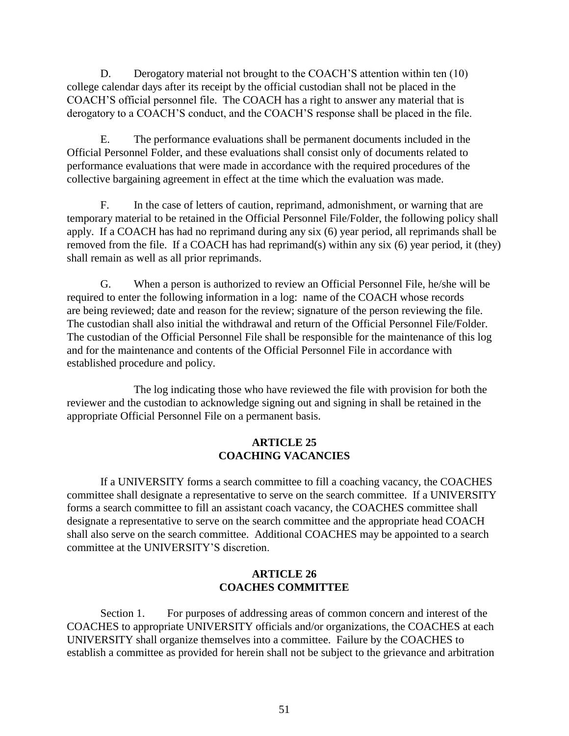D. Derogatory material not brought to the COACH'S attention within ten (10) college calendar days after its receipt by the official custodian shall not be placed in the COACH'S official personnel file. The COACH has a right to answer any material that is derogatory to a COACH'S conduct, and the COACH'S response shall be placed in the file.

E. The performance evaluations shall be permanent documents included in the Official Personnel Folder, and these evaluations shall consist only of documents related to performance evaluations that were made in accordance with the required procedures of the collective bargaining agreement in effect at the time which the evaluation was made.

F. In the case of letters of caution, reprimand, admonishment, or warning that are temporary material to be retained in the Official Personnel File/Folder, the following policy shall apply. If a COACH has had no reprimand during any six (6) year period, all reprimands shall be removed from the file. If a COACH has had reprimand(s) within any six (6) year period, it (they) shall remain as well as all prior reprimands.

G. When a person is authorized to review an Official Personnel File, he/she will be required to enter the following information in a log: name of the COACH whose records are being reviewed; date and reason for the review; signature of the person reviewing the file. The custodian shall also initial the withdrawal and return of the Official Personnel File/Folder. The custodian of the Official Personnel File shall be responsible for the maintenance of this log and for the maintenance and contents of the Official Personnel File in accordance with established procedure and policy.

The log indicating those who have reviewed the file with provision for both the reviewer and the custodian to acknowledge signing out and signing in shall be retained in the appropriate Official Personnel File on a permanent basis.

#### **ARTICLE 25 COACHING VACANCIES**

If a UNIVERSITY forms a search committee to fill a coaching vacancy, the COACHES committee shall designate a representative to serve on the search committee. If a UNIVERSITY forms a search committee to fill an assistant coach vacancy, the COACHES committee shall designate a representative to serve on the search committee and the appropriate head COACH shall also serve on the search committee. Additional COACHES may be appointed to a search committee at the UNIVERSITY'S discretion.

#### **ARTICLE 26 COACHES COMMITTEE**

Section 1. For purposes of addressing areas of common concern and interest of the COACHES to appropriate UNIVERSITY officials and/or organizations, the COACHES at each UNIVERSITY shall organize themselves into a committee. Failure by the COACHES to establish a committee as provided for herein shall not be subject to the grievance and arbitration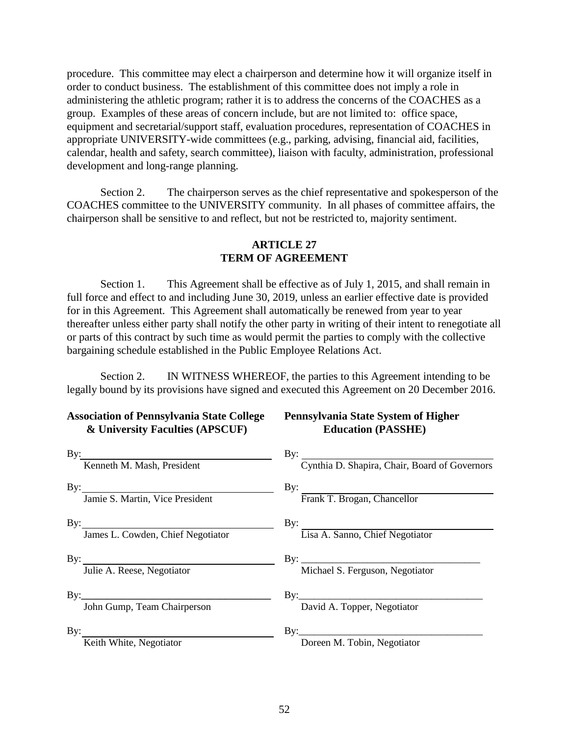procedure. This committee may elect a chairperson and determine how it will organize itself in order to conduct business. The establishment of this committee does not imply a role in administering the athletic program; rather it is to address the concerns of the COACHES as a group. Examples of these areas of concern include, but are not limited to: office space, equipment and secretarial/support staff, evaluation procedures, representation of COACHES in appropriate UNIVERSITY-wide committees (e.g., parking, advising, financial aid, facilities, calendar, health and safety, search committee), liaison with faculty, administration, professional development and long-range planning.

Section 2. The chairperson serves as the chief representative and spokesperson of the COACHES committee to the UNIVERSITY community. In all phases of committee affairs, the chairperson shall be sensitive to and reflect, but not be restricted to, majority sentiment.

#### **ARTICLE 27 TERM OF AGREEMENT**

Section 1. This Agreement shall be effective as of July 1, 2015, and shall remain in full force and effect to and including June 30, 2019, unless an earlier effective date is provided for in this Agreement. This Agreement shall automatically be renewed from year to year thereafter unless either party shall notify the other party in writing of their intent to renegotiate all or parts of this contract by such time as would permit the parties to comply with the collective bargaining schedule established in the Public Employee Relations Act.

Section 2. IN WITNESS WHEREOF, the parties to this Agreement intending to be legally bound by its provisions have signed and executed this Agreement on 20 December 2016.

#### **Association of Pennsylvania State College Pennsylvania State System of Higher & University Faculties (APSCUF) Education (PASSHE)**

| By:<br>Kenneth M. Mash, President                        | By: Cynthia D. Shapira, Chair, Board of Governors |
|----------------------------------------------------------|---------------------------------------------------|
| By: $\qquad \qquad$<br>Jamie S. Martin, Vice President   | By: Frank T. Brogan, Chancellor                   |
| By: $\qquad \qquad$<br>James L. Cowden, Chief Negotiator | By: Lisa A. Sanno, Chief Negotiator               |
| By: $\qquad \qquad$<br>Julie A. Reese, Negotiator        | Michael S. Ferguson, Negotiator                   |
| John Gump, Team Chairperson                              | David A. Topper, Negotiator                       |
| By: Keith White, Negotiator                              | Doreen M. Tobin, Negotiator                       |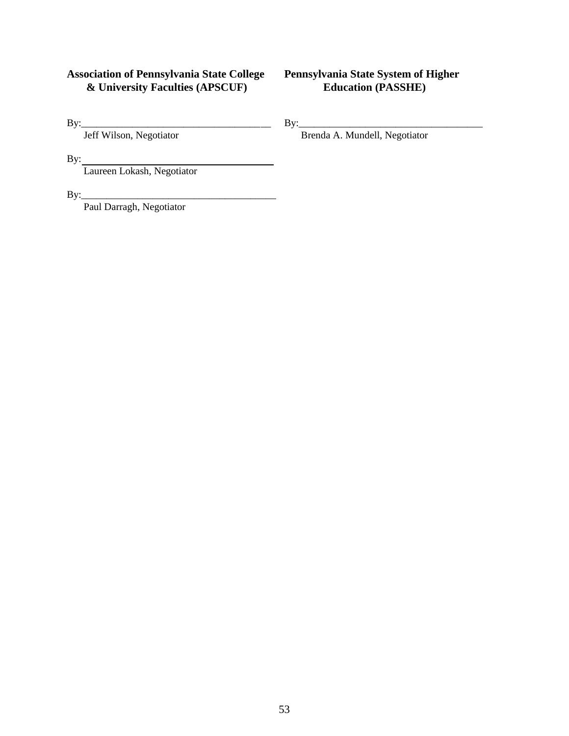#### **Association of Pennsylvania State College Pennsylvania State System of Higher**   $&$  University Faculties (APSCUF)

By: Jeff Wilson, Negotiator By: By: Brenda A. Mundell, Negotiator Brenda A. Mundell, Negotiator Brenda A. Mundell, Negotiator Brenda A. Mundell, Negotiator Brenda A. Mundell, Negotiator Brenda A. Mundell, Negotiator Brenda Brenda A. Mundell, Negotiator

By:

Laureen Lokash, Negotiator

By:\_\_\_\_\_\_\_\_\_\_\_\_\_\_\_\_\_\_\_\_\_\_\_\_\_\_\_\_\_\_\_\_\_\_\_\_\_\_

Paul Darragh, Negotiator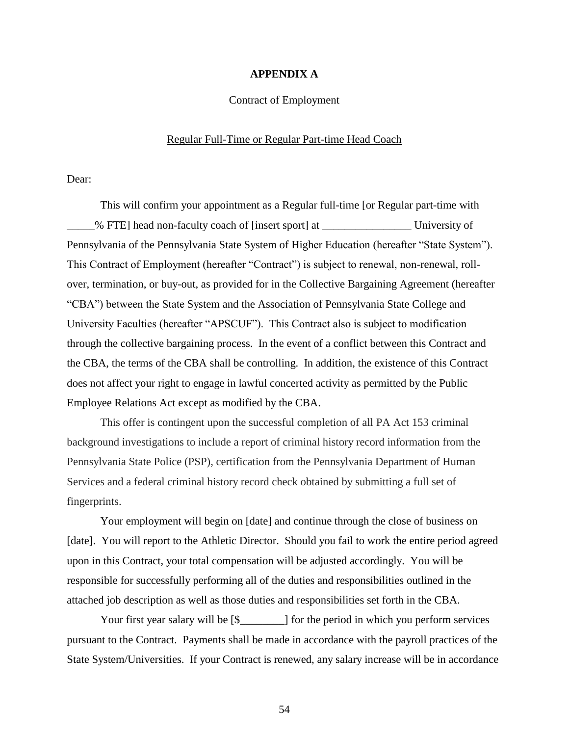#### **APPENDIX A**

#### Contract of Employment

#### Regular Full-Time or Regular Part-time Head Coach

Dear:

This will confirm your appointment as a Regular full-time [or Regular part-time with \_\_\_\_\_% FTE] head non-faculty coach of [insert sport] at \_\_\_\_\_\_\_\_\_\_\_\_\_\_\_\_ University of Pennsylvania of the Pennsylvania State System of Higher Education (hereafter "State System"). This Contract of Employment (hereafter "Contract") is subject to renewal, non-renewal, rollover, termination, or buy-out, as provided for in the Collective Bargaining Agreement (hereafter "CBA") between the State System and the Association of Pennsylvania State College and University Faculties (hereafter "APSCUF"). This Contract also is subject to modification through the collective bargaining process. In the event of a conflict between this Contract and the CBA, the terms of the CBA shall be controlling. In addition, the existence of this Contract does not affect your right to engage in lawful concerted activity as permitted by the Public Employee Relations Act except as modified by the CBA.

This offer is contingent upon the successful completion of all PA Act 153 criminal background investigations to include a report of criminal history record information from the Pennsylvania State Police (PSP), certification from the Pennsylvania Department of Human Services and a federal criminal history record check obtained by submitting a full set of fingerprints.

Your employment will begin on [date] and continue through the close of business on [date]. You will report to the Athletic Director. Should you fail to work the entire period agreed upon in this Contract, your total compensation will be adjusted accordingly. You will be responsible for successfully performing all of the duties and responsibilities outlined in the attached job description as well as those duties and responsibilities set forth in the CBA.

Your first year salary will be  $[\$$  \_\_\_\_\_\_\_] for the period in which you perform services pursuant to the Contract. Payments shall be made in accordance with the payroll practices of the State System/Universities. If your Contract is renewed, any salary increase will be in accordance

54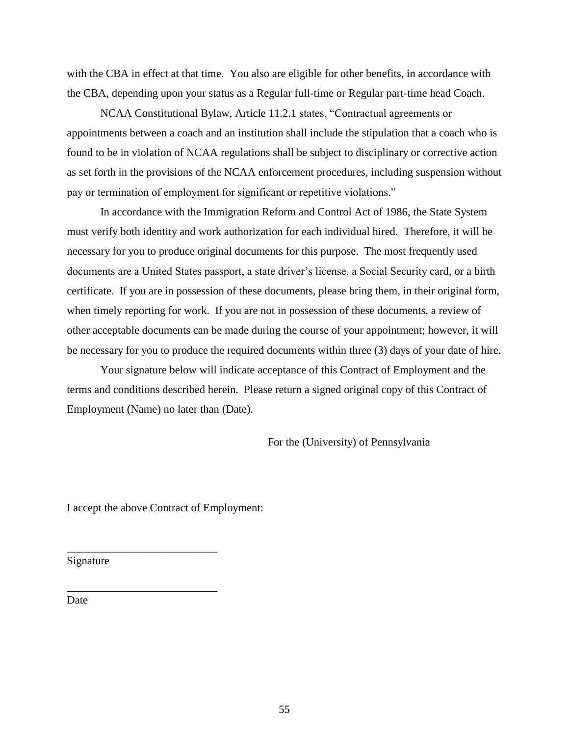with the CBA in effect at that time. You also are eligible for other benefits, in accordance with the CBA, depending upon your status as a Regular full-time or Regular part-time head Coach.

NCAA Constitutional Bylaw, Article 11.2.1 states, "Contractual agreements or appointments between a coach and an institution shall include the stipulation that a coach who is found to be in violation of NCAA regulations shall be subject to disciplinary or corrective action as set forth in the provisions of the NCAA enforcement procedures, including suspension without pay or termination of employment for significant or repetitive violations."

In accordance with the Immigration Reform and Control Act of 1986, the State System must verify both identity and work authorization for each individual hired. Therefore, it will be necessary for you to produce original documents for this purpose. The most frequently used documents are a United States passport, a state driver's license, a Social Security card, or a birth certificate. If you are in possession of these documents, please bring them, in their original form, when timely reporting for work. If you are not in possession of these documents, a review of other acceptable documents can be made during the course of your appointment; however, it will be necessary for you to produce the required documents within three (3) days of your date of hire.

Your signature below will indicate acceptance of this Contract of Employment and the terms and conditions described herein. Please return a signed original copy of this Contract of Employment (Name) no later than (Date).

For the (University) of Pennsylvania

I accept the above Contract of Employment:

\_\_\_\_\_\_\_\_\_\_\_\_\_\_\_\_\_\_\_\_\_\_\_\_\_\_\_

\_\_\_\_\_\_\_\_\_\_\_\_\_\_\_\_\_\_\_\_\_\_\_\_\_\_\_

Signature

Date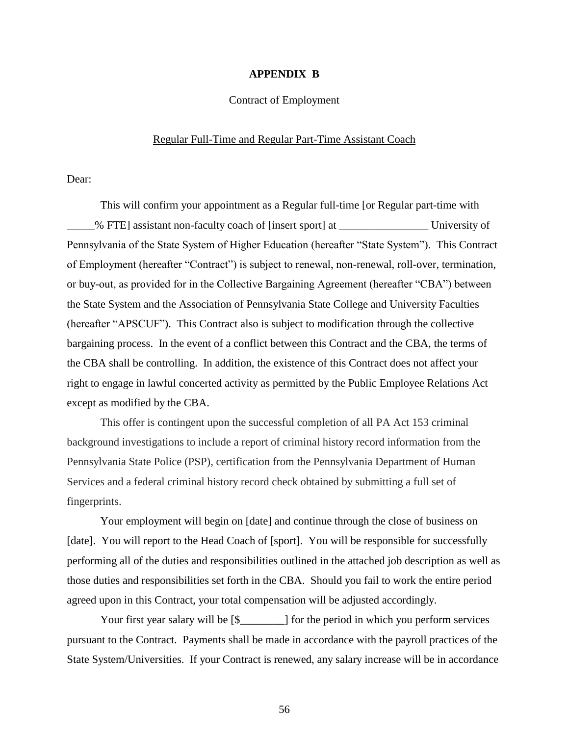#### **APPENDIX B**

#### Contract of Employment

#### Regular Full-Time and Regular Part-Time Assistant Coach

Dear:

This will confirm your appointment as a Regular full-time [or Regular part-time with \_\_\_\_\_% FTE] assistant non-faculty coach of [insert sport] at \_\_\_\_\_\_\_\_\_\_\_\_\_\_\_\_ University of Pennsylvania of the State System of Higher Education (hereafter "State System"). This Contract of Employment (hereafter "Contract") is subject to renewal, non-renewal, roll-over, termination, or buy-out, as provided for in the Collective Bargaining Agreement (hereafter "CBA") between the State System and the Association of Pennsylvania State College and University Faculties (hereafter "APSCUF"). This Contract also is subject to modification through the collective bargaining process. In the event of a conflict between this Contract and the CBA, the terms of the CBA shall be controlling. In addition, the existence of this Contract does not affect your right to engage in lawful concerted activity as permitted by the Public Employee Relations Act except as modified by the CBA.

This offer is contingent upon the successful completion of all PA Act 153 criminal background investigations to include a report of criminal history record information from the Pennsylvania State Police (PSP), certification from the Pennsylvania Department of Human Services and a federal criminal history record check obtained by submitting a full set of fingerprints.

Your employment will begin on [date] and continue through the close of business on [date]. You will report to the Head Coach of [sport]. You will be responsible for successfully performing all of the duties and responsibilities outlined in the attached job description as well as those duties and responsibilities set forth in the CBA. Should you fail to work the entire period agreed upon in this Contract, your total compensation will be adjusted accordingly.

Your first year salary will be  $[\$$  \_\_\_\_\_\_\_] for the period in which you perform services pursuant to the Contract. Payments shall be made in accordance with the payroll practices of the State System/Universities. If your Contract is renewed, any salary increase will be in accordance

56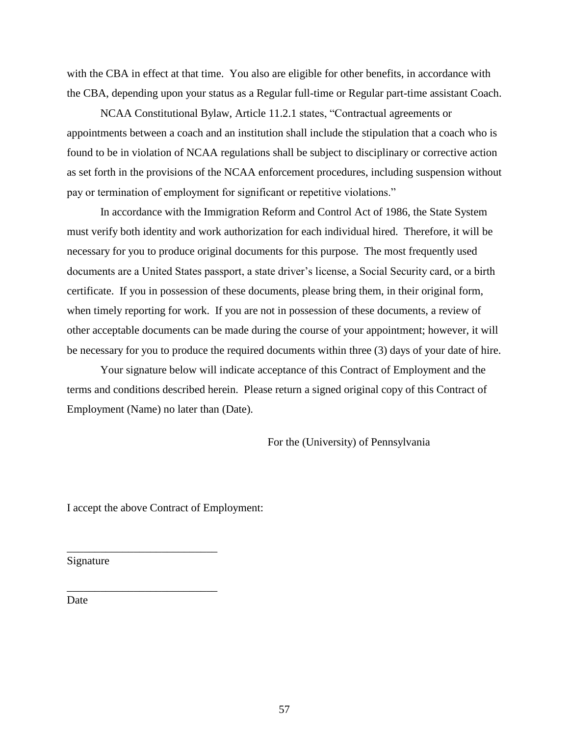with the CBA in effect at that time. You also are eligible for other benefits, in accordance with the CBA, depending upon your status as a Regular full-time or Regular part-time assistant Coach.

NCAA Constitutional Bylaw, Article 11.2.1 states, "Contractual agreements or appointments between a coach and an institution shall include the stipulation that a coach who is found to be in violation of NCAA regulations shall be subject to disciplinary or corrective action as set forth in the provisions of the NCAA enforcement procedures, including suspension without pay or termination of employment for significant or repetitive violations."

In accordance with the Immigration Reform and Control Act of 1986, the State System must verify both identity and work authorization for each individual hired. Therefore, it will be necessary for you to produce original documents for this purpose. The most frequently used documents are a United States passport, a state driver's license, a Social Security card, or a birth certificate. If you in possession of these documents, please bring them, in their original form, when timely reporting for work. If you are not in possession of these documents, a review of other acceptable documents can be made during the course of your appointment; however, it will be necessary for you to produce the required documents within three (3) days of your date of hire.

Your signature below will indicate acceptance of this Contract of Employment and the terms and conditions described herein. Please return a signed original copy of this Contract of Employment (Name) no later than (Date).

For the (University) of Pennsylvania

I accept the above Contract of Employment:

\_\_\_\_\_\_\_\_\_\_\_\_\_\_\_\_\_\_\_\_\_\_\_\_\_\_\_

\_\_\_\_\_\_\_\_\_\_\_\_\_\_\_\_\_\_\_\_\_\_\_\_\_\_\_

Signature

Date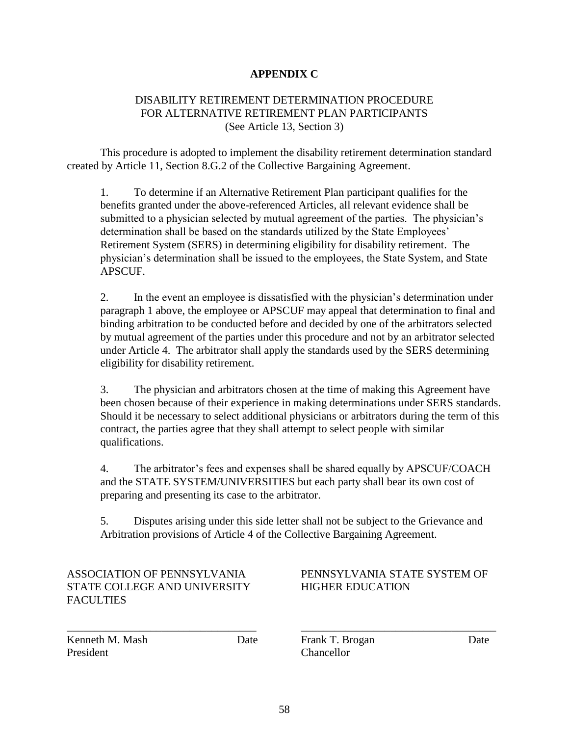#### **APPENDIX C**

#### DISABILITY RETIREMENT DETERMINATION PROCEDURE FOR ALTERNATIVE RETIREMENT PLAN PARTICIPANTS (See Article 13, Section 3)

This procedure is adopted to implement the disability retirement determination standard created by Article 11, Section 8.G.2 of the Collective Bargaining Agreement.

1. To determine if an Alternative Retirement Plan participant qualifies for the benefits granted under the above-referenced Articles, all relevant evidence shall be submitted to a physician selected by mutual agreement of the parties. The physician's determination shall be based on the standards utilized by the State Employees' Retirement System (SERS) in determining eligibility for disability retirement. The physician's determination shall be issued to the employees, the State System, and State APSCUF.

2. In the event an employee is dissatisfied with the physician's determination under paragraph 1 above, the employee or APSCUF may appeal that determination to final and binding arbitration to be conducted before and decided by one of the arbitrators selected by mutual agreement of the parties under this procedure and not by an arbitrator selected under Article 4. The arbitrator shall apply the standards used by the SERS determining eligibility for disability retirement.

3. The physician and arbitrators chosen at the time of making this Agreement have been chosen because of their experience in making determinations under SERS standards. Should it be necessary to select additional physicians or arbitrators during the term of this contract, the parties agree that they shall attempt to select people with similar qualifications.

4. The arbitrator's fees and expenses shall be shared equally by APSCUF/COACH and the STATE SYSTEM/UNIVERSITIES but each party shall bear its own cost of preparing and presenting its case to the arbitrator.

5. Disputes arising under this side letter shall not be subject to the Grievance and Arbitration provisions of Article 4 of the Collective Bargaining Agreement.

# STATE COLLEGE AND UNIVERSITY HIGHER EDUCATION FACULTIES

# ASSOCIATION OF PENNSYLVANIA PENNSYLVANIA STATE SYSTEM OF

Kenneth M. Mash Date Frank T. Brogan Date Date President Chancellor

\_\_\_\_\_\_\_\_\_\_\_\_\_\_\_\_\_\_\_\_\_\_\_\_\_\_\_\_\_\_\_\_\_\_ \_\_\_\_\_\_\_\_\_\_\_\_\_\_\_\_\_\_\_\_\_\_\_\_\_\_\_\_\_\_\_\_\_\_\_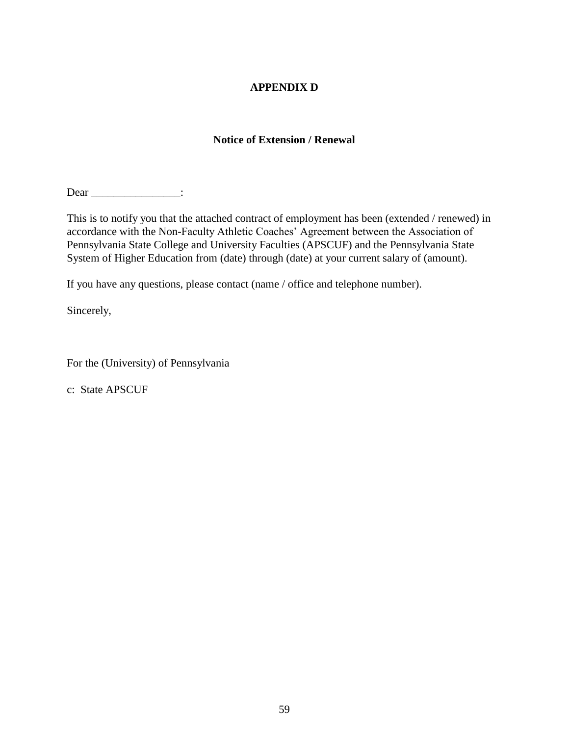#### **APPENDIX D**

#### **Notice of Extension / Renewal**

Dear \_\_\_\_\_\_\_\_\_\_\_\_\_\_\_:

This is to notify you that the attached contract of employment has been (extended / renewed) in accordance with the Non-Faculty Athletic Coaches' Agreement between the Association of Pennsylvania State College and University Faculties (APSCUF) and the Pennsylvania State System of Higher Education from (date) through (date) at your current salary of (amount).

If you have any questions, please contact (name / office and telephone number).

Sincerely,

For the (University) of Pennsylvania

c: State APSCUF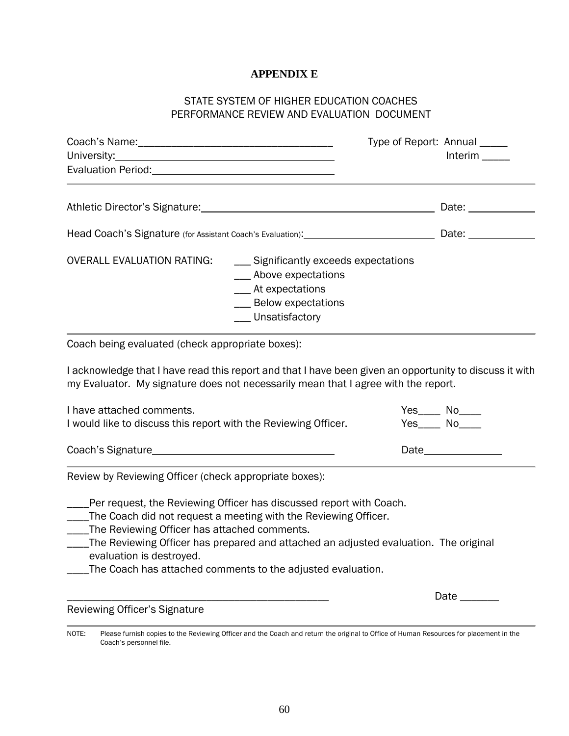#### **APPENDIX E**

### STATE SYSTEM OF HIGHER EDUCATION COACHES PERFORMANCE REVIEW AND EVALUATION DOCUMENT

|                                                                                                                                                                                                                                                                                                                                                                                  | Date: _______________               |
|----------------------------------------------------------------------------------------------------------------------------------------------------------------------------------------------------------------------------------------------------------------------------------------------------------------------------------------------------------------------------------|-------------------------------------|
|                                                                                                                                                                                                                                                                                                                                                                                  |                                     |
|                                                                                                                                                                                                                                                                                                                                                                                  |                                     |
| <b>OVERALL EVALUATION RATING:</b><br>__ Significantly exceeds expectations<br>___ Above expectations<br>__ At expectations<br>___ Below expectations<br>__ Unsatisfactory                                                                                                                                                                                                        |                                     |
| Coach being evaluated (check appropriate boxes):                                                                                                                                                                                                                                                                                                                                 |                                     |
| I acknowledge that I have read this report and that I have been given an opportunity to discuss it with<br>my Evaluator. My signature does not necessarily mean that I agree with the report.                                                                                                                                                                                    |                                     |
| I have attached comments.<br>I would like to discuss this report with the Reviewing Officer.                                                                                                                                                                                                                                                                                     | Yes_____ No_____<br>$Yes$ No_______ |
|                                                                                                                                                                                                                                                                                                                                                                                  |                                     |
| Review by Reviewing Officer (check appropriate boxes):                                                                                                                                                                                                                                                                                                                           |                                     |
| Per request, the Reviewing Officer has discussed report with Coach.<br>___The Coach did not request a meeting with the Reviewing Officer.<br>____The Reviewing Officer has attached comments.<br>The Reviewing Officer has prepared and attached an adjusted evaluation. The original<br>evaluation is destroyed.<br>The Coach has attached comments to the adjusted evaluation. |                                     |
| Reviewing Officer's Signature                                                                                                                                                                                                                                                                                                                                                    | Date ________                       |

NOTE: Please furnish copies to the Reviewing Officer and the Coach and return the original to Office of Human Resources for placement in the Coach's personnel file.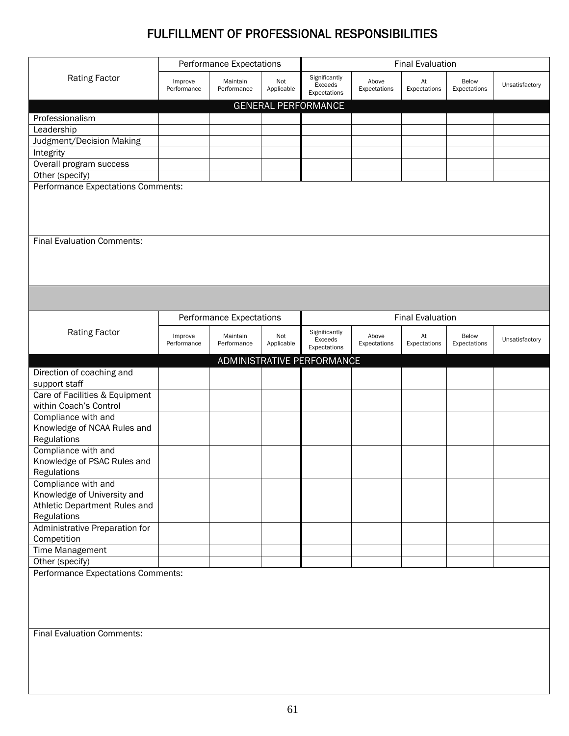# FULFILLMENT OF PROFESSIONAL RESPONSIBILITIES

|                                                              |                        | Performance Expectations |                   | <b>Final Evaluation</b>                  |                       |                         |                       |                |
|--------------------------------------------------------------|------------------------|--------------------------|-------------------|------------------------------------------|-----------------------|-------------------------|-----------------------|----------------|
| <b>Rating Factor</b>                                         | Improve<br>Performance | Maintain<br>Performance  | Not<br>Applicable | Significantly<br>Exceeds<br>Expectations | Above<br>Expectations | At<br>Expectations      | Below<br>Expectations | Unsatisfactory |
|                                                              |                        |                          |                   | <b>GENERAL PERFORMANCE</b>               |                       |                         |                       |                |
| Professionalism                                              |                        |                          |                   |                                          |                       |                         |                       |                |
| Leadership                                                   |                        |                          |                   |                                          |                       |                         |                       |                |
| Judgment/Decision Making                                     |                        |                          |                   |                                          |                       |                         |                       |                |
| Integrity                                                    |                        |                          |                   |                                          |                       |                         |                       |                |
| Overall program success                                      |                        |                          |                   |                                          |                       |                         |                       |                |
| Other (specify)                                              |                        |                          |                   |                                          |                       |                         |                       |                |
| Performance Expectations Comments:                           |                        |                          |                   |                                          |                       |                         |                       |                |
| <b>Final Evaluation Comments:</b>                            |                        |                          |                   |                                          |                       |                         |                       |                |
|                                                              |                        |                          |                   |                                          |                       |                         |                       |                |
|                                                              |                        | Performance Expectations |                   |                                          |                       | <b>Final Evaluation</b> |                       |                |
| <b>Rating Factor</b>                                         | Improve<br>Performance | Maintain<br>Performance  | Not<br>Applicable | Significantly<br>Exceeds<br>Expectations | Above<br>Expectations | At<br>Expectations      | Below<br>Expectations | Unsatisfactory |
|                                                              |                        |                          |                   | ADMINISTRATIVE PERFORMANCE               |                       |                         |                       |                |
| Direction of coaching and                                    |                        |                          |                   |                                          |                       |                         |                       |                |
| support staff                                                |                        |                          |                   |                                          |                       |                         |                       |                |
| Care of Facilities & Equipment                               |                        |                          |                   |                                          |                       |                         |                       |                |
| within Coach's Control                                       |                        |                          |                   |                                          |                       |                         |                       |                |
| Compliance with and                                          |                        |                          |                   |                                          |                       |                         |                       |                |
| Knowledge of NCAA Rules and                                  |                        |                          |                   |                                          |                       |                         |                       |                |
| Regulations                                                  |                        |                          |                   |                                          |                       |                         |                       |                |
| Compliance with and                                          |                        |                          |                   |                                          |                       |                         |                       |                |
| Knowledge of PSAC Rules and                                  |                        |                          |                   |                                          |                       |                         |                       |                |
| Regulations                                                  |                        |                          |                   |                                          |                       |                         |                       |                |
| Compliance with and                                          |                        |                          |                   |                                          |                       |                         |                       |                |
| Knowledge of University and<br>Athletic Department Rules and |                        |                          |                   |                                          |                       |                         |                       |                |
| Regulations                                                  |                        |                          |                   |                                          |                       |                         |                       |                |
| Administrative Preparation for                               |                        |                          |                   |                                          |                       |                         |                       |                |
| Competition                                                  |                        |                          |                   |                                          |                       |                         |                       |                |
| Time Management                                              |                        |                          |                   |                                          |                       |                         |                       |                |
| Other (specify)                                              |                        |                          |                   |                                          |                       |                         |                       |                |
| Performance Expectations Comments:                           |                        |                          |                   |                                          |                       |                         |                       |                |
|                                                              |                        |                          |                   |                                          |                       |                         |                       |                |
|                                                              |                        |                          |                   |                                          |                       |                         |                       |                |
|                                                              |                        |                          |                   |                                          |                       |                         |                       |                |
|                                                              |                        |                          |                   |                                          |                       |                         |                       |                |
|                                                              |                        |                          |                   |                                          |                       |                         |                       |                |
|                                                              |                        |                          |                   |                                          |                       |                         |                       |                |
| <b>Final Evaluation Comments:</b>                            |                        |                          |                   |                                          |                       |                         |                       |                |
|                                                              |                        |                          |                   |                                          |                       |                         |                       |                |
|                                                              |                        |                          |                   |                                          |                       |                         |                       |                |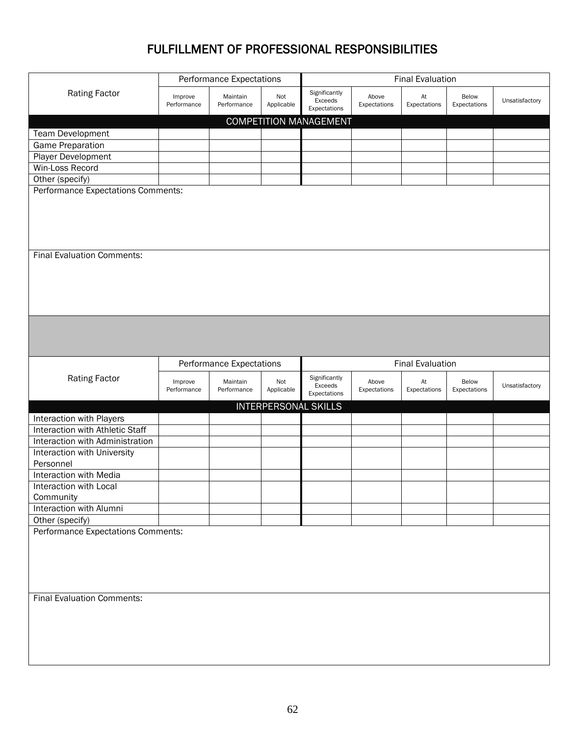# FULFILLMENT OF PROFESSIONAL RESPONSIBILITIES

|                                          | <b>Performance Expectations</b><br><b>Final Evaluation</b> |                         |                   |                                          |                       |                    |                       |                |
|------------------------------------------|------------------------------------------------------------|-------------------------|-------------------|------------------------------------------|-----------------------|--------------------|-----------------------|----------------|
| <b>Rating Factor</b>                     | Improve<br>Performance                                     | Maintain<br>Performance | Not<br>Applicable | Significantly<br>Exceeds<br>Expectations | Above<br>Expectations | At<br>Expectations | Below<br>Expectations | Unsatisfactory |
|                                          |                                                            |                         |                   | <b>COMPETITION MANAGEMENT</b>            |                       |                    |                       |                |
| Team Development                         |                                                            |                         |                   |                                          |                       |                    |                       |                |
| Game Preparation                         |                                                            |                         |                   |                                          |                       |                    |                       |                |
| Player Development                       |                                                            |                         |                   |                                          |                       |                    |                       |                |
| Win-Loss Record                          |                                                            |                         |                   |                                          |                       |                    |                       |                |
| Other (specify)                          |                                                            |                         |                   |                                          |                       |                    |                       |                |
| Performance Expectations Comments:       |                                                            |                         |                   |                                          |                       |                    |                       |                |
| <b>Final Evaluation Comments:</b>        |                                                            |                         |                   |                                          |                       |                    |                       |                |
|                                          |                                                            |                         |                   |                                          |                       |                    |                       |                |
|                                          | <b>Performance Expectations</b>                            |                         |                   | <b>Final Evaluation</b>                  |                       |                    |                       |                |
| <b>Rating Factor</b>                     | Improve<br>Performance                                     | Maintain<br>Performance | Not<br>Applicable | Significantly<br>Exceeds<br>Expectations | Above<br>Expectations | At<br>Expectations | Below<br>Expectations | Unsatisfactory |
|                                          |                                                            |                         |                   | <b>INTERPERSONAL SKILLS</b>              |                       |                    |                       |                |
| Interaction with Players                 |                                                            |                         |                   |                                          |                       |                    |                       |                |
| Interaction with Athletic Staff          |                                                            |                         |                   |                                          |                       |                    |                       |                |
| Interaction with Administration          |                                                            |                         |                   |                                          |                       |                    |                       |                |
| Interaction with University<br>Personnel |                                                            |                         |                   |                                          |                       |                    |                       |                |
| Interaction with Media                   |                                                            |                         |                   |                                          |                       |                    |                       |                |
| Interaction with Local<br>Community      |                                                            |                         |                   |                                          |                       |                    |                       |                |
| Interaction with Alumni                  |                                                            |                         |                   |                                          |                       |                    |                       |                |
| Other (specify)                          |                                                            |                         |                   |                                          |                       |                    |                       |                |
| Performance Expectations Comments:       |                                                            |                         |                   |                                          |                       |                    |                       |                |
| <b>Final Evaluation Comments:</b>        |                                                            |                         |                   |                                          |                       |                    |                       |                |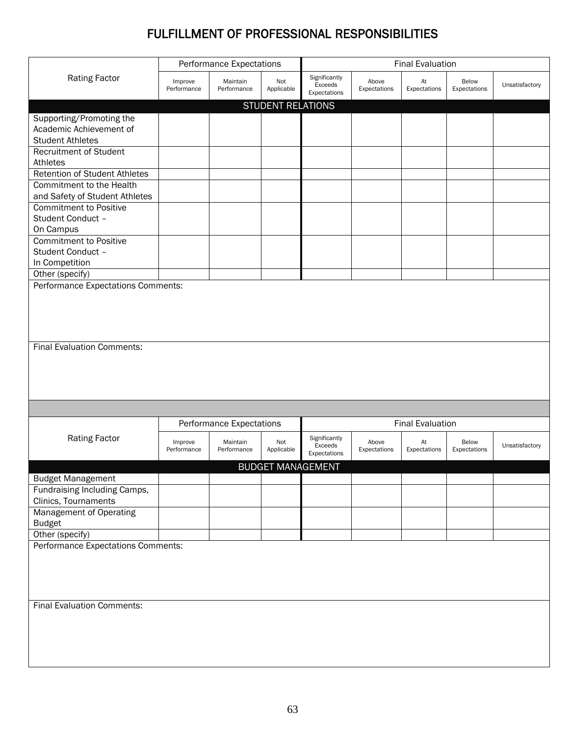# FULFILLMENT OF PROFESSIONAL RESPONSIBILITIES

|                                      |                        | Performance Expectations<br><b>Final Evaluation</b> |                          |                                          |                       |                    |                       |                |
|--------------------------------------|------------------------|-----------------------------------------------------|--------------------------|------------------------------------------|-----------------------|--------------------|-----------------------|----------------|
| <b>Rating Factor</b>                 | Improve<br>Performance | Maintain<br>Performance                             | Not<br>Applicable        | Significantly<br>Exceeds<br>Expectations | Above<br>Expectations | At<br>Expectations | Below<br>Expectations | Unsatisfactory |
|                                      |                        |                                                     | <b>STUDENT RELATIONS</b> |                                          |                       |                    |                       |                |
| Supporting/Promoting the             |                        |                                                     |                          |                                          |                       |                    |                       |                |
| Academic Achievement of              |                        |                                                     |                          |                                          |                       |                    |                       |                |
| <b>Student Athletes</b>              |                        |                                                     |                          |                                          |                       |                    |                       |                |
| <b>Recruitment of Student</b>        |                        |                                                     |                          |                                          |                       |                    |                       |                |
| Athletes                             |                        |                                                     |                          |                                          |                       |                    |                       |                |
| <b>Retention of Student Athletes</b> |                        |                                                     |                          |                                          |                       |                    |                       |                |
| Commitment to the Health             |                        |                                                     |                          |                                          |                       |                    |                       |                |
| and Safety of Student Athletes       |                        |                                                     |                          |                                          |                       |                    |                       |                |
| <b>Commitment to Positive</b>        |                        |                                                     |                          |                                          |                       |                    |                       |                |
| Student Conduct -                    |                        |                                                     |                          |                                          |                       |                    |                       |                |
| On Campus                            |                        |                                                     |                          |                                          |                       |                    |                       |                |
| <b>Commitment to Positive</b>        |                        |                                                     |                          |                                          |                       |                    |                       |                |
| Student Conduct -                    |                        |                                                     |                          |                                          |                       |                    |                       |                |
| In Competition                       |                        |                                                     |                          |                                          |                       |                    |                       |                |
| Other (specify)                      |                        |                                                     |                          |                                          |                       |                    |                       |                |
| Performance Expectations Comments:   |                        |                                                     |                          |                                          |                       |                    |                       |                |
|                                      |                        |                                                     |                          |                                          |                       |                    |                       |                |
|                                      |                        |                                                     |                          |                                          |                       |                    |                       |                |
|                                      |                        |                                                     |                          |                                          |                       |                    |                       |                |
|                                      |                        |                                                     |                          |                                          |                       |                    |                       |                |
| <b>Final Evaluation Comments:</b>    |                        |                                                     |                          |                                          |                       |                    |                       |                |
|                                      |                        |                                                     |                          |                                          |                       |                    |                       |                |
|                                      |                        |                                                     |                          |                                          |                       |                    |                       |                |
|                                      |                        |                                                     |                          |                                          |                       |                    |                       |                |
|                                      |                        |                                                     |                          |                                          |                       |                    |                       |                |
|                                      |                        |                                                     |                          |                                          |                       |                    |                       |                |
|                                      |                        |                                                     |                          |                                          |                       |                    |                       |                |
|                                      |                        | <b>Performance Expectations</b>                     |                          | <b>Final Evaluation</b>                  |                       |                    |                       |                |
| <b>Rating Factor</b>                 |                        |                                                     |                          | Significantly                            |                       |                    |                       |                |
|                                      | Improve<br>Performance | Maintain<br>Performance                             | Not<br>Applicable        | Exceeds                                  | Above<br>Expectations | At<br>Expectations | Below<br>Expectations | Unsatisfactory |
|                                      |                        |                                                     |                          | Expectations                             |                       |                    |                       |                |
|                                      |                        |                                                     | <b>BUDGET MANAGEMENT</b> |                                          |                       |                    |                       |                |
| <b>Budget Management</b>             |                        |                                                     |                          |                                          |                       |                    |                       |                |
| Fundraising Including Camps,         |                        |                                                     |                          |                                          |                       |                    |                       |                |
| Clinics, Tournaments                 |                        |                                                     |                          |                                          |                       |                    |                       |                |
| Management of Operating              |                        |                                                     |                          |                                          |                       |                    |                       |                |
| <b>Budget</b>                        |                        |                                                     |                          |                                          |                       |                    |                       |                |
| Other (specify)                      |                        |                                                     |                          |                                          |                       |                    |                       |                |
| Performance Expectations Comments:   |                        |                                                     |                          |                                          |                       |                    |                       |                |
|                                      |                        |                                                     |                          |                                          |                       |                    |                       |                |
|                                      |                        |                                                     |                          |                                          |                       |                    |                       |                |
|                                      |                        |                                                     |                          |                                          |                       |                    |                       |                |
|                                      |                        |                                                     |                          |                                          |                       |                    |                       |                |
| <b>Final Evaluation Comments:</b>    |                        |                                                     |                          |                                          |                       |                    |                       |                |
|                                      |                        |                                                     |                          |                                          |                       |                    |                       |                |
|                                      |                        |                                                     |                          |                                          |                       |                    |                       |                |
|                                      |                        |                                                     |                          |                                          |                       |                    |                       |                |
|                                      |                        |                                                     |                          |                                          |                       |                    |                       |                |
|                                      |                        |                                                     |                          |                                          |                       |                    |                       |                |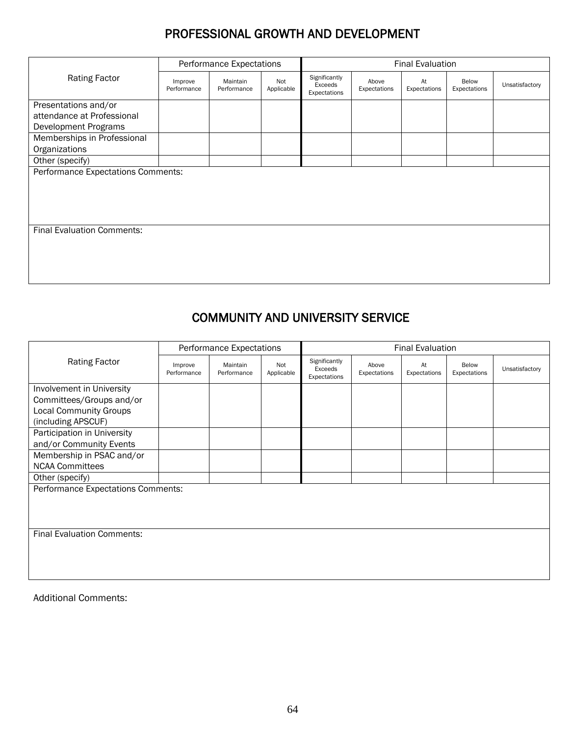# PROFESSIONAL GROWTH AND DEVELOPMENT

|                                                                            | Performance Expectations |                         |                   | <b>Final Evaluation</b>                  |                       |                    |                       |                |
|----------------------------------------------------------------------------|--------------------------|-------------------------|-------------------|------------------------------------------|-----------------------|--------------------|-----------------------|----------------|
| <b>Rating Factor</b>                                                       | Improve<br>Performance   | Maintain<br>Performance | Not<br>Applicable | Significantly<br>Exceeds<br>Expectations | Above<br>Expectations | At<br>Expectations | Below<br>Expectations | Unsatisfactory |
| Presentations and/or<br>attendance at Professional<br>Development Programs |                          |                         |                   |                                          |                       |                    |                       |                |
| Memberships in Professional<br>Organizations                               |                          |                         |                   |                                          |                       |                    |                       |                |
| Other (specify)                                                            |                          |                         |                   |                                          |                       |                    |                       |                |
| Performance Expectations Comments:                                         |                          |                         |                   |                                          |                       |                    |                       |                |
| <b>Final Evaluation Comments:</b>                                          |                          |                         |                   |                                          |                       |                    |                       |                |

# COMMUNITY AND UNIVERSITY SERVICE

|                                    | Performance Expectations |                         |                   | <b>Final Evaluation</b>                  |                       |                    |                       |                |
|------------------------------------|--------------------------|-------------------------|-------------------|------------------------------------------|-----------------------|--------------------|-----------------------|----------------|
| <b>Rating Factor</b>               | Improve<br>Performance   | Maintain<br>Performance | Not<br>Applicable | Significantly<br>Exceeds<br>Expectations | Above<br>Expectations | At<br>Expectations | Below<br>Expectations | Unsatisfactory |
| Involvement in University          |                          |                         |                   |                                          |                       |                    |                       |                |
| Committees/Groups and/or           |                          |                         |                   |                                          |                       |                    |                       |                |
| <b>Local Community Groups</b>      |                          |                         |                   |                                          |                       |                    |                       |                |
| (including APSCUF)                 |                          |                         |                   |                                          |                       |                    |                       |                |
| Participation in University        |                          |                         |                   |                                          |                       |                    |                       |                |
| and/or Community Events            |                          |                         |                   |                                          |                       |                    |                       |                |
| Membership in PSAC and/or          |                          |                         |                   |                                          |                       |                    |                       |                |
| <b>NCAA Committees</b>             |                          |                         |                   |                                          |                       |                    |                       |                |
| Other (specify)                    |                          |                         |                   |                                          |                       |                    |                       |                |
| Performance Expectations Comments: |                          |                         |                   |                                          |                       |                    |                       |                |
|                                    |                          |                         |                   |                                          |                       |                    |                       |                |
|                                    |                          |                         |                   |                                          |                       |                    |                       |                |
|                                    |                          |                         |                   |                                          |                       |                    |                       |                |
| <b>Final Evaluation Comments:</b>  |                          |                         |                   |                                          |                       |                    |                       |                |
|                                    |                          |                         |                   |                                          |                       |                    |                       |                |
|                                    |                          |                         |                   |                                          |                       |                    |                       |                |
|                                    |                          |                         |                   |                                          |                       |                    |                       |                |
|                                    |                          |                         |                   |                                          |                       |                    |                       |                |

Additional Comments: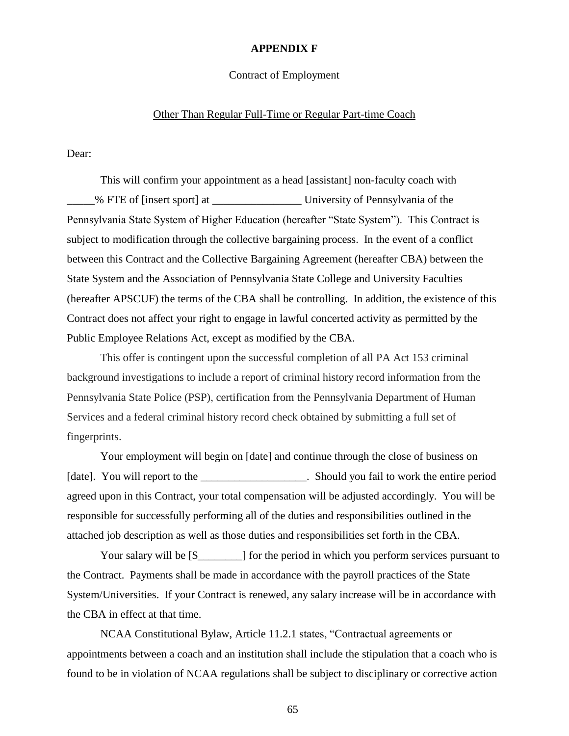#### **APPENDIX F**

#### Contract of Employment

#### Other Than Regular Full-Time or Regular Part-time Coach

Dear:

This will confirm your appointment as a head [assistant] non-faculty coach with % FTE of [insert sport] at University of Pennsylvania of the Pennsylvania State System of Higher Education (hereafter "State System"). This Contract is subject to modification through the collective bargaining process. In the event of a conflict between this Contract and the Collective Bargaining Agreement (hereafter CBA) between the State System and the Association of Pennsylvania State College and University Faculties (hereafter APSCUF) the terms of the CBA shall be controlling. In addition, the existence of this Contract does not affect your right to engage in lawful concerted activity as permitted by the Public Employee Relations Act, except as modified by the CBA.

This offer is contingent upon the successful completion of all PA Act 153 criminal background investigations to include a report of criminal history record information from the Pennsylvania State Police (PSP), certification from the Pennsylvania Department of Human Services and a federal criminal history record check obtained by submitting a full set of fingerprints.

Your employment will begin on [date] and continue through the close of business on [date]. You will report to the \_\_\_\_\_\_\_\_\_\_\_\_\_\_\_\_\_\_\_. Should you fail to work the entire period agreed upon in this Contract, your total compensation will be adjusted accordingly. You will be responsible for successfully performing all of the duties and responsibilities outlined in the attached job description as well as those duties and responsibilities set forth in the CBA.

Your salary will be  $[\$$  [[[[[[[[[[[[[[[[]]]] for the period in which you perform services pursuant to the Contract. Payments shall be made in accordance with the payroll practices of the State System/Universities. If your Contract is renewed, any salary increase will be in accordance with the CBA in effect at that time.

NCAA Constitutional Bylaw, Article 11.2.1 states, "Contractual agreements or appointments between a coach and an institution shall include the stipulation that a coach who is found to be in violation of NCAA regulations shall be subject to disciplinary or corrective action

65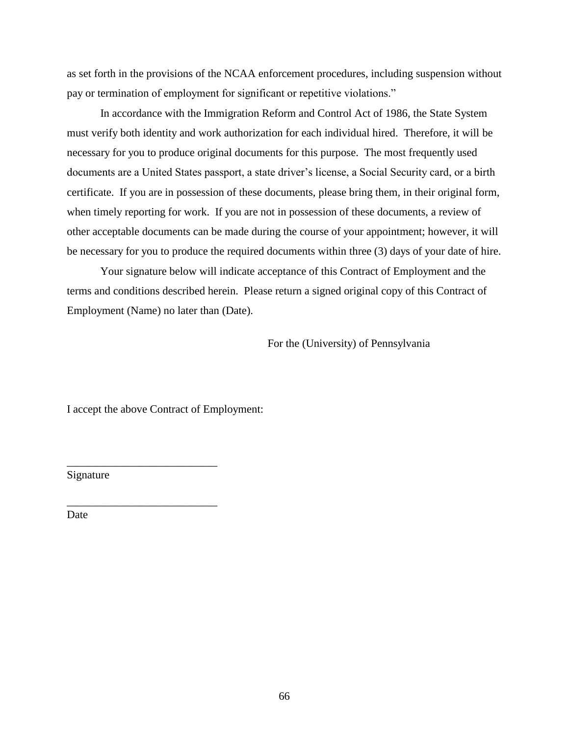as set forth in the provisions of the NCAA enforcement procedures, including suspension without pay or termination of employment for significant or repetitive violations."

In accordance with the Immigration Reform and Control Act of 1986, the State System must verify both identity and work authorization for each individual hired. Therefore, it will be necessary for you to produce original documents for this purpose. The most frequently used documents are a United States passport, a state driver's license, a Social Security card, or a birth certificate. If you are in possession of these documents, please bring them, in their original form, when timely reporting for work. If you are not in possession of these documents, a review of other acceptable documents can be made during the course of your appointment; however, it will be necessary for you to produce the required documents within three (3) days of your date of hire.

Your signature below will indicate acceptance of this Contract of Employment and the terms and conditions described herein. Please return a signed original copy of this Contract of Employment (Name) no later than (Date).

For the (University) of Pennsylvania

I accept the above Contract of Employment:

\_\_\_\_\_\_\_\_\_\_\_\_\_\_\_\_\_\_\_\_\_\_\_\_\_\_\_

\_\_\_\_\_\_\_\_\_\_\_\_\_\_\_\_\_\_\_\_\_\_\_\_\_\_\_

Signature

Date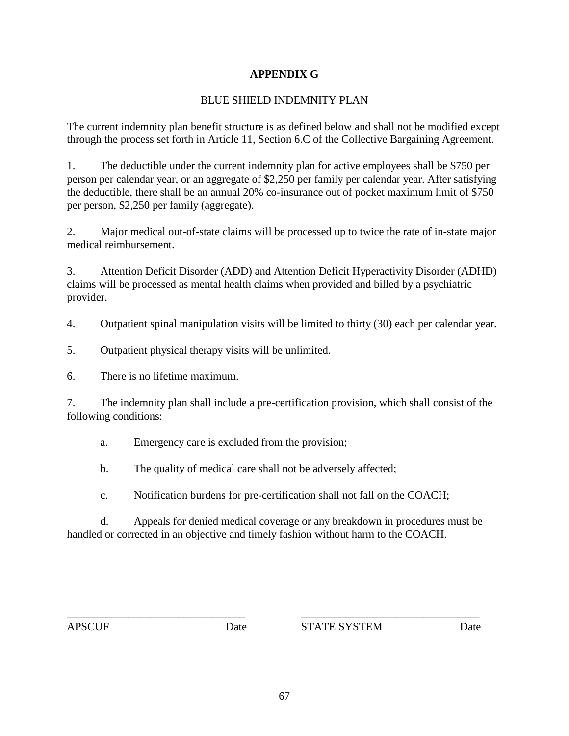#### **APPENDIX G**

#### BLUE SHIELD INDEMNITY PLAN

The current indemnity plan benefit structure is as defined below and shall not be modified except through the process set forth in Article 11, Section 6.C of the Collective Bargaining Agreement.

1. The deductible under the current indemnity plan for active employees shall be \$750 per person per calendar year, or an aggregate of \$2,250 per family per calendar year. After satisfying the deductible, there shall be an annual 20% co-insurance out of pocket maximum limit of \$750 per person, \$2,250 per family (aggregate).

2. Major medical out-of-state claims will be processed up to twice the rate of in-state major medical reimbursement.

3. Attention Deficit Disorder (ADD) and Attention Deficit Hyperactivity Disorder (ADHD) claims will be processed as mental health claims when provided and billed by a psychiatric provider.

4. Outpatient spinal manipulation visits will be limited to thirty (30) each per calendar year.

5. Outpatient physical therapy visits will be unlimited.

6. There is no lifetime maximum.

7. The indemnity plan shall include a pre-certification provision, which shall consist of the following conditions:

a. Emergency care is excluded from the provision;

b. The quality of medical care shall not be adversely affected;

c. Notification burdens for pre-certification shall not fall on the COACH;

d. Appeals for denied medical coverage or any breakdown in procedures must be handled or corrected in an objective and timely fashion without harm to the COACH.

\_\_\_\_\_\_\_\_\_\_\_\_\_\_\_\_\_\_\_\_\_\_\_\_\_\_\_\_\_\_\_\_ \_\_\_\_\_\_\_\_\_\_\_\_\_\_\_\_\_\_\_\_\_\_\_\_\_\_\_\_\_\_\_\_

APSCUF Date STATE SYSTEM Date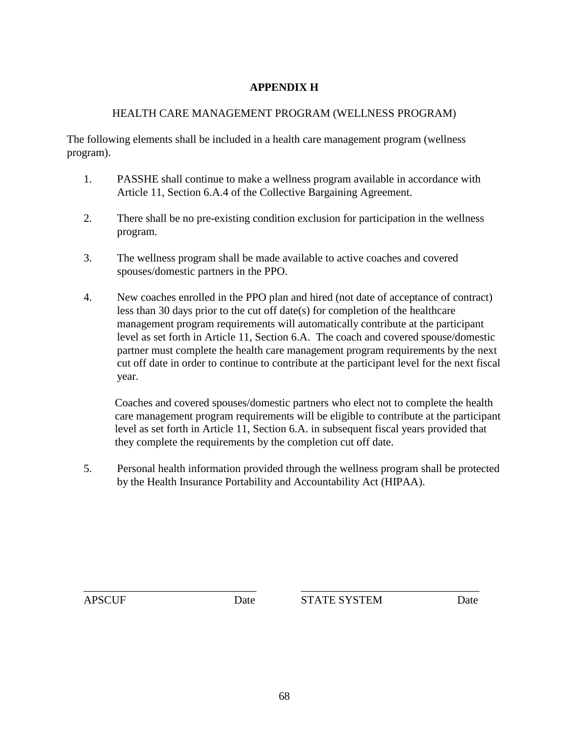#### **APPENDIX H**

#### HEALTH CARE MANAGEMENT PROGRAM (WELLNESS PROGRAM)

The following elements shall be included in a health care management program (wellness program).

- 1. PASSHE shall continue to make a wellness program available in accordance with Article 11, Section 6.A.4 of the Collective Bargaining Agreement.
- 2. There shall be no pre-existing condition exclusion for participation in the wellness program.
- 3. The wellness program shall be made available to active coaches and covered spouses/domestic partners in the PPO.
- 4. New coaches enrolled in the PPO plan and hired (not date of acceptance of contract) less than 30 days prior to the cut off date(s) for completion of the healthcare management program requirements will automatically contribute at the participant level as set forth in Article 11, Section 6.A. The coach and covered spouse/domestic partner must complete the health care management program requirements by the next cut off date in order to continue to contribute at the participant level for the next fiscal year.

Coaches and covered spouses/domestic partners who elect not to complete the health care management program requirements will be eligible to contribute at the participant level as set forth in Article 11, Section 6.A. in subsequent fiscal years provided that they complete the requirements by the completion cut off date.

5. Personal health information provided through the wellness program shall be protected by the Health Insurance Portability and Accountability Act (HIPAA).

APSCUF Date STATE SYSTEM Date

\_\_\_\_\_\_\_\_\_\_\_\_\_\_\_\_\_\_\_\_\_\_\_\_\_\_\_\_\_\_\_ \_\_\_\_\_\_\_\_\_\_\_\_\_\_\_\_\_\_\_\_\_\_\_\_\_\_\_\_\_\_\_\_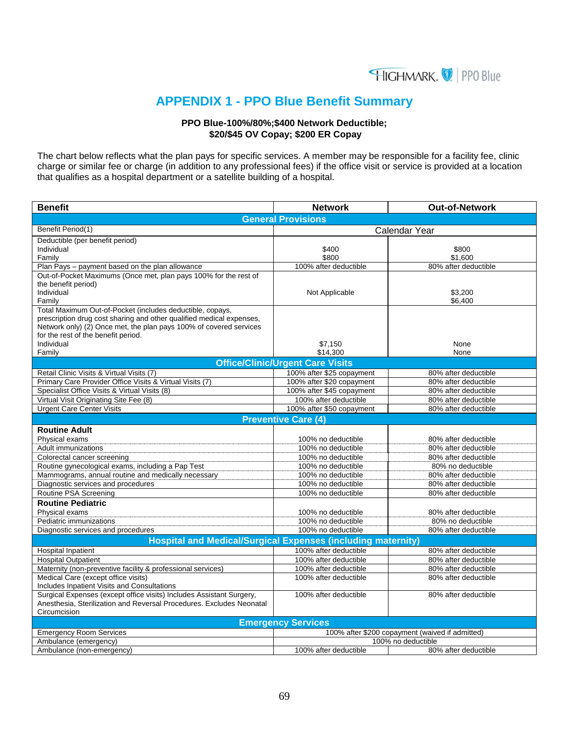

## **APPENDIX 1 - PPO Blue Benefit Summary**

#### **PPO Blue-100%/80%;\$400 Network Deductible; \$20/\$45 OV Copay; \$200 ER Copay**

The chart below reflects what the plan pays for specific services. A member may be responsible for a facility fee, clinic charge or similar fee or charge (in addition to any professional fees) if the office visit or service is provided at a location that qualifies as a hospital department or a satellite building of a hospital.

| <b>Benefit</b>                                                                                                                             | <b>Network</b>                          | Out-of-Network                                  |
|--------------------------------------------------------------------------------------------------------------------------------------------|-----------------------------------------|-------------------------------------------------|
|                                                                                                                                            | <b>General Provisions</b>               |                                                 |
| Benefit Period(1)                                                                                                                          |                                         | Calendar Year                                   |
| Deductible (per benefit period)                                                                                                            |                                         |                                                 |
| Individual                                                                                                                                 | \$400                                   | \$800                                           |
| Family                                                                                                                                     | \$800                                   | \$1,600                                         |
| Plan Pays - payment based on the plan allowance                                                                                            | 100% after deductible                   | 80% after deductible                            |
| Out-of-Pocket Maximums (Once met, plan pays 100% for the rest of                                                                           |                                         |                                                 |
| the benefit period)                                                                                                                        |                                         |                                                 |
| Individual                                                                                                                                 | Not Applicable                          | \$3.200                                         |
| Family                                                                                                                                     |                                         | \$6,400                                         |
| Total Maximum Out-of-Pocket (includes deductible, copays,                                                                                  |                                         |                                                 |
| prescription drug cost sharing and other qualified medical expenses,<br>Network only) (2) Once met, the plan pays 100% of covered services |                                         |                                                 |
| for the rest of the benefit period.                                                                                                        |                                         |                                                 |
| Individual                                                                                                                                 | \$7,150                                 | None                                            |
| Family                                                                                                                                     | \$14,300                                | None                                            |
|                                                                                                                                            | <b>Office/Clinic/Urgent Care Visits</b> |                                                 |
| Retail Clinic Visits & Virtual Visits (7)                                                                                                  | 100% after \$25 copayment               | 80% after deductible                            |
| Primary Care Provider Office Visits & Virtual Visits (7)                                                                                   | 100% after \$20 copayment               | 80% after deductible                            |
| Specialist Office Visits & Virtual Visits (8)                                                                                              | 100% after \$45 copayment               | 80% after deductible                            |
| Virtual Visit Originating Site Fee (8)                                                                                                     | 100% after deductible                   | 80% after deductible                            |
| <b>Urgent Care Center Visits</b>                                                                                                           | 100% after \$50 copayment               | 80% after deductible                            |
|                                                                                                                                            | <b>Preventive Care (4)</b>              |                                                 |
| <b>Routine Adult</b>                                                                                                                       |                                         |                                                 |
| Physical exams                                                                                                                             | 100% no deductible                      | 80% after deductible                            |
| <b>Adult immunizations</b>                                                                                                                 | 100% no deductible                      | 80% after deductible                            |
| Colorectal cancer screening                                                                                                                | 100% no deductible                      | 80% after deductible                            |
| Routine gynecological exams, including a Pap Test                                                                                          | 100% no deductible                      | 80% no deductible                               |
| Mammograms, annual routine and medically necessary                                                                                         | 100% no deductible                      | 80% after deductible                            |
| Diagnostic services and procedures                                                                                                         | 100% no deductible                      | 80% after deductible                            |
| Routine PSA Screening                                                                                                                      | 100% no deductible                      | 80% after deductible                            |
| <b>Routine Pediatric</b>                                                                                                                   |                                         |                                                 |
| Physical exams                                                                                                                             | 100% no deductible                      | 80% after deductible                            |
| Pediatric immunizations                                                                                                                    | 100% no deductible                      | 80% no deductible                               |
| Diagnostic services and procedures                                                                                                         | 100% no deductible                      | 80% after deductible                            |
| <b>Hospital and Medical/Surgical Expenses (including maternity)</b>                                                                        |                                         |                                                 |
| <b>Hospital Inpatient</b>                                                                                                                  | 100% after deductible                   | 80% after deductible                            |
| <b>Hospital Outpatient</b>                                                                                                                 | 100% after deductible                   | 80% after deductible                            |
| Maternity (non-preventive facility & professional services)                                                                                | 100% after deductible                   | 80% after deductible                            |
| Medical Care (except office visits)                                                                                                        | 100% after deductible                   | 80% after deductible                            |
| Includes Inpatient Visits and Consultations                                                                                                |                                         |                                                 |
| Surgical Expenses (except office visits) Includes Assistant Surgery,                                                                       | 100% after deductible                   | 80% after deductible                            |
| Anesthesia, Sterilization and Reversal Procedures. Excludes Neonatal                                                                       |                                         |                                                 |
| Circumcision                                                                                                                               |                                         |                                                 |
|                                                                                                                                            | <b>Emergency Services</b>               |                                                 |
| <b>Emergency Room Services</b>                                                                                                             |                                         | 100% after \$200 copayment (waived if admitted) |
| Ambulance (emergency)                                                                                                                      |                                         | 100% no deductible                              |
| Ambulance (non-emergency)                                                                                                                  | 100% after deductible                   | 80% after deductible                            |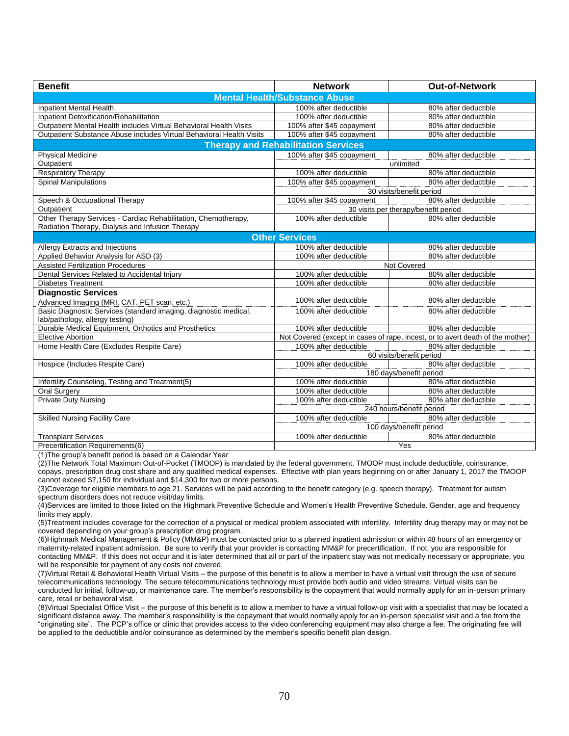| <b>Benefit</b>                                                                                                     | <b>Network</b>                             | <b>Out-of-Network</b>                                                          |
|--------------------------------------------------------------------------------------------------------------------|--------------------------------------------|--------------------------------------------------------------------------------|
|                                                                                                                    | <b>Mental Health/Substance Abuse</b>       |                                                                                |
| <b>Inpatient Mental Health</b>                                                                                     | 100% after deductible                      | 80% after deductible                                                           |
| Inpatient Detoxification/Rehabilitation                                                                            | 100% after deductible                      | 80% after deductible                                                           |
| Outpatient Mental Health includes Virtual Behavioral Health Visits                                                 | 100% after \$45 copayment                  | 80% after deductible                                                           |
| Outpatient Substance Abuse includes Virtual Behavioral Health Visits                                               | 100% after \$45 copayment                  | 80% after deductible                                                           |
|                                                                                                                    | <b>Therapy and Rehabilitation Services</b> |                                                                                |
| <b>Physical Medicine</b>                                                                                           | 100% after \$45 copayment                  | 80% after deductible                                                           |
| Outpatient                                                                                                         |                                            | unlimited                                                                      |
| <b>Respiratory Therapy</b>                                                                                         | 100% after deductible                      | 80% after deductible                                                           |
| <b>Spinal Manipulations</b>                                                                                        | 100% after \$45 copayment                  | 80% after deductible                                                           |
|                                                                                                                    |                                            | 30 visits/benefit period                                                       |
| Speech & Occupational Therapy                                                                                      | 100% after \$45 copayment                  | 80% after deductible                                                           |
| Outpatient                                                                                                         |                                            | 30 visits per therapy/benefit period                                           |
| Other Therapy Services - Cardiac Rehabilitation, Chemotherapy,<br>Radiation Therapy, Dialysis and Infusion Therapy | 100% after deductible                      | 80% after deductible                                                           |
|                                                                                                                    | <b>Other Services</b>                      |                                                                                |
| Allergy Extracts and Injections                                                                                    | 100% after deductible                      | 80% after deductible                                                           |
| Applied Behavior Analysis for ASD (3)                                                                              | 100% after deductible                      | 80% after deductible                                                           |
| <b>Assisted Fertilization Procedures</b>                                                                           |                                            | Not Covered                                                                    |
| Dental Services Related to Accidental Injury                                                                       | 100% after deductible                      | 80% after deductible                                                           |
| <b>Diabetes Treatment</b>                                                                                          | 100% after deductible                      | 80% after deductible                                                           |
| <b>Diagnostic Services</b>                                                                                         |                                            |                                                                                |
| Advanced Imaging (MRI, CAT, PET scan, etc.)                                                                        | 100% after deductible                      | 80% after deductible                                                           |
| Basic Diagnostic Services (standard imaging, diagnostic medical,<br>lab/pathology, allergy testing)                | 100% after deductible                      | 80% after deductible                                                           |
| Durable Medical Equipment, Orthotics and Prosthetics                                                               | 100% after deductible                      | 80% after deductible                                                           |
| <b>Elective Abortion</b>                                                                                           |                                            | Not Covered (except in cases of rape, incest, or to avert death of the mother) |
| Home Health Care (Excludes Respite Care)                                                                           | 100% after deductible                      | 80% after deductible                                                           |
|                                                                                                                    |                                            | 60 visits/benefit period                                                       |
| Hospice (Includes Respite Care)                                                                                    | 100% after deductible                      | 80% after deductible                                                           |
|                                                                                                                    |                                            | 180 days/benefit period                                                        |
| Infertility Counseling, Testing and Treatment(5)                                                                   | 100% after deductible                      | 80% after deductible                                                           |
| <b>Oral Surgery</b>                                                                                                | 100% after deductible                      | 80% after deductible                                                           |
| <b>Private Duty Nursing</b>                                                                                        | 100% after deductible                      | 80% after deductible                                                           |
|                                                                                                                    |                                            | 240 hours/benefit period                                                       |
| <b>Skilled Nursing Facility Care</b>                                                                               | 100% after deductible                      | 80% after deductible                                                           |
|                                                                                                                    |                                            | 100 days/benefit period                                                        |
| <b>Transplant Services</b>                                                                                         | 100% after deductible                      | 80% after deductible                                                           |
| Precertification Requirements(6)                                                                                   |                                            | Yes                                                                            |

(1)The group's benefit period is based on a Calendar Year

(2)The Network Total Maximum Out-of-Pocket (TMOOP) is mandated by the federal government, TMOOP must include deductible, coinsurance, copays, prescription drug cost share and any qualified medical expenses. Effective with plan years beginning on or after January 1, 2017 the TMOOP cannot exceed \$7,150 for individual and \$14,300 for two or more persons.

(3)Coverage for eligible members to age 21. Services will be paid according to the benefit category (e.g. speech therapy). Treatment for autism spectrum disorders does not reduce visit/day limits.

(4)Services are limited to those listed on the Highmark Preventive Schedule and Women's Health Preventive Schedule. Gender, age and frequency limits may apply.

(5)Treatment includes coverage for the correction of a physical or medical problem associated with infertility. Infertility drug therapy may or may not be covered depending on your group's prescription drug program.

(6)Highmark Medical Management & Policy (MM&P) must be contacted prior to a planned inpatient admission or within 48 hours of an emergency or maternity-related inpatient admission. Be sure to verify that your provider is contacting MM&P for precertification. If not, you are responsible for contacting MM&P. If this does not occur and it is later determined that all or part of the inpatient stay was not medically necessary or appropriate, you will be responsible for payment of any costs not covered.

(7)Virtual Retail & Behavioral Health Virtual Visits – the purpose of this benefit is to allow a member to have a virtual visit through the use of secure telecommunications technology. The secure telecommunications technology must provide both audio and video streams. Virtual visits can be conducted for initial, follow-up, or maintenance care. The member's responsibility is the copayment that would normally apply for an in-person primary care, retail or behavioral visit.

(8)Virtual Specialist Office Visit – the purpose of this benefit is to allow a member to have a virtual follow-up visit with a specialist that may be located a significant distance away. The member's responsibility is the copayment that would normally apply for an in-person specialist visit and a fee from the "originating site". The PCP's office or clinic that provides access to the video conferencing equipment may also charge a fee. The originating fee will be applied to the deductible and/or coinsurance as determined by the member's specific benefit plan design.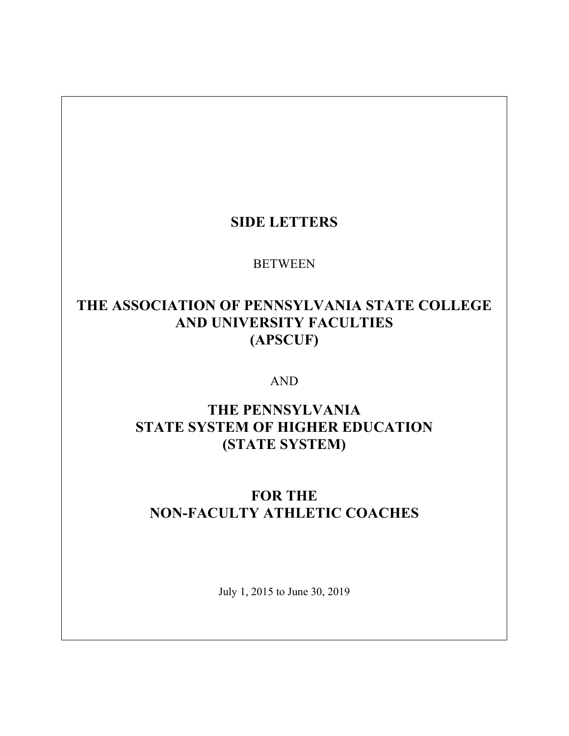### **SIDE LETTERS**

### BETWEEN

## **THE ASSOCIATION OF PENNSYLVANIA STATE COLLEGE AND UNIVERSITY FACULTIES (APSCUF)**

#### AND

### **THE PENNSYLVANIA STATE SYSTEM OF HIGHER EDUCATION (STATE SYSTEM)**

# **FOR THE NON-FACULTY ATHLETIC COACHES**

July 1, 2015 to June 30, 2019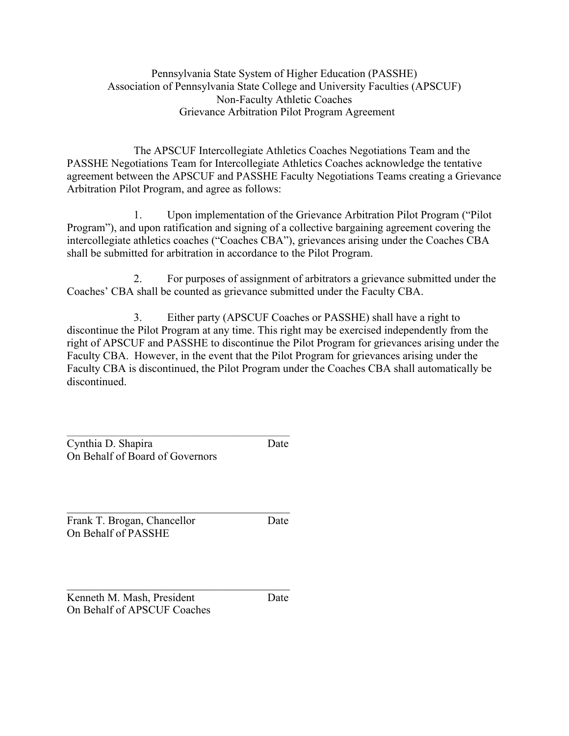Pennsylvania State System of Higher Education (PASSHE) Association of Pennsylvania State College and University Faculties (APSCUF) Non-Faculty Athletic Coaches Grievance Arbitration Pilot Program Agreement

The APSCUF Intercollegiate Athletics Coaches Negotiations Team and the PASSHE Negotiations Team for Intercollegiate Athletics Coaches acknowledge the tentative agreement between the APSCUF and PASSHE Faculty Negotiations Teams creating a Grievance Arbitration Pilot Program, and agree as follows:

1. Upon implementation of the Grievance Arbitration Pilot Program ("Pilot Program"), and upon ratification and signing of a collective bargaining agreement covering the intercollegiate athletics coaches ("Coaches CBA"), grievances arising under the Coaches CBA shall be submitted for arbitration in accordance to the Pilot Program.

2. For purposes of assignment of arbitrators a grievance submitted under the Coaches' CBA shall be counted as grievance submitted under the Faculty CBA.

3. Either party (APSCUF Coaches or PASSHE) shall have a right to discontinue the Pilot Program at any time. This right may be exercised independently from the right of APSCUF and PASSHE to discontinue the Pilot Program for grievances arising under the Faculty CBA. However, in the event that the Pilot Program for grievances arising under the Faculty CBA is discontinued, the Pilot Program under the Coaches CBA shall automatically be discontinued.

| Cynthia D. Shapira              | Date |
|---------------------------------|------|
| On Behalf of Board of Governors |      |

 $\mathcal{L}_\text{max}$  , and the contract of the contract of the contract of the contract of the contract of the contract of the contract of the contract of the contract of the contract of the contract of the contract of the contr Frank T. Brogan, Chancellor Date On Behalf of PASSHE

 $\mathcal{L}_\text{max}$ Kenneth M. Mash, President Date On Behalf of APSCUF Coaches